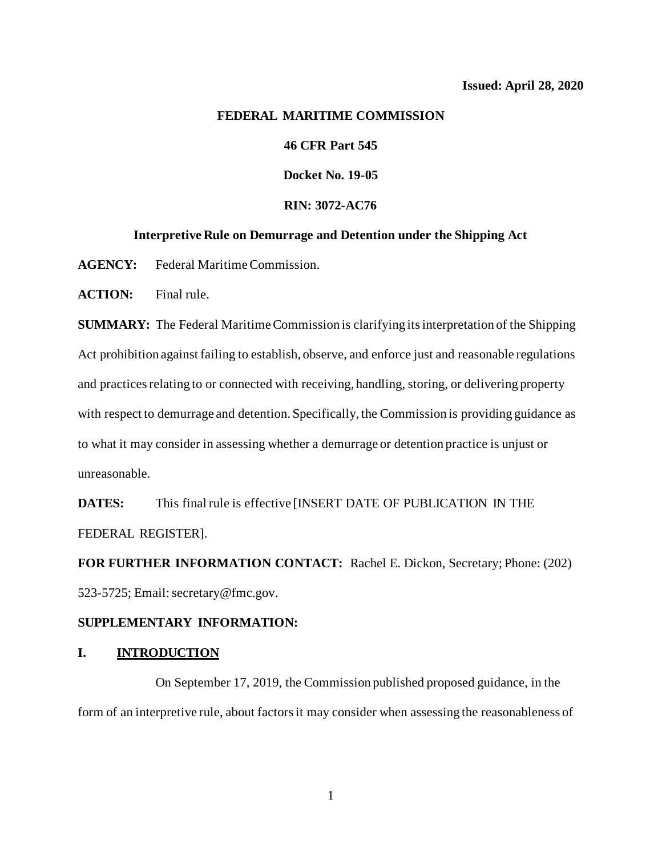## **FEDERAL MARITIME COMMISSION**

# **46 CFR Part 545**

**Docket No. 19-05**

# **RIN: 3072-AC76**

#### **Interpretive Rule on Demurrage and Detention under the Shipping Act**

**AGENCY:** Federal Maritime Commission.

**ACTION:** Final rule.

**SUMMARY:** The Federal Maritime Commission is clarifying its interpretation of the Shipping Act prohibition against failing to establish, observe, and enforce just and reasonable regulations and practices relating to or connected with receiving, handling, storing, or delivering property with respect to demurrage and detention. Specifically, the Commission is providing guidance as to what it may consider in assessing whether a demurrage or detention practice is unjust or unreasonable.

**DATES:** This final rule is effective [INSERT DATE OF PUBLICATION IN THE FEDERAL REGISTER].

**FOR FURTHER INFORMATION CONTACT:** Rachel E. Dickon, Secretary; Phone: (202) 523-5725; Email: secretary@fmc.gov.

### **SUPPLEMENTARY INFORMATION:**

### **I. INTRODUCTION**

On September 17, 2019, the Commission published proposed guidance, in the form of an interpretive rule, about factorsit may consider when assessing the reasonableness of

1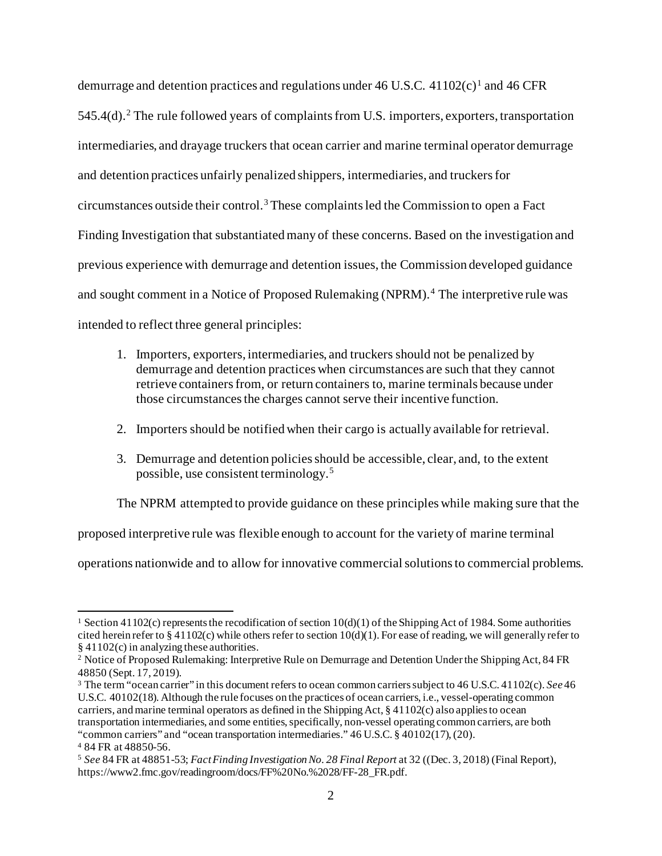demurrage and detention practices and regulations under 46 U.S.C.  $41102(c)^1$  $41102(c)^1$  $41102(c)^1$  and 46 CFR  $545.4(d)$ .<sup>[2](#page-1-0)</sup> The rule followed years of complaints from U.S. importers, exporters, transportation intermediaries, and drayage truckers that ocean carrier and marine terminal operator demurrage and detention practices unfairly penalized shippers, intermediaries, and truckers for circumstances outside their control. [3](#page-1-1) These complaints led the Commission to open a Fact Finding Investigation that substantiated many of these concerns. Based on the investigation and previous experience with demurrage and detention issues, the Commission developed guidance and sought comment in a Notice of Proposed Rulemaking (NPRM). [4](#page-1-2) The interpretive rule was intended to reflect three general principles:

- 1. Importers, exporters, intermediaries, and truckers should not be penalized by demurrage and detention practices when circumstances are such that they cannot retrieve containers from, or return containers to, marine terminals because under those circumstances the charges cannot serve their incentive function.
- 2. Importers should be notified when their cargo is actually available for retrieval.
- 3. Demurrage and detention policies should be accessible, clear, and, to the extent possible, use consistent terminology. [5](#page-1-3)

The NPRM attempted to provide guidance on these principles while making sure that the

proposed interpretive rule was flexible enough to account for the variety of marine terminal

operations nationwide and to allow for innovative commercial solutions to commercial problems.

<sup>&</sup>lt;sup>1</sup> Section 41102(c) represents the recodification of section  $10(d)(1)$  of the Shipping Act of 1984. Some authorities cited herein refer to § 41102(c) while others refer to section  $10(d)(1)$ . For ease of reading, we will generally refer to § 41102(c) in analyzing these authorities.

<span id="page-1-0"></span><sup>&</sup>lt;sup>2</sup> Notice of Proposed Rulemaking: Interpretive Rule on Demurrage and Detention Under the Shipping Act, 84 FR 48850 (Sept. 17, 2019).

<span id="page-1-1"></span><sup>3</sup> The term "ocean carrier" in this document refers to ocean common carriers subject to 46 U.S.C. 41102(c). *See* 46 U.S.C. 40102(18). Although the rule focuses on the practices of ocean carriers, i.e., vessel-operating common carriers, and marine terminal operators as defined in the Shipping Act, § 41102(c) also applies to ocean transportation intermediaries, and some entities, specifically, non-vessel operating common carriers, are both "common carriers" and "ocean transportation intermediaries." 46 U.S.C. § 40102(17), (20). <sup>4</sup> 84 FR at 48850-56.

<span id="page-1-3"></span><span id="page-1-2"></span><sup>5</sup> *See* 84 FR at 48851-53; *Fact Finding Investigation No. 28 Final Report* at 32 ((Dec. 3, 2018) (Final Report), https://www2.fmc.gov/readingroom/docs/FF%20No.%2028/FF-28\_FR.pdf.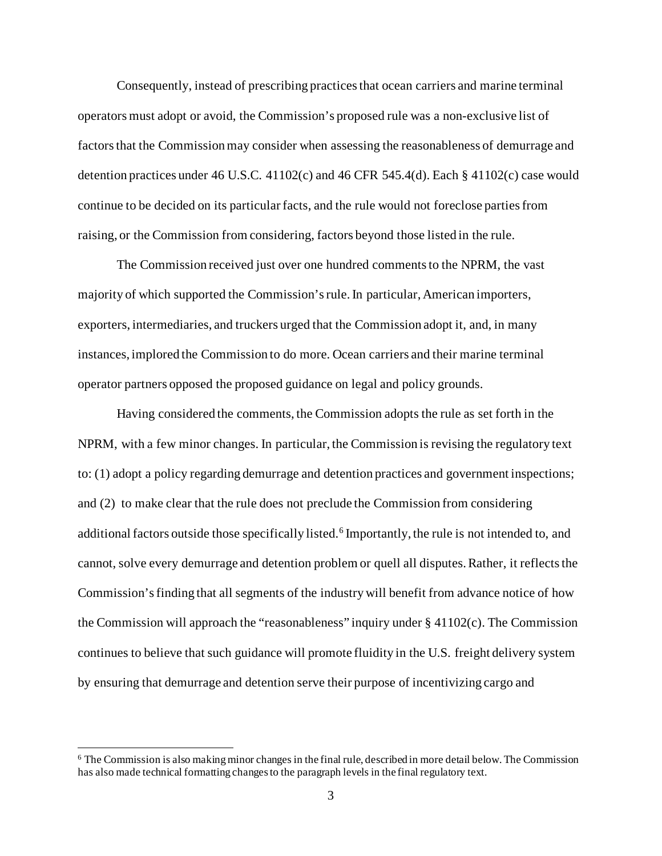Consequently, instead of prescribing practices that ocean carriers and marine terminal operators must adopt or avoid, the Commission's proposed rule was a non-exclusive list of factors that the Commission may consider when assessing the reasonableness of demurrage and detention practices under 46 U.S.C. 41102(c) and 46 CFR 545.4(d). Each § 41102(c) case would continue to be decided on its particular facts, and the rule would not foreclose parties from raising, or the Commission from considering, factors beyond those listed in the rule.

The Commission received just over one hundred comments to the NPRM, the vast majority of which supported the Commission's rule. In particular, American importers, exporters, intermediaries, and truckers urged that the Commission adopt it, and, in many instances, implored the Commission to do more. Ocean carriers and their marine terminal operator partners opposed the proposed guidance on legal and policy grounds.

Having considered the comments, the Commission adopts the rule as set forth in the NPRM, with a few minor changes. In particular, the Commission is revising the regulatory text to: (1) adopt a policy regarding demurrage and detention practices and government inspections; and (2) to make clear that the rule does not preclude the Commission from considering additional factors outside those specifically listed. [6](#page-2-0) Importantly, the rule is not intended to, and cannot, solve every demurrage and detention problem or quell all disputes.Rather, it reflects the Commission's finding that all segments of the industry will benefit from advance notice of how the Commission will approach the "reasonableness" inquiry under  $\S$  41102(c). The Commission continues to believe that such guidance will promote fluidity in the U.S. freight delivery system by ensuring that demurrage and detention serve their purpose of incentivizing cargo and

<span id="page-2-0"></span><sup>6</sup> The Commission is also making minor changes in the final rule, described in more detail below. The Commission has also made technical formatting changes to the paragraph levels in the final regulatory text.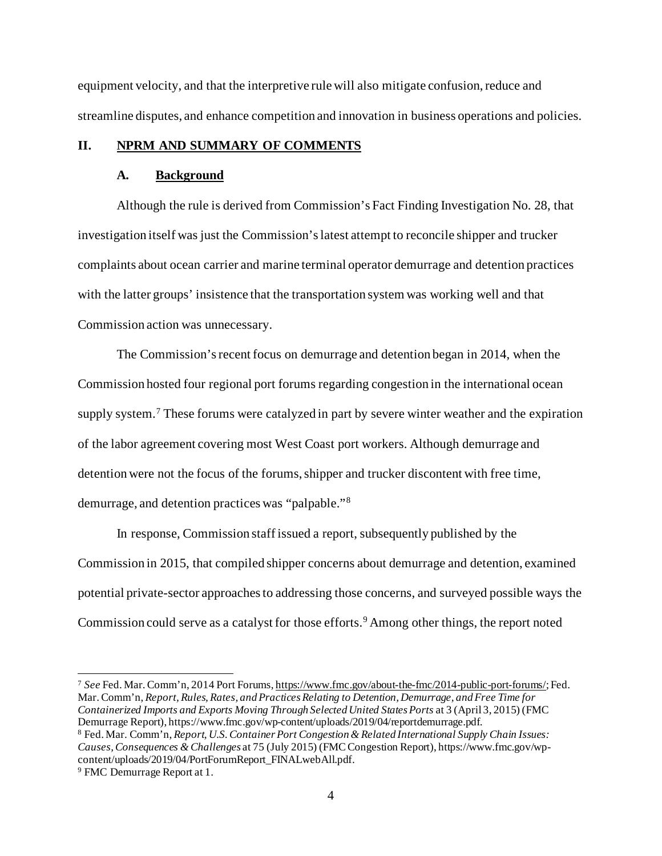equipment velocity, and that the interpretive rule will also mitigate confusion, reduce and streamline disputes, and enhance competition and innovation in business operations and policies.

# **II. NPRM AND SUMMARY OF COMMENTS**

### **A. Background**

Although the rule is derived from Commission's Fact Finding Investigation No. 28, that investigation itself was just the Commission'slatest attempt to reconcile shipper and trucker complaints about ocean carrier and marine terminal operator demurrage and detention practices with the latter groups' insistence that the transportation system was working well and that Commission action was unnecessary.

The Commission's recent focus on demurrage and detention began in 2014, when the Commission hosted four regional port forums regarding congestion in the international ocean supply system.<sup>[7](#page-3-0)</sup> These forums were catalyzed in part by severe winter weather and the expiration of the labor agreement covering most West Coast port workers. Although demurrage and detention were not the focus of the forums, shipper and trucker discontent with free time, demurrage, and detention practices was "palpable."[8](#page-3-1)

In response, Commission staff issued a report, subsequently published by the Commission in 2015, that compiled shipper concerns about demurrage and detention, examined potential private-sector approaches to addressing those concerns, and surveyed possible ways the Commission could serve as a catalyst for those efforts.<sup>[9](#page-3-2)</sup> Among other things, the report noted

<span id="page-3-0"></span><sup>7</sup> *See* Fed. Mar. Comm'n, 2014 Port Forums[, https://www.fmc.gov/about-the-fmc/2014-public-port-forums/](https://www.fmc.gov/about-the-fmc/2014-public-port-forums/); Fed. Mar. Comm'n, *Report, Rules, Rates, and Practices Relating to Detention, Demurrage, and Free Time for Containerized Imports and Exports Moving Through Selected United States Ports* at 3 (April 3, 2015) (FMC Demurrage Report), https://www.fmc.gov/wp-content/uploads/2019/04/reportdemurrage.pdf. <sup>8</sup> Fed. Mar. Comm'n, *Report, U.S. Container Port Congestion & Related International Supply Chain Issues: Causes, Consequences & Challenges* at 75 (July 2015) (FMC Congestion Report), https://www.fmc.gov/wp-

<span id="page-3-2"></span><span id="page-3-1"></span>content/uploads/2019/04/PortForumReport\_FINALwebAll.pdf. 9 FMC Demurrage Report at 1.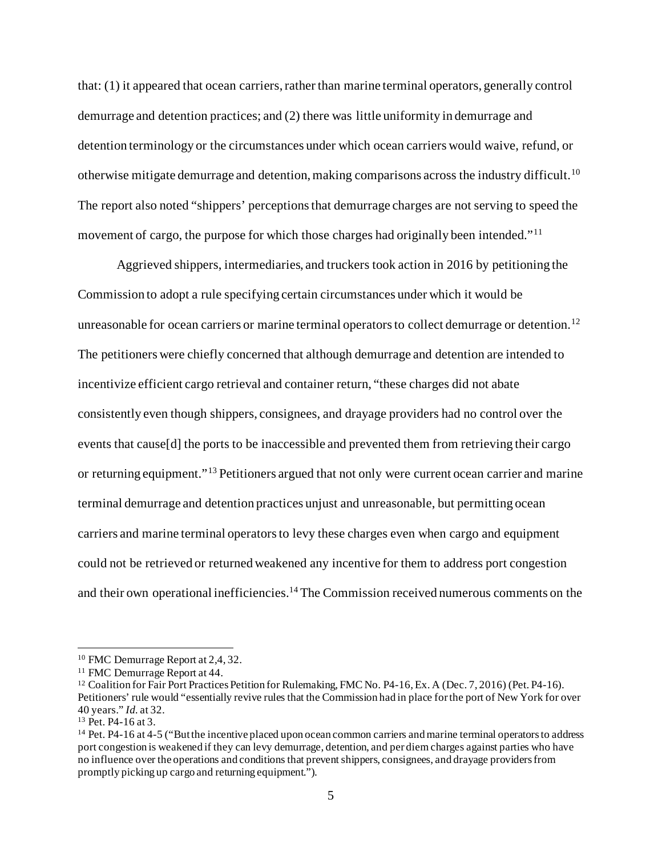that: (1) it appeared that ocean carriers, rather than marine terminal operators, generally control demurrage and detention practices; and (2) there was little uniformity in demurrage and detention terminology or the circumstances under which ocean carriers would waive, refund, or otherwise mitigate demurrage and detention, making comparisons across the industry difficult.[10](#page-4-0) The report also noted "shippers' perceptions that demurrage charges are not serving to speed the movement of cargo, the purpose for which those charges had originally been intended."<sup>[11](#page-4-1)</sup>

Aggrieved shippers, intermediaries, and truckers took action in 2016 by petitioning the Commission to adopt a rule specifying certain circumstances under which it would be unreasonable for ocean carriers or marine terminal operators to collect demurrage or detention.<sup>[12](#page-4-2)</sup> The petitioners were chiefly concerned that although demurrage and detention are intended to incentivize efficient cargo retrieval and container return, "these charges did not abate consistently even though shippers, consignees, and drayage providers had no control over the events that cause[d] the ports to be inaccessible and prevented them from retrieving their cargo or returning equipment."[13](#page-4-3) Petitioners argued that not only were current ocean carrier and marine terminal demurrage and detention practices unjust and unreasonable, but permitting ocean carriers and marine terminal operators to levy these charges even when cargo and equipment could not be retrieved or returned weakened any incentive for them to address port congestion and their own operational inefficiencies.<sup>[14](#page-4-4)</sup> The Commission received numerous comments on the

<span id="page-4-2"></span>

<span id="page-4-1"></span><span id="page-4-0"></span><sup>&</sup>lt;sup>10</sup> FMC Demurrage Report at 2,4, 32.<br><sup>11</sup> FMC Demurrage Report at 44.<br><sup>12</sup> Coalition for Fair Port Practices Petition for Rulemaking, FMC No. P4-16, Ex. A (Dec. 7, 2016) (Pet. P4-16). Petitioners' rule would "essentially revive rules that the Commission had in place for the port of New York for over 40 years." *Id.* at 32.

<span id="page-4-3"></span>

<span id="page-4-4"></span><sup>&</sup>lt;sup>14</sup> Pet. P4-16 at 4-5 ("But the incentive placed upon ocean common carriers and marine terminal operators to address port congestion is weakened if they can levy demurrage, detention, and per diem charges against parties who have no influence over the operations and conditions that prevent shippers, consignees, and drayage providers from promptly picking up cargo and returning equipment.").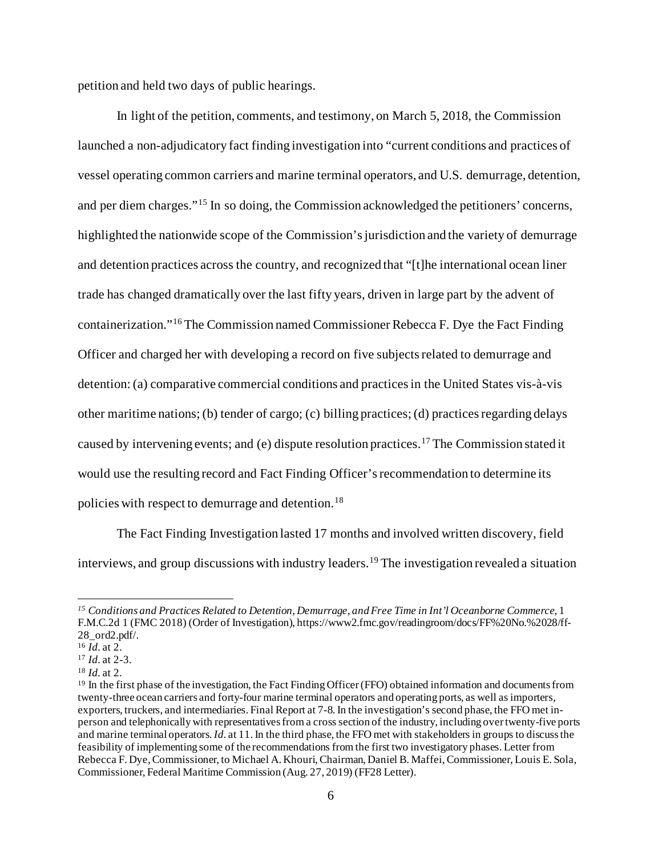petition and held two days of public hearings.

In light of the petition, comments, and testimony, on March 5, 2018, the Commission launched a non-adjudicatory fact finding investigation into "current conditions and practices of vessel operating common carriers and marine terminal operators, and U.S. demurrage, detention, and per diem charges."[15](#page-5-0) In so doing, the Commission acknowledged the petitioners' concerns, highlighted the nationwide scope of the Commission's jurisdiction and the variety of demurrage and detention practices across the country, and recognized that "[t]he international ocean liner trade has changed dramatically over the last fifty years, driven in large part by the advent of containerization."[16](#page-5-1) The Commission named Commissioner Rebecca F. Dye the Fact Finding Officer and charged her with developing a record on five subjectsrelated to demurrage and detention: (a) comparative commercial conditions and practices in the United States vis-à-vis other maritime nations; (b) tender of cargo; (c) billing practices; (d) practicesregarding delays caused by intervening events; and (e) dispute resolution practices.[17](#page-5-2) The Commission stated it would use the resulting record and Fact Finding Officer'srecommendation to determine its policies with respect to demurrage and detention.<sup>[18](#page-5-3)</sup>

The Fact Finding Investigation lasted 17 months and involved written discovery, field interviews, and group discussions with industry leaders.<sup>[19](#page-5-4)</sup> The investigation revealed a situation

<span id="page-5-0"></span>*<sup>15</sup> Conditions and Practices Related to Detention, Demurrage, and Free Time in Int'l Oceanborne Commerce*, 1 F.M.C.2d 1 (FMC 2018) (Order of Investigation), https://www2.fmc.gov/readingroom/docs/FF%20No.%2028/ff-28\_ord2.pdf/. 16 *Id.* at 2.

<span id="page-5-2"></span><span id="page-5-1"></span><sup>17</sup> *Id.* at 2-3.

<span id="page-5-3"></span><sup>18</sup> *Id.* at 2.

<span id="page-5-4"></span><sup>19</sup> In the first phase of the investigation, the Fact Finding Officer (FFO) obtained information and documents from twenty-three ocean carriers and forty-four marine terminal operators and operating ports, as well as importers, exporters, truckers, and intermediaries. Final Report at 7-8. In the investigation's second phase, the FFO met inperson and telephonically with representatives from a cross section of the industry, including over twenty-five ports and marine terminal operators. *Id.* at 11. In the third phase, the FFO met with stakeholders in groups to discuss the feasibility of implementing some of the recommendations from the first two investigatory phases. Letter from Rebecca F. Dye, Commissioner, to Michael A. Khouri, Chairman, Daniel B. Maffei, Commissioner, Louis E. Sola, Commissioner, Federal Maritime Commission (Aug. 27, 2019) (FF28 Letter).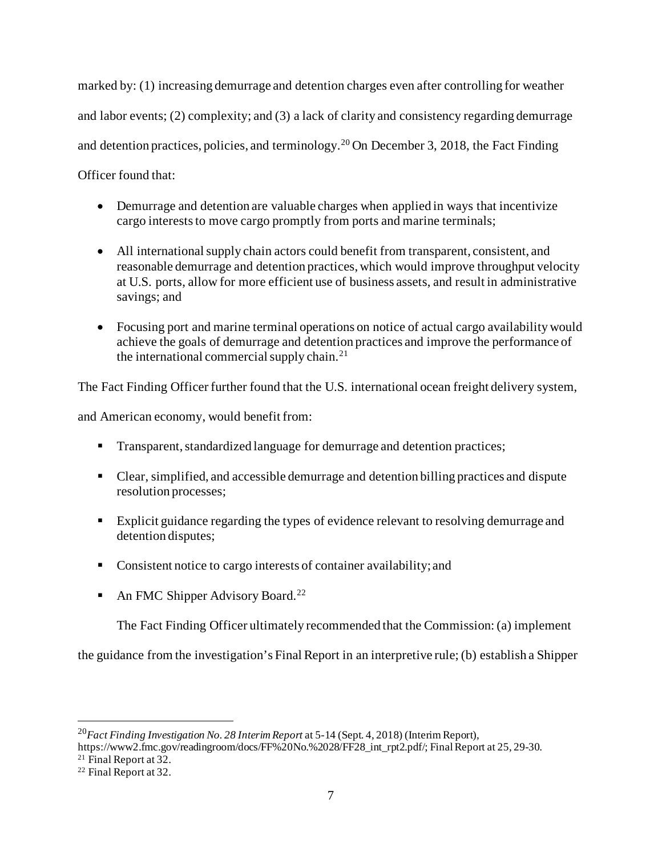marked by: (1) increasing demurrage and detention charges even after controlling for weather and labor events; (2) complexity; and (3) a lack of clarity and consistency regarding demurrage and detention practices, policies, and terminology.<sup>[20](#page-6-0)</sup> On December 3, 2018, the Fact Finding Officer found that:

- Demurrage and detention are valuable charges when applied in ways that incentivize cargo interests to move cargo promptly from ports and marine terminals;
- All international supply chain actors could benefit from transparent, consistent, and reasonable demurrage and detention practices, which would improve throughput velocity at U.S. ports, allow for more efficient use of business assets, and result in administrative savings; and
- Focusing port and marine terminal operations on notice of actual cargo availability would achieve the goals of demurrage and detention practices and improve the performance of the international commercial supply chain.<sup>[21](#page-6-1)</sup>

The Fact Finding Officer further found that the U.S. international ocean freight delivery system,

and American economy, would benefit from:

- Transparent, standardized language for demurrage and detention practices;
- Clear, simplified, and accessible demurrage and detention billing practices and dispute resolution processes;
- Explicit guidance regarding the types of evidence relevant to resolving demurrage and detention disputes;
- Consistent notice to cargo interests of container availability; and
- An FMC Shipper Advisory Board.<sup>[22](#page-6-2)</sup>

The Fact Finding Officer ultimately recommended that the Commission: (a) implement

the guidance from the investigation's Final Report in an interpretive rule; (b) establish a Shipper

<span id="page-6-0"></span><sup>20</sup>*Fact Finding Investigation No. 28 Interim Report* at 5-14 (Sept. 4, 2018) (Interim Report),

https://www2.fmc.gov/readingroom/docs/FF%20No.%2028/FF28\_int\_rpt2.pdf/; Final Report at 25, 29-30.

<span id="page-6-2"></span><span id="page-6-1"></span><sup>&</sup>lt;sup>21</sup> Final Report at 32.<br><sup>22</sup> Final Report at 32.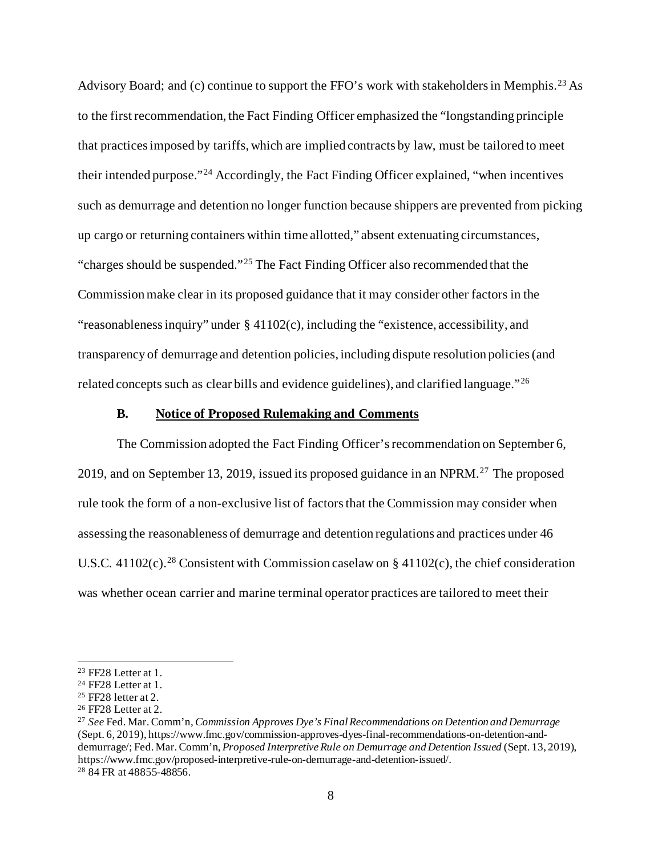Advisory Board; and (c) continue to support the FFO's work with stakeholders in Memphis.<sup>[23](#page-7-0)</sup> As to the first recommendation, the Fact Finding Officer emphasized the "longstanding principle that practices imposed by tariffs, which are implied contracts by law, must be tailored to meet their intended purpose."[24](#page-7-1) Accordingly, the Fact Finding Officer explained, "when incentives such as demurrage and detention no longer function because shippers are prevented from picking up cargo or returning containers within time allotted," absent extenuating circumstances, "charges should be suspended."[25](#page-7-2) The Fact Finding Officer also recommended that the Commission make clear in its proposed guidance that it may consider other factors in the "reasonableness inquiry" under § 41102(c), including the "existence, accessibility, and transparency of demurrage and detention policies, including dispute resolution policies (and related concepts such as clear bills and evidence guidelines), and clarified language."[26](#page-7-3)

### **B. Notice of Proposed Rulemaking and Comments**

The Commission adopted the Fact Finding Officer's recommendation on September 6, 2019, and on September 13, 2019, issued its proposed guidance in an NPRM.<sup>[27](#page-7-4)</sup> The proposed rule took the form of a non-exclusive list of factors that the Commission may consider when assessing the reasonableness of demurrage and detention regulations and practices under 46 U.S.C. 41102(c).<sup>[28](#page-7-5)</sup> Consistent with Commission caselaw on § 41102(c), the chief consideration was whether ocean carrier and marine terminal operator practices are tailored to meet their

<span id="page-7-5"></span><span id="page-7-4"></span><sup>27</sup> *See* Fed. Mar. Comm'n, *Commission Approves Dye's Final Recommendations on Detention and Demurrage* (Sept. 6, 2019), https://www.fmc.gov/commission-approves-dyes-final-recommendations-on-detention-anddemurrage/; Fed. Mar. Comm'n, *Proposed Interpretive Rule on Demurrage and Detention Issued* (Sept. 13, 2019), https://www.fmc.gov/proposed-interpretive-rule-on-demurrage-and-detention-issued/. 28 84 FR at 48855-48856.

<span id="page-7-0"></span><sup>&</sup>lt;sup>23</sup> FF28 Letter at 1.<br><sup>24</sup> FF28 Letter at 1.

<span id="page-7-2"></span><span id="page-7-1"></span><sup>25</sup> FF28 letter at 2.

<span id="page-7-3"></span><sup>26</sup> FF28 Letter at 2.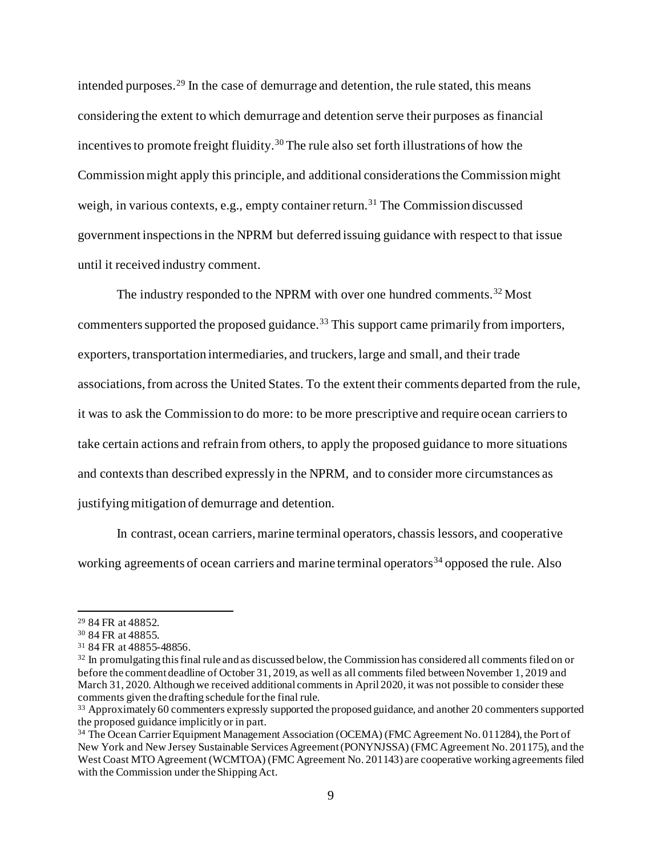intended purposes.[29](#page-8-0) In the case of demurrage and detention, the rule stated, this means considering the extent to which demurrage and detention serve their purposes as financial incentives to promote freight fluidity.<sup>[30](#page-8-1)</sup> The rule also set forth illustrations of how the Commission might apply this principle, and additional considerations the Commissionmight weigh, in various contexts, e.g., empty container return.<sup>[31](#page-8-2)</sup> The Commission discussed government inspections in the NPRM but deferred issuing guidance with respect to that issue until it received industry comment.

The industry responded to the NPRM with over one hundred comments.<sup>[32](#page-8-3)</sup> Most commenters supported the proposed guidance.<sup>[33](#page-8-4)</sup> This support came primarily from importers, exporters, transportation intermediaries, and truckers, large and small, and their trade associations, from across the United States. To the extent their comments departed from the rule, it was to ask the Commission to do more: to be more prescriptive and require ocean carriers to take certain actions and refrain from others, to apply the proposed guidance to more situations and contexts than described expressly in the NPRM, and to consider more circumstances as justifying mitigation of demurrage and detention.

In contrast, ocean carriers, marine terminal operators, chassis lessors, and cooperative working agreements of ocean carriers and marine terminal operators<sup>[34](#page-8-5)</sup> opposed the rule. Also

<span id="page-8-0"></span><sup>29</sup> 84 FR at 48852.

<span id="page-8-1"></span><sup>30</sup> 84 FR at 48855.

<span id="page-8-2"></span><sup>31</sup> 84 FR at 48855-48856.

<span id="page-8-3"></span><sup>&</sup>lt;sup>32</sup> In promulgating this final rule and as discussed below, the Commission has considered all comments filed on or before the comment deadline of October 31, 2019, as well as all comments filed between November 1, 2019 and March 31, 2020. Although we received additional comments in April 2020, it was not possible to consider these comments given the drafting schedule for the final rule.

<span id="page-8-4"></span><sup>33</sup> Approximately 60 commenters expressly supported the proposed guidance, and another 20 commenters supported the proposed guidance implicitly or in part.

<span id="page-8-5"></span><sup>&</sup>lt;sup>34</sup> The Ocean Carrier Equipment Management Association (OCEMA) (FMC Agreement No. 011284), the Port of New York and New Jersey Sustainable Services Agreement (PONYNJSSA) (FMC Agreement No. 201175), and the West Coast MTO Agreement (WCMTOA) (FMC Agreement No. 201143) are cooperative working agreements filed with the Commission under the Shipping Act.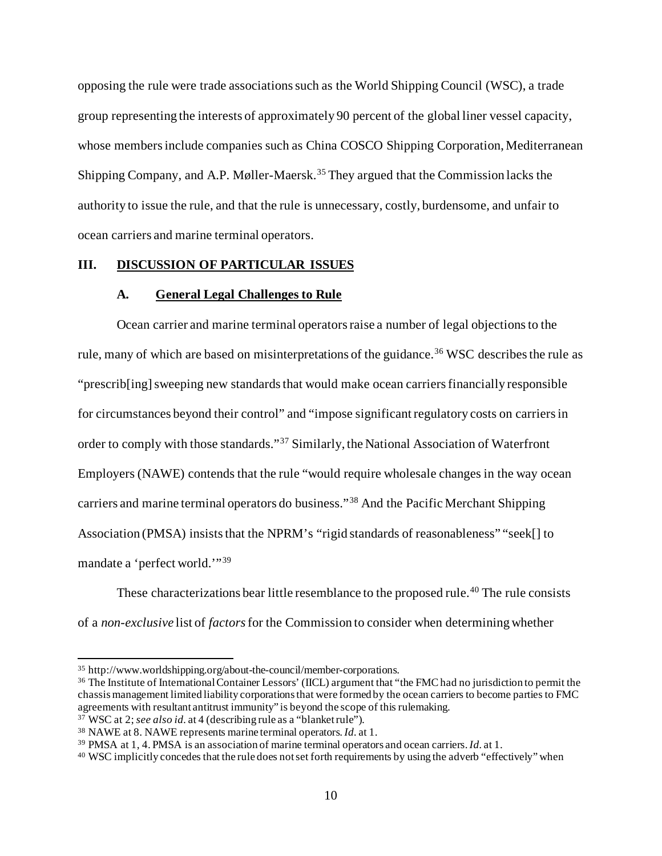opposing the rule were trade associations such as the World Shipping Council (WSC), a trade group representing the interests of approximately 90 percent of the global liner vessel capacity, whose members include companies such as China COSCO Shipping Corporation, Mediterranean Shipping Company, and A.P. Møller-Maersk. [35](#page-9-0) They argued that the Commission lacks the authority to issue the rule, and that the rule is unnecessary, costly, burdensome, and unfair to ocean carriers and marine terminal operators.

# **III. DISCUSSION OF PARTICULAR ISSUES**

#### **A. General Legal Challenges to Rule**

Ocean carrier and marine terminal operators raise a number of legal objectionsto the rule, many of which are based on misinterpretations of the guidance.<sup>[36](#page-9-1)</sup> WSC describes the rule as "prescrib[ing] sweeping new standards that would make ocean carriers financially responsible for circumstances beyond their control" and "impose significant regulatory costs on carriers in order to comply with those standards."[37](#page-9-2) Similarly, the National Association of Waterfront Employers (NAWE) contends that the rule "would require wholesale changes in the way ocean carriers and marine terminal operators do business."[38](#page-9-3) And the Pacific Merchant Shipping Association (PMSA) insists that the NPRM's "rigid standards of reasonableness" "seek[] to mandate a 'perfect world.'"[39](#page-9-4)

These characterizations bear little resemblance to the proposed rule.<sup>[40](#page-9-5)</sup> The rule consists of a *non-exclusive* list of *factors*for the Commission to consider when determining whether

<span id="page-9-1"></span><span id="page-9-0"></span> $35$  http://www.worldshipping.org/about-the-council/member-corporations.<br> $36$  The Institute of International Container Lessors' (IICL) argument that "the FMC had no jurisdiction to permit the chassis management limited liability corporations that were formed by the ocean carriers to become parties to FMC agreements with resultant antitrust immunity" is beyond the scope of this rulemaking. 37 WSC at 2; *see also id.* at 4 (describing rule as a "blanket rule").

<span id="page-9-2"></span>

<span id="page-9-3"></span><sup>38</sup> NAWE at 8. NAWE represents marine terminal operators. *Id.* at 1.

<span id="page-9-4"></span><sup>39</sup> PMSA at 1, 4. PMSA is an association of marine terminal operators and ocean carriers. *Id.* at 1.

<span id="page-9-5"></span><sup>&</sup>lt;sup>40</sup> WSC implicitly concedes that the rule does not set forth requirements by using the adverb "effectively" when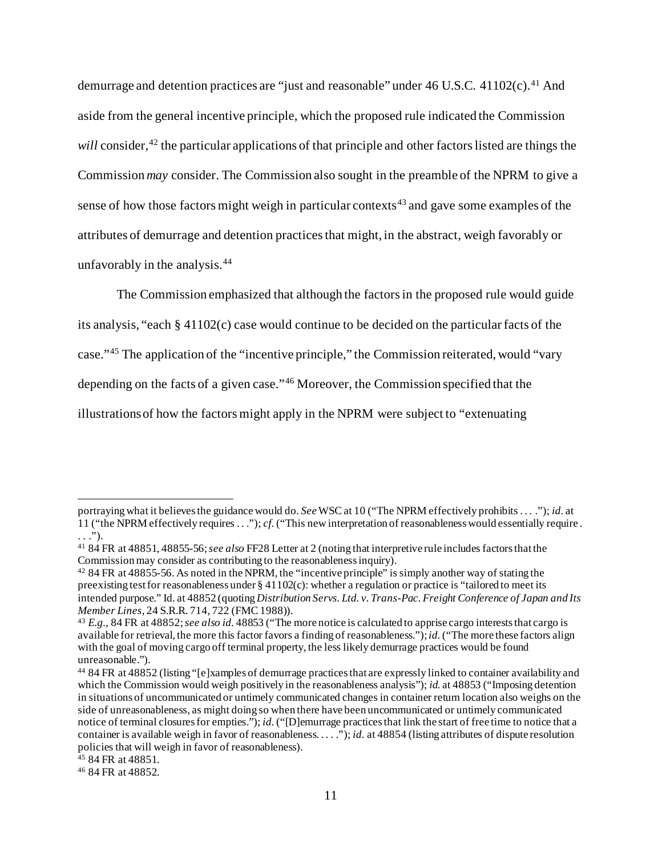demurrage and detention practices are "just and reasonable" under  $46$  U.S.C.  $41102(c)$  $41102(c)$ .<sup>41</sup> And aside from the general incentive principle, which the proposed rule indicated the Commission *will* consider,<sup>[42](#page-10-1)</sup> the particular applications of that principle and other factors listed are things the Commission *may* consider. The Commission also sought in the preamble of the NPRM to give a sense of how those factors might weigh in particular contexts<sup>[43](#page-10-2)</sup> and gave some examples of the attributes of demurrage and detention practicesthat might, in the abstract, weigh favorably or unfavorably in the analysis.[44](#page-10-3)

The Commission emphasized that although the factors in the proposed rule would guide its analysis, "each § 41102(c) case would continue to be decided on the particular facts of the case."[45](#page-10-4) The application of the "incentive principle," the Commission reiterated, would "vary depending on the facts of a given case."[46](#page-10-5) Moreover, the Commission specified that the illustrations of how the factors might apply in the NPRM were subject to "extenuating

portraying what it believes the guidance would do. *See*WSC at 10 ("The NPRM effectively prohibits . . . ."); *id.* at 11 ("the NPRM effectively requires . . ."); *cf.*("This new interpretation of reasonableness would essentially require .  $\ldots$ ").

<span id="page-10-0"></span><sup>41</sup> 84 FR at 48851, 48855-56; *see also* FF28 Letter at 2 (noting that interpretive rule includes factors that the Commission may consider as contributing to the reasonableness inquiry).

<span id="page-10-1"></span><sup>42</sup> 84 FR at 48855-56. As noted in the NPRM, the "incentive principle" is simply another way of stating the preexisting test for reasonableness under  $\S 41102(c)$ : whether a regulation or practice is "tailored to meet its intended purpose." Id. at 48852 (quoting *Distribution Servs. Ltd. v. Trans-Pac. Freight Conference of Japan and Its Member Lines*, 24 S.R.R. 714, 722 (FMC 1988)).

<span id="page-10-2"></span><sup>43</sup> *E.g.*, 84 FR at 48852; *see also id.* 48853 ("The more notice is calculated to apprise cargo interests that cargo is available for retrieval, the more this factor favors a finding of reasonableness."); *id.*("The more these factors align with the goal of moving cargo off terminal property, the less likely demurrage practices would be found unreasonable.").

<span id="page-10-3"></span><sup>44</sup> 84 FR at 48852 (listing "[e]xamples of demurrage practices that are expressly linked to container availability and which the Commission would weigh positively in the reasonableness analysis"); *id.* at 48853 ("Imposing detention in situations of uncommunicated or untimely communicated changes in container return location also weighs on the side of unreasonableness, as might doing so when there have been uncommunicated or untimely communicated notice of terminal closures for empties."); *id.* ("[D]emurrage practices that link the start of free time to notice that a container is available weigh in favor of reasonableness. . . . ."); *id.* at 48854 (listing attributes of dispute resolution policies that will weigh in favor of reasonableness).

<span id="page-10-4"></span><sup>&</sup>lt;sup>45</sup> 84 FR at 48851.

<span id="page-10-5"></span><sup>46</sup> 84 FR at 48852.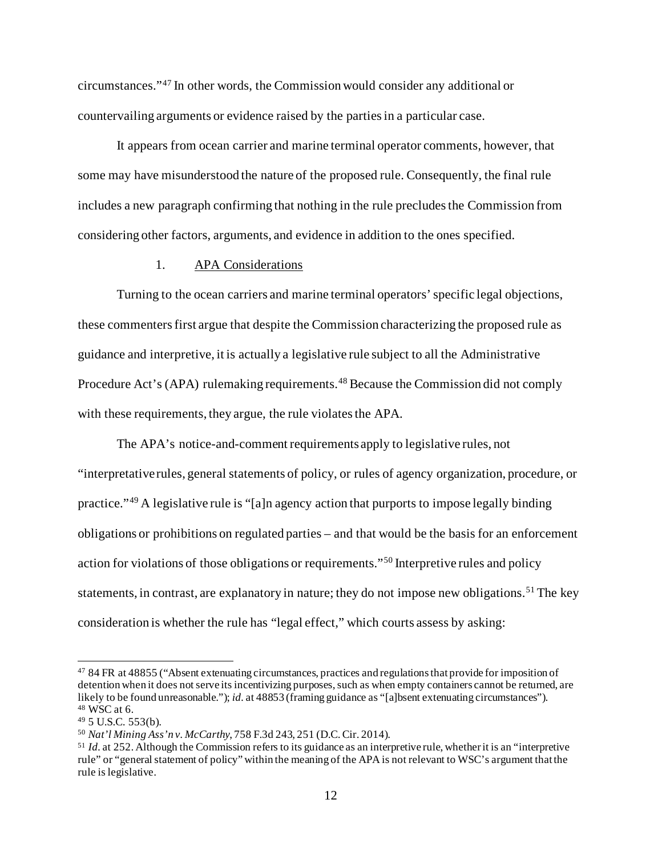circumstances."[47](#page-11-0) In other words, the Commission would consider any additional or countervailing arguments or evidence raised by the parties in a particular case.

It appears from ocean carrier and marine terminal operator comments, however, that some may have misunderstood the nature of the proposed rule. Consequently, the final rule includes a new paragraph confirming that nothing in the rule precludes the Commission from considering other factors, arguments, and evidence in addition to the ones specified.

### 1. APA Considerations

Turning to the ocean carriers and marine terminal operators'specific legal objections, these commentersfirst argue that despite the Commission characterizing the proposed rule as guidance and interpretive, it is actually a legislative rule subject to all the Administrative Procedure Act's (APA) rulemaking requirements.<sup>[48](#page-11-1)</sup> Because the Commission did not comply with these requirements, they argue, the rule violates the APA.

The APA's notice-and-comment requirements apply to legislative rules, not "interpretative rules, general statements of policy, or rules of agency organization, procedure, or practice."[49](#page-11-2) A legislative rule is "[a]n agency action that purports to impose legally binding obligations or prohibitions on regulated parties – and that would be the basis for an enforcement action for violations of those obligations or requirements."[50](#page-11-3) Interpretive rules and policy statements, in contrast, are explanatory in nature; they do not impose new obligations.<sup>[51](#page-11-4)</sup> The key consideration is whether the rule has "legal effect," which courts assess by asking:

<span id="page-11-0"></span><sup>47</sup> 84 FR at 48855 ("Absent extenuating circumstances, practices and regulations that provide for imposition of detention when it does not serve its incentivizing purposes, such as when empty containers cannot be returned, are likely to be found unreasonable."); *id.* at 48853 (framing guidance as "[a]bsent extenuating circumstances").  $48$  WSC at 6.

<span id="page-11-2"></span><span id="page-11-1"></span><sup>49</sup> 5 U.S.C. 553(b).

<span id="page-11-3"></span><sup>50</sup> *Nat'l Mining Ass'n v. McCarthy*, 758 F.3d 243, 251 (D.C. Cir. 2014).

<span id="page-11-4"></span><sup>51</sup> *Id.* at 252. Although the Commission refers to its guidance as an interpretive rule, whether it is an "interpretive rule" or "general statement of policy" within the meaning of the APA is not relevant to WSC's argument that the rule is legislative.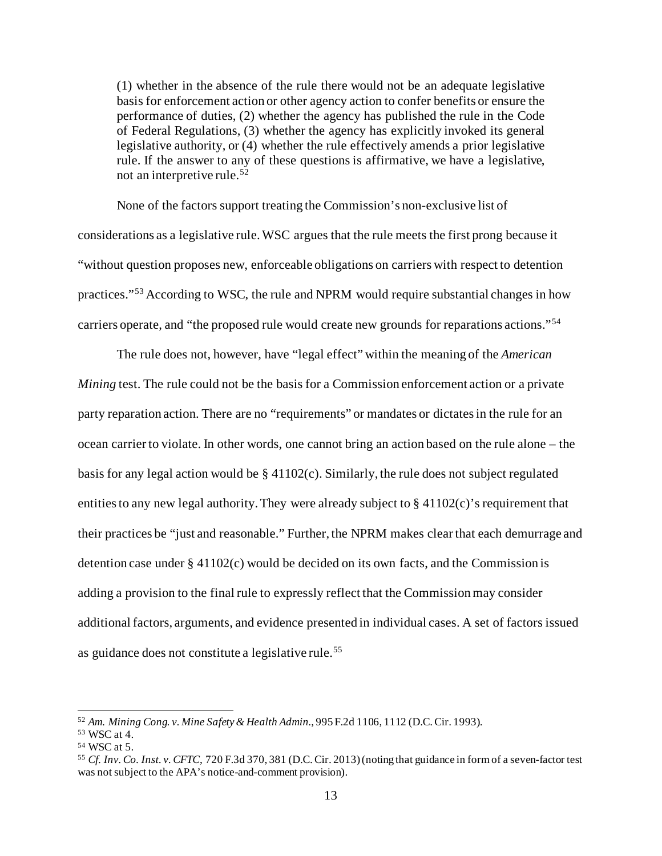(1) whether in the absence of the rule there would not be an adequate legislative basis for enforcement action or other agency action to confer benefits or ensure the performance of duties, (2) whether the agency has published the rule in the Code of Federal Regulations, (3) whether the agency has explicitly invoked its general legislative authority, or (4) whether the rule effectively amends a prior legislative rule. If the answer to any of these questions is affirmative, we have a legislative, not an interpretive rule.<sup>[52](#page-12-0)</sup>

None of the factors support treating the Commission's non-exclusive list of considerations as a legislative rule. WSC argues that the rule meets the first prong because it "without question proposes new, enforceable obligations on carriers with respect to detention practices."[53](#page-12-1) According to WSC, the rule and NPRM would require substantial changes in how carriers operate, and "the proposed rule would create new grounds for reparations actions."[54](#page-12-2)

The rule does not, however, have "legal effect" within the meaning of the *American Mining* test. The rule could not be the basis for a Commission enforcement action or a private party reparation action. There are no "requirements" or mandates or dictates in the rule for an ocean carrier to violate. In other words, one cannot bring an action based on the rule alone – the basis for any legal action would be § 41102(c). Similarly, the rule does not subject regulated entities to any new legal authority. They were already subject to § 41102(c)'s requirement that their practices be "just and reasonable." Further, the NPRM makes clear that each demurrage and detention case under § 41102(c) would be decided on its own facts, and the Commission is adding a provision to the final rule to expressly reflect that the Commission may consider additional factors, arguments, and evidence presented in individual cases. A set of factors issued as guidance does not constitute a legislative rule.[55](#page-12-3)

<span id="page-12-0"></span><sup>52</sup> *Am. Mining Cong. v. Mine Safety & Health Admin.*, 995 F.2d 1106, 1112 (D.C. Cir. 1993).

<span id="page-12-1"></span><sup>53</sup> WSC at 4.

<span id="page-12-2"></span><sup>54</sup> WSC at 5.

<span id="page-12-3"></span><sup>55</sup> *Cf. Inv. Co. Inst. v. CFTC*, 720 F.3d 370, 381 (D.C. Cir. 2013) (noting that guidance in form of a seven-factor test was not subject to the APA's notice-and-comment provision).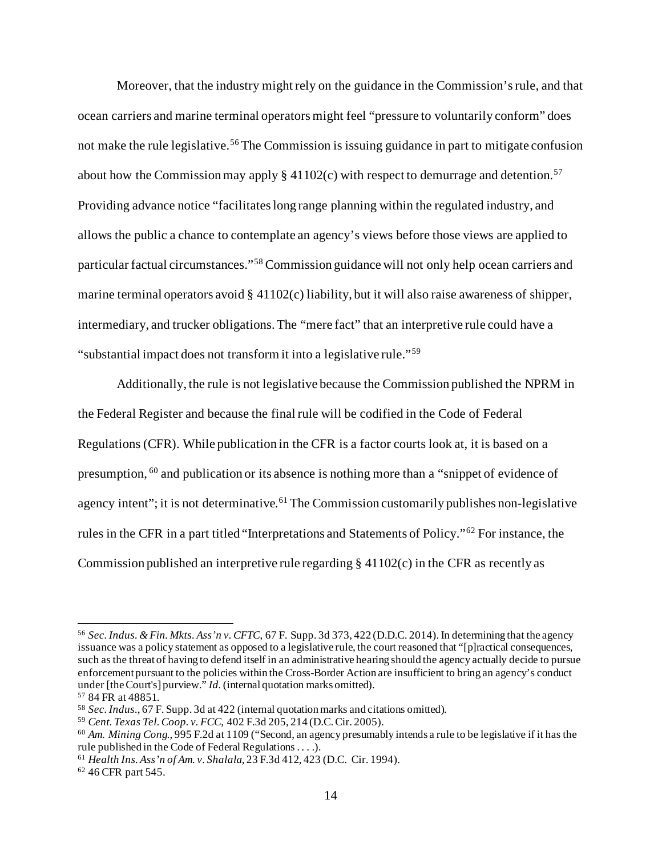Moreover, that the industry might rely on the guidance in the Commission's rule, and that ocean carriers and marine terminal operators might feel "pressure to voluntarily conform" does not make the rule legislative.<sup>[56](#page-13-0)</sup> The Commission is issuing guidance in part to mitigate confusion about how the Commission may apply  $\S 41102(c)$  with respect to demurrage and detention.<sup>[57](#page-13-1)</sup> Providing advance notice "facilitates long range planning within the regulated industry, and allows the public a chance to contemplate an agency's views before those views are applied to particular factual circumstances."[58](#page-13-2) Commission guidance will not only help ocean carriers and marine terminal operators avoid § 41102(c) liability, but it will also raise awareness of shipper, intermediary, and trucker obligations.The "mere fact" that an interpretive rule could have a "substantial impact does not transform it into a legislative rule."[59](#page-13-3)

Additionally, the rule is not legislative because the Commission published the NPRM in the Federal Register and because the final rule will be codified in the Code of Federal Regulations (CFR). While publication in the CFR is a factor courts look at, it is based on a presumption, [60](#page-13-4) and publication or its absence is nothing more than a "snippet of evidence of agency intent"; it is not determinative.<sup>[61](#page-13-5)</sup> The Commission customarily publishes non-legislative rules in the CFR in a part titled "Interpretations and Statements of Policy."[62](#page-13-6) For instance, the Commission published an interpretive rule regarding § 41102(c) in the CFR as recently as

<span id="page-13-6"></span><sup>62</sup> 46 CFR part 545.

<span id="page-13-0"></span><sup>56</sup> *Sec. Indus. & Fin. Mkts. Ass'n v. CFTC*, 67 F. Supp. 3d 373, 422 (D.D.C. 2014). In determining that the agency issuance was a policy statement as opposed to a legislative rule, the court reasoned that "[p]ractical consequences, such as the threat of having to defend itself in an administrative hearing should the agency actually decide to pursue enforcement pursuant to the policies within the Cross-Border Action are insufficient to bring an agency's conduct under [the Court's] purview." *Id.*(internal quotation marks omitted).

<span id="page-13-1"></span><sup>57</sup> 84 FR at 48851.

<span id="page-13-2"></span><sup>&</sup>lt;sup>58</sup> *Sec. Indus.*, 67 F. Supp. 3d at 422 (internal quotation marks and citations omitted).<br><sup>59</sup> *Cent. Texas Tel. Coop. v. FCC*, 402 F.3d 205, 214 (D.C. Cir. 2005).

<span id="page-13-3"></span>

<span id="page-13-4"></span><sup>&</sup>lt;sup>60</sup> Am. Mining Cong., 995 F.2d at 1109 ("Second, an agency presumably intends a rule to be legislative if it has the rule published in the Code of Federal Regulations . . . .).

<span id="page-13-5"></span><sup>61</sup> *Health Ins. Ass'n of Am. v. Shalala*, 23 F.3d 412, 423 (D.C. Cir. 1994).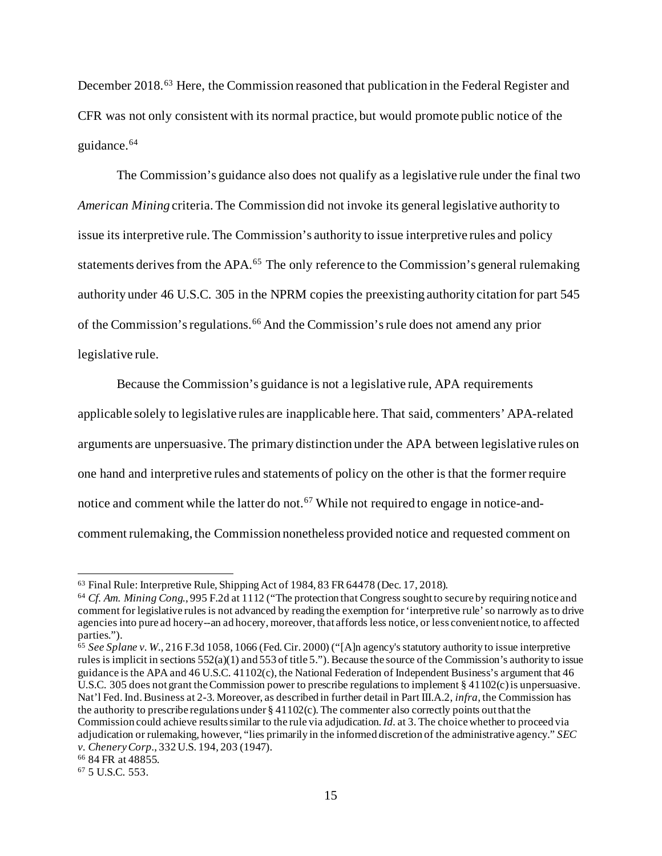December 2018.<sup>[63](#page-14-0)</sup> Here, the Commission reasoned that publication in the Federal Register and CFR was not only consistent with its normal practice, but would promote public notice of the guidance. [64](#page-14-1)

The Commission's guidance also does not qualify as a legislative rule under the final two *American Mining* criteria. The Commission did not invoke its general legislative authority to issue its interpretive rule. The Commission's authority to issue interpretive rules and policy statements derives from the APA.<sup>[65](#page-14-2)</sup> The only reference to the Commission's general rulemaking authority under 46 U.S.C. 305 in the NPRM copies the preexisting authority citation for part 545 of the Commission's regulations.[66](#page-14-3) And the Commission's rule does not amend any prior legislative rule.

Because the Commission's guidance is not a legislative rule, APA requirements applicable solely to legislative rules are inapplicable here. That said, commenters' APA-related arguments are unpersuasive.The primary distinction under the APA between legislative rules on one hand and interpretive rules and statements of policy on the other is that the former require notice and comment while the latter do not.<sup>[67](#page-14-4)</sup> While not required to engage in notice-andcomment rulemaking, the Commission nonetheless provided notice and requested comment on

<span id="page-14-0"></span><sup>63</sup> Final Rule: Interpretive Rule, Shipping Act of 1984, 83 FR 64478 (Dec. 17, 2018).

<span id="page-14-1"></span><sup>64</sup> *Cf. Am. Mining Cong.*, 995 F.2d at 1112 ("The protection that Congress sought to secure by requiring notice and comment for legislative rules is not advanced by reading the exemption for 'interpretive rule'so narrowly as to drive agencies into pure ad hocery--an ad hocery, moreover, that affords less notice, or less convenient notice, to affected parties.").

<span id="page-14-2"></span><sup>65</sup> *See Splane v. W.*, 216 F.3d 1058, 1066 (Fed. Cir. 2000) ("[A]n agency's statutory authority to issue interpretive rules is implicit in sections  $552(a)(1)$  and  $553$  of title 5."). Because the source of the Commission's authority to issue guidance is the APA and 46 U.S.C. 41102(c), the National Federation of Independent Business's argument that 46 U.S.C. 305 does not grant the Commission power to prescribe regulations to implement § 41102(c) is unpersuasive. Nat'l Fed. Ind. Business at 2-3. Moreover, as described in further detail in Part III.A.2, *infra*, the Commission has the authority to prescribe regulations under  $\S 41102(c)$ . The commenter also correctly points out that the Commission could achieve results similar to the rule via adjudication. *Id.* at 3. The choice whether to proceed via adjudication or rulemaking, however, "lies primarily in the informed discretion of the administrative agency." *SEC v. Chenery Corp.*, 332 U.S. 194, 203 (1947).<br><sup>66</sup> 84 FR at 48855.<br><sup>67</sup> 5 U.S.C. 553.

<span id="page-14-4"></span><span id="page-14-3"></span>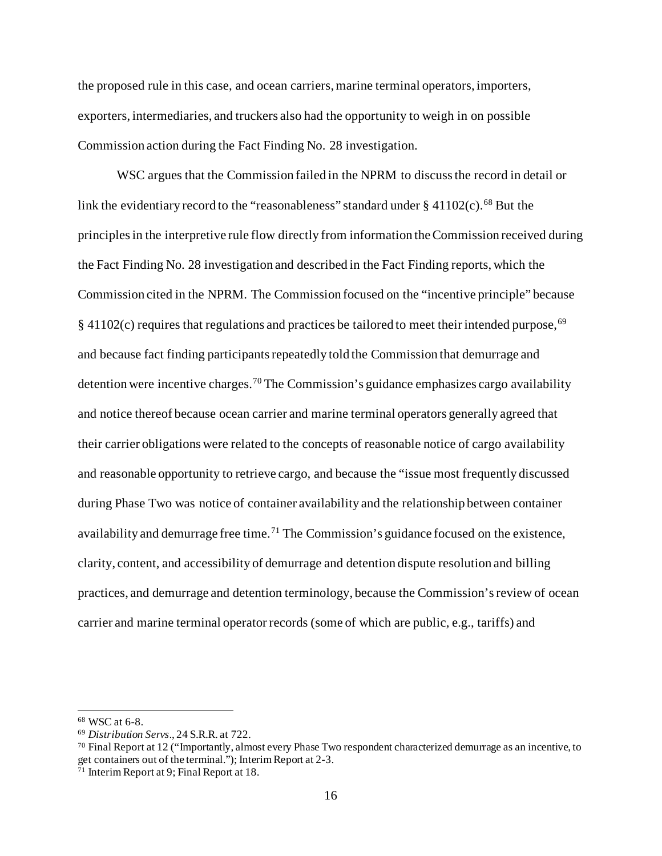the proposed rule in this case, and ocean carriers, marine terminal operators, importers, exporters, intermediaries, and truckers also had the opportunity to weigh in on possible Commission action during the Fact Finding No. 28 investigation.

WSC argues that the Commission failed in the NPRM to discuss the record in detail or link the evidentiary record to the "reasonableness" standard under  $\S$  41102(c).<sup>[68](#page-15-0)</sup> But the principles in the interpretive rule flow directly from information the Commission received during the Fact Finding No. 28 investigation and described in the Fact Finding reports, which the Commission cited in the NPRM. The Commission focused on the "incentive principle" because § 41102(c) requires that regulations and practices be tailored to meet their intended purpose,<sup>[69](#page-15-1)</sup> and because fact finding participants repeatedly told the Commission that demurrage and detention were incentive charges.[70](#page-15-2) The Commission's guidance emphasizes cargo availability and notice thereof because ocean carrier and marine terminal operators generally agreed that their carrier obligations were related to the concepts of reasonable notice of cargo availability and reasonable opportunity to retrieve cargo, and because the "issue most frequently discussed during Phase Two was notice of container availability and the relationship between container availability and demurrage free time.<sup>[71](#page-15-3)</sup> The Commission's guidance focused on the existence, clarity, content, and accessibility of demurrage and detention dispute resolution and billing practices, and demurrage and detention terminology, because the Commission's review of ocean carrier and marine terminal operator records (some of which are public, e.g., tariffs) and

<span id="page-15-0"></span><sup>68</sup> WSC at 6-8.

<span id="page-15-1"></span><sup>69</sup> *Distribution Servs*., 24 S.R.R. at 722.

<span id="page-15-2"></span> $70$  Final Report at 12 ("Importantly, almost every Phase Two respondent characterized demurrage as an incentive, to get containers out of the terminal."); Interim Report at 2-3.

<span id="page-15-3"></span><sup>71</sup> Interim Report at 9; Final Report at 18.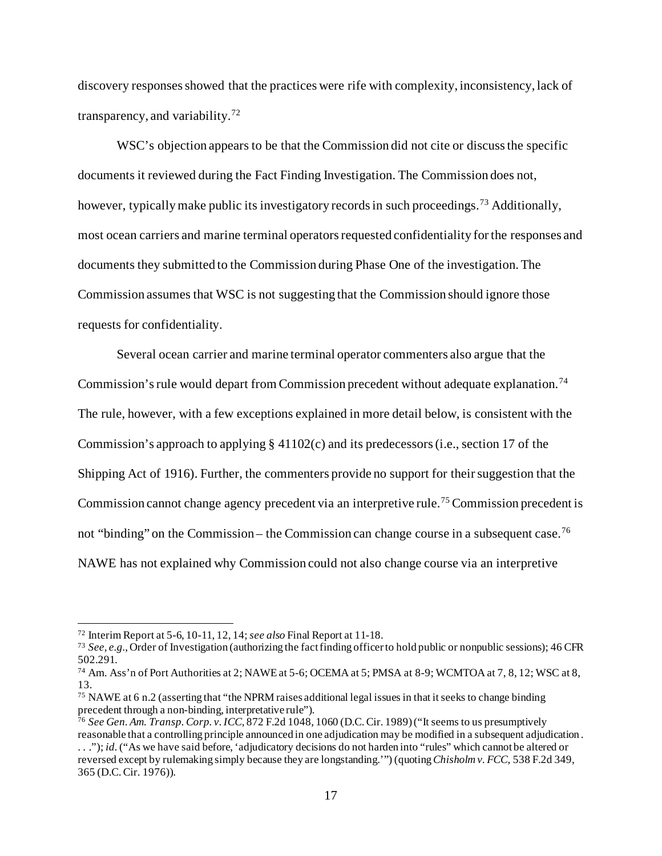discovery responses showed that the practices were rife with complexity, inconsistency, lack of transparency, and variability.<sup>[72](#page-16-0)</sup>

WSC's objection appears to be that the Commission did not cite or discuss the specific documents it reviewed during the Fact Finding Investigation. The Commission does not, however, typically make public its investigatory records in such proceedings.<sup>[73](#page-16-1)</sup> Additionally, most ocean carriers and marine terminal operators requested confidentiality for the responses and documents they submitted to the Commission during Phase One of the investigation. The Commission assumes that WSC is not suggesting that the Commission should ignore those requests for confidentiality.

Several ocean carrier and marine terminal operator commenters also argue that the Commission's rule would depart from Commission precedent without adequate explanation.<sup>[74](#page-16-2)</sup> The rule, however, with a few exceptions explained in more detail below, is consistent with the Commission's approach to applying § 41102(c) and its predecessors (i.e., section 17 of the Shipping Act of 1916). Further, the commenters provide no support for their suggestion that the Commission cannot change agency precedent via an interpretive rule.<sup>[75](#page-16-3)</sup> Commission precedent is not "binding" on the Commission – the Commission can change course in a subsequent case.[76](#page-16-4) NAWE has not explained why Commission could not also change course via an interpretive

<span id="page-16-0"></span><sup>72</sup> Interim Report at 5-6, 10-11, 12, 14; *see also* Final Report at 11-18.

<span id="page-16-1"></span><sup>73</sup> *See*, *e.g.*, Order of Investigation (authorizing the fact finding officer to hold public or nonpublic sessions); 46 CFR

<span id="page-16-2"></span><sup>&</sup>lt;sup>74</sup> Am. Ass'n of Port Authorities at 2; NAWE at 5-6; OCEMA at 5; PMSA at 8-9; WCMTOA at 7, 8, 12; WSC at 8, 13.

<span id="page-16-3"></span><sup>75</sup> NAWE at 6 n.2 (asserting that "the NPRM raises additional legal issues in that it seeks to change binding precedent through a non-binding, interpretative rule").

<span id="page-16-4"></span><sup>76</sup> *See Gen. Am. Transp. Corp. v. ICC*, 872 F.2d 1048, 1060 (D.C. Cir. 1989) ("It seems to us presumptively reasonable that a controlling principle announced in one adjudication may be modified in a subsequent adjudication .

<sup>. . .&</sup>quot;); *id.*("As we have said before, 'adjudicatory decisions do not harden into "rules" which cannot be altered or reversed except by rulemaking simply because they are longstanding.'") (quoting *Chisholm v. FCC*, 538 F.2d 349, 365 (D.C. Cir. 1976)).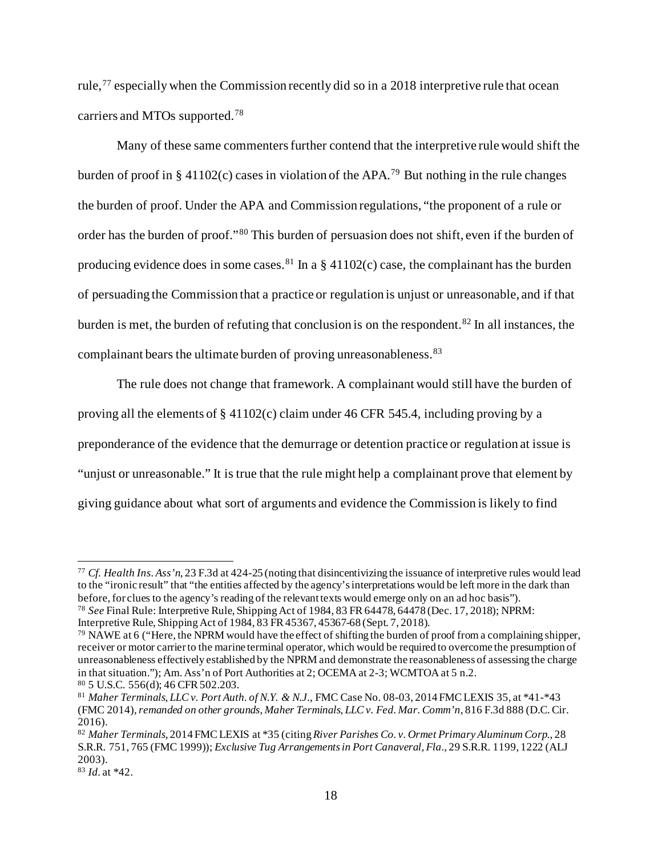rule,<sup>[77](#page-17-0)</sup> especially when the Commission recently did so in a 2018 interpretive rule that ocean carriers and MTOs supported.<sup>[78](#page-17-1)</sup>

Many of these same commenters further contend that the interpretive rule would shift the burden of proof in § 41102(c) cases in violation of the APA.<sup>[79](#page-17-2)</sup> But nothing in the rule changes the burden of proof. Under the APA and Commission regulations, "the proponent of a rule or order has the burden of proof."[80](#page-17-3) This burden of persuasion does not shift, even if the burden of producing evidence does in some cases.<sup>[81](#page-17-4)</sup> In a  $\S$  41102(c) case, the complainant has the burden of persuading the Commission that a practice or regulation is unjust or unreasonable, and if that burden is met, the burden of refuting that conclusion is on the respondent.<sup>[82](#page-17-5)</sup> In all instances, the complainant bears the ultimate burden of proving unreasonableness.<sup>[83](#page-17-6)</sup>

The rule does not change that framework. A complainant would still have the burden of proving all the elements of § 41102(c) claim under 46 CFR 545.4, including proving by a preponderance of the evidence that the demurrage or detention practice or regulation at issue is "unjust or unreasonable." It is true that the rule might help a complainant prove that element by giving guidance about what sort of arguments and evidence the Commission is likely to find

<span id="page-17-0"></span><sup>77</sup> *Cf. Health Ins. Ass'n*, 23 F.3d at 424-25 (noting that disincentivizing the issuance of interpretive rules would lead to the "ironic result" that "the entities affected by the agency's interpretations would be left more in the dark than before, for clues to the agency's reading of the relevant texts would emerge only on an ad hoc basis"). <sup>78</sup> *See* Final Rule: Interpretive Rule, Shipping Act of 1984, 83 FR 64478, 64478 (Dec. 17, 2018); NPRM:

<span id="page-17-1"></span>Interpretive Rule, Shipping Act of 1984, 83 FR 45367, 45367-68 (Sept. 7, 2018).

<span id="page-17-2"></span><sup>79</sup> NAWE at 6 ("Here, the NPRM would have the effect of shifting the burden of proof from a complaining shipper, receiver or motor carrier to the marine terminal operator, which would be required to overcome the presumption of unreasonableness effectively established by the NPRM and demonstrate the reasonableness of assessing the charge in that situation."); Am. Ass'n of Port Authorities at 2; OCEMA at 2-3; WCMTOA at 5 n.2. <sup>80</sup> 5 U.S.C. 556(d); 46 CFR 502.203.

<span id="page-17-4"></span><span id="page-17-3"></span><sup>81</sup> *Maher Terminals, LLC v. Port Auth. of N.Y. & N.J.*, FMC Case No. 08-03, 2014 FMC LEXIS 35, at \*41-\*43 (FMC 2014), *remanded on other grounds*, *Maher Terminals, LLC v. Fed. Mar. Comm'n*, 816 F.3d 888 (D.C. Cir. 2016).

<span id="page-17-5"></span><sup>82</sup> *Maher Terminals*, 2014 FMC LEXIS at \*35 (citing *River Parishes Co. v. Ormet Primary Aluminum Corp.*, 28 S.R.R. 751, 765 (FMC 1999)); *Exclusive Tug Arrangements in Port Canaveral, Fla.*, 29 S.R.R. 1199, 1222 (ALJ 2003). 83 *Id.* at \*42.

<span id="page-17-6"></span>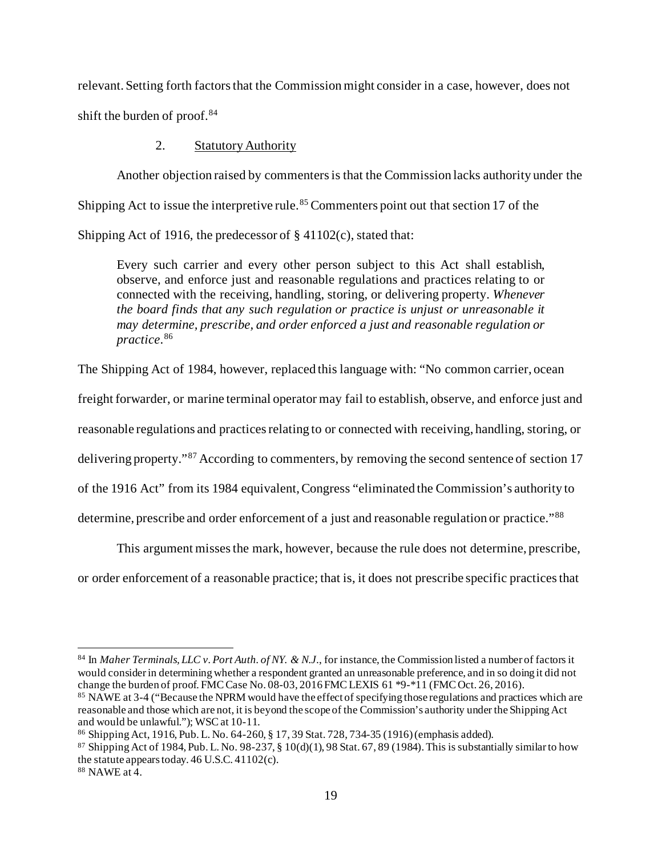relevant. Setting forth factors that the Commission might consider in a case, however, does not shift the burden of proof.[84](#page-18-0)

# 2. Statutory Authority

Another objection raised by commenters is that the Commission lacks authority under the Shipping Act to issue the interpretive rule.<sup>[85](#page-18-1)</sup> Commenters point out that section 17 of the Shipping Act of 1916, the predecessor of § 41102(c), stated that:

Every such carrier and every other person subject to this Act shall establish, observe, and enforce just and reasonable regulations and practices relating to or connected with the receiving, handling, storing, or delivering property. *Whenever the board finds that any such regulation or practice is unjust or unreasonable it may determine, prescribe, and order enforced a just and reasonable regulation or practice*. [86](#page-18-2)

The Shipping Act of 1984, however, replaced this language with: "No common carrier, ocean

freight forwarder, or marine terminal operator may fail to establish, observe, and enforce just and

reasonable regulations and practices relating to or connected with receiving, handling, storing, or

delivering property."[87](#page-18-3) According to commenters, by removing the second sentence of section 17

of the 1916 Act" from its 1984 equivalent, Congress "eliminated the Commission's authority to

determine, prescribe and order enforcement of a just and reasonable regulation or practice."<sup>[88](#page-18-4)</sup>

This argument misses the mark, however, because the rule does not determine, prescribe,

or order enforcement of a reasonable practice; that is, it does not prescribe specific practices that

<span id="page-18-0"></span><sup>84</sup> In *Maher Terminals, LLC v. Port Auth. of NY. & N.J.*, for instance, the Commission listed a number of factors it would consider in determining whether a respondent granted an unreasonable preference, and in so doing it did not change the burden of proof. FMC Case No. 08-03, 2016 FMC LEXIS 61 \*9-\*11 (FMC Oct. 26, 2016).

<span id="page-18-1"></span><sup>&</sup>lt;sup>85</sup> NAWE at 3-4 ("Because the NPRM would have the effect of specifying those regulations and practices which are reasonable and those which are not, it is beyond the scope of the Commission's authority under the Shipping Act and would be unlawful."); WSC at 10-11.

<span id="page-18-2"></span><sup>86</sup> Shipping Act, 1916, Pub. L. No. 64-260, § 17, 39 Stat. 728, 734-35 (1916) (emphasis added).

<span id="page-18-3"></span><sup>&</sup>lt;sup>87</sup> Shipping Act of 1984, Pub. L. No. 98-237, § 10(d)(1), 98 Stat. 67, 89 (1984). This is substantially similar to how the statute appears today. 46 U.S.C. 41102(c).

<span id="page-18-4"></span><sup>88</sup> NAWE at 4.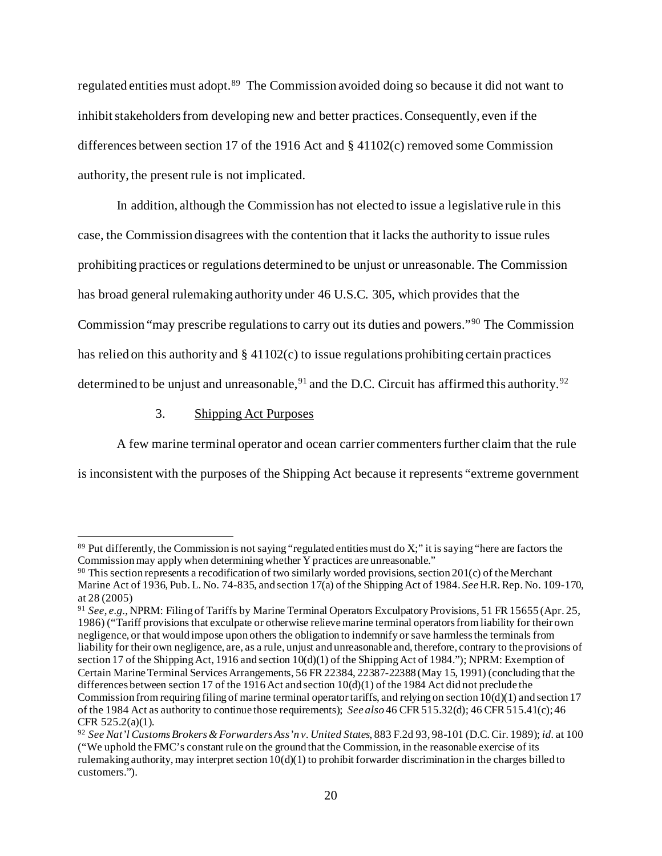regulated entities must adopt.[89](#page-19-0) The Commission avoided doing so because it did not want to inhibit stakeholders from developing new and better practices. Consequently, even if the differences between section 17 of the 1916 Act and  $\S 41102(c)$  removed some Commission authority, the present rule is not implicated.

In addition, although the Commission has not elected to issue a legislative rule in this case, the Commission disagrees with the contention that it lacks the authority to issue rules prohibiting practices or regulations determined to be unjust or unreasonable. The Commission has broad general rulemaking authority under 46 U.S.C. 305, which provides that the Commission "may prescribe regulations to carry out its duties and powers."[90](#page-19-1) The Commission has relied on this authority and  $\S$  41102(c) to issue regulations prohibiting certain practices determined to be unjust and unreasonable,  $91$  and the D.C. Circuit has affirmed this authority.  $92$ 

3. Shipping Act Purposes

A few marine terminal operator and ocean carrier commenters further claim that the rule is inconsistent with the purposes of the Shipping Act because it represents "extreme government

<span id="page-19-0"></span> $89$  Put differently, the Commission is not saying "regulated entities must do X;" it is saying "here are factors the Commission may apply when determining whether Y practices are unreasonable."

<span id="page-19-1"></span><sup>90</sup> This section represents a recodification of two similarly worded provisions, section 201(c) of the Merchant Marine Act of 1936, Pub. L. No. 74-835, and section 17(a) of the Shipping Act of 1984. *See* H.R. Rep. No. 109-170, at 28 (2005)

<span id="page-19-2"></span><sup>91</sup> *See*, *e.g.*, NPRM: Filing of Tariffs by Marine Terminal Operators Exculpatory Provisions, 51 FR15655 (Apr. 25, 1986) ("Tariff provisions that exculpate or otherwise relieve marine terminal operators from liability for their own negligence, or that would impose upon others the obligation to indemnify or save harmless the terminals from liability for their own negligence, are, as a rule, unjust and unreasonable and, therefore, contrary to the provisions of section 17 of the Shipping Act, 1916 and section 10(d)(1) of the Shipping Act of 1984."); NPRM: Exemption of Certain Marine Terminal Services Arrangements, 56 FR 22384, 22387-22388 (May 15, 1991) (concluding that the differences between section 17 of the 1916 Act and section 10(d)(1) of the 1984 Act did not preclude the Commission from requiring filing of marine terminal operator tariffs, and relying on section  $10(d)(1)$  and section 17 of the 1984 Act as authority to continue those requirements); *See also* 46 CFR 515.32(d); 46 CFR 515.41(c); 46 CFR 525.2(a)(1). 92 *See Nat'l Customs Brokers & Forwarders Ass'n v. United States*, 883 F.2d 93, 98-101 (D.C. Cir. 1989); *id.* at 100

<span id="page-19-3"></span><sup>(&</sup>quot;We uphold the FMC's constant rule on the ground that the Commission, in the reasonable exercise of its rulemaking authority, may interpret section  $10(d)(1)$  to prohibit forwarder discrimination in the charges billed to customers.").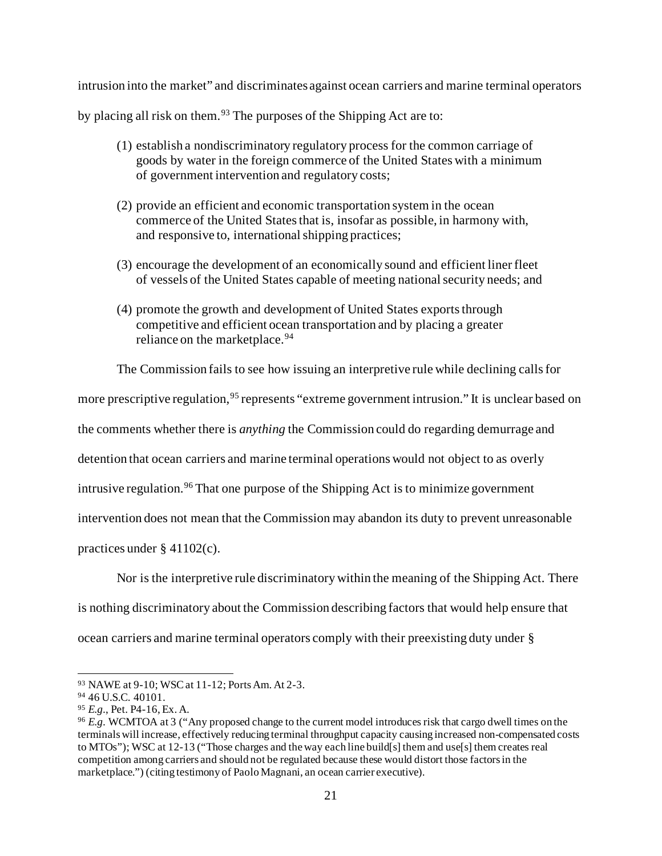intrusion into the market" and discriminates against ocean carriers and marine terminal operators

by placing all risk on them.<sup>[93](#page-20-0)</sup> The purposes of the Shipping Act are to:

- (1) establish a nondiscriminatory regulatory process for the common carriage of goods by water in the foreign commerce of the United States with a minimum of government intervention and regulatory costs;
- (2) provide an efficient and economic transportation system in the ocean commerce of the United States that is, insofar as possible, in harmony with, and responsive to, international shipping practices;
- (3) encourage the development of an economically sound and efficient liner fleet of vessels of the United States capable of meeting national security needs; and
- (4) promote the growth and development of United States exports through competitive and efficient ocean transportation and by placing a greater reliance on the marketplace.<sup>[94](#page-20-1)</sup>

The Commission fails to see how issuing an interpretive rule while declining calls for

more prescriptive regulation, <sup>[95](#page-20-2)</sup> represents "extreme government intrusion." It is unclear based on

the comments whether there is *anything* the Commission could do regarding demurrage and

detention that ocean carriers and marine terminal operations would not object to as overly

intrusive regulation. [96](#page-20-3) That one purpose of the Shipping Act is to minimize government

intervention does not mean that the Commission may abandon its duty to prevent unreasonable

practices under § 41102(c).

Nor is the interpretive rule discriminatory within the meaning of the Shipping Act. There

is nothing discriminatory about the Commission describing factors that would help ensure that

ocean carriers and marine terminal operators comply with their preexisting duty under §

<span id="page-20-0"></span><sup>93</sup> NAWE at 9-10; WSC at 11-12; Ports Am. At 2-3.

<span id="page-20-1"></span><sup>94</sup> 46 U.S.C. 40101.

<span id="page-20-2"></span><sup>95</sup> *E.g.*, Pet. P4-16, Ex. A.

<span id="page-20-3"></span><sup>96</sup> *E.g.* WCMTOA at 3 ("Any proposed change to the current model introduces risk that cargo dwell times on the terminals will increase, effectively reducing terminal throughput capacity causing increased non-compensated costs to MTOs"); WSC at 12-13 ("Those charges and the way each line build[s] them and use[s] them creates real competition among carriers and should not be regulated because these would distort those factors in the marketplace.") (citing testimony of Paolo Magnani, an ocean carrier executive).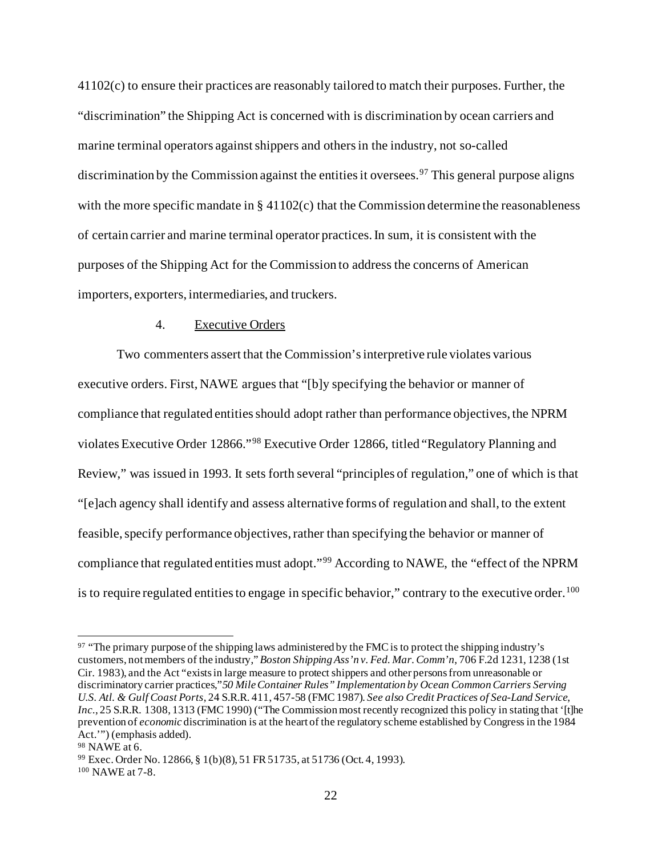41102(c) to ensure their practices are reasonably tailored to match their purposes. Further, the "discrimination" the Shipping Act is concerned with is discrimination by ocean carriers and marine terminal operators against shippers and othersin the industry, not so-called discrimination by the Commission against the entities it oversees.<sup>[97](#page-21-0)</sup> This general purpose aligns with the more specific mandate in  $\S$  41102(c) that the Commission determine the reasonableness of certain carrier and marine terminal operator practices. In sum, it is consistent with the purposes of the Shipping Act for the Commission to address the concerns of American importers, exporters, intermediaries, and truckers.

## 4. Executive Orders

Two commenters assert that the Commission's interpretive rule violates various executive orders. First, NAWE argues that "[b]y specifying the behavior or manner of compliance that regulated entities should adopt rather than performance objectives, the NPRM violates Executive Order 12866."[98](#page-21-1) Executive Order 12866, titled "Regulatory Planning and Review," was issued in 1993. It sets forth several "principles of regulation," one of which is that "[e]ach agency shall identify and assess alternative forms of regulation and shall, to the extent feasible, specify performance objectives, rather than specifying the behavior or manner of compliance that regulated entities must adopt."[99](#page-21-2) According to NAWE, the "effect of the NPRM is to require regulated entities to engage in specific behavior," contrary to the executive order.<sup>[100](#page-21-3)</sup>

<span id="page-21-0"></span><sup>&</sup>lt;sup>97</sup> "The primary purpose of the shipping laws administered by the FMC is to protect the shipping industry's customers, not members of the industry,"*Boston Shipping Ass'n v. Fed. Mar. Comm'n*, 706 F.2d 1231, 1238 (1st Cir. 1983), and the Act "exists in large measure to protect shippers and other persons from unreasonable or discriminatory carrier practices,"*50 Mile Container Rules" Implementation by Ocean Common Carriers Serving U.S. Atl. & Gulf Coast Ports*, 24 S.R.R. 411, 457-58 (FMC 1987). *See also Credit Practices of Sea-Land Service*, *Inc.*, 25 S.R.R. 1308, 1313 (FMC 1990) ("The Commission most recently recognized this policy in stating that '[t]he prevention of *economic* discrimination is at the heart of the regulatory scheme established by Congress in the 1984 Act.'") (emphasis added).

<span id="page-21-1"></span><sup>98</sup> NAWE at 6.

<span id="page-21-2"></span><sup>99</sup> Exec. Order No. 12866, § 1(b)(8), 51 FR 51735, at 51736 (Oct. 4, 1993).

<span id="page-21-3"></span><sup>100</sup> NAWE at 7-8.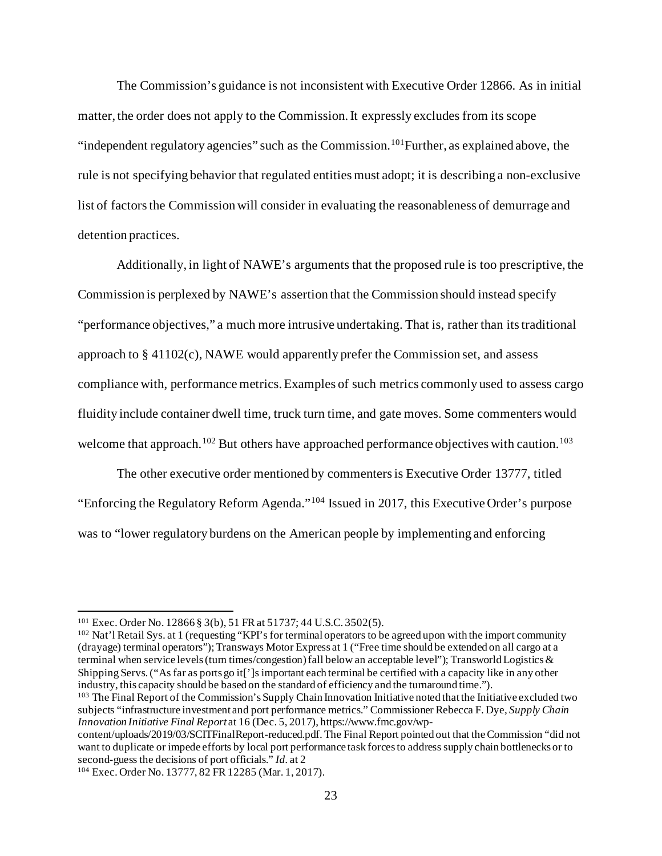The Commission's guidance is not inconsistent with Executive Order 12866. As in initial matter, the order does not apply to the Commission. It expressly excludes from its scope "independent regulatory agencies" such as the Commission.<sup>[101](#page-22-0)</sup> Further, as explained above, the rule is not specifying behavior that regulated entities must adopt; it is describing a non-exclusive list of factors the Commission will consider in evaluating the reasonableness of demurrage and detention practices.

Additionally, in light of NAWE's arguments that the proposed rule is too prescriptive, the Commission is perplexed by NAWE's assertion that the Commission should instead specify "performance objectives," a much more intrusive undertaking. That is, rather than its traditional approach to § 41102(c), NAWE would apparently prefer the Commission set, and assess compliance with, performance metrics. Examples of such metrics commonly used to assess cargo fluidity include container dwell time, truck turn time, and gate moves. Some commenters would welcome that approach.<sup>[102](#page-22-1)</sup> But others have approached performance objectives with caution.<sup>[103](#page-22-2)</sup>

The other executive order mentioned by commenters is Executive Order 13777, titled "Enforcing the Regulatory Reform Agenda."[104](#page-22-3) Issued in 2017, this Executive Order's purpose was to "lower regulatory burdens on the American people by implementing and enforcing

<span id="page-22-0"></span><sup>101</sup> Exec. Order No. 12866 § 3(b), 51 FR at 51737; 44 U.S.C. 3502(5).

<span id="page-22-1"></span><sup>&</sup>lt;sup>102</sup> Nat'l Retail Sys. at 1 (requesting "KPI's for terminal operators to be agreed upon with the import community (drayage) terminal operators"); Transways Motor Express at 1 ("Free time should be extended on all cargo at a terminal when service levels (turn times/congestion) fall below an acceptable level"); Transworld Logistics & Shipping Servs. ("As far as ports go it[']s important each terminal be certified with a capacity like in any other industry, this capacity should be based on the standard of efficiency and the turnaround time.").

<span id="page-22-2"></span><sup>&</sup>lt;sup>103</sup> The Final Report of the Commission's Supply Chain Innovation Initiative noted that the Initiative excluded two subjects "infrastructure investment and port performance metrics." Commissioner Rebecca F. Dye, *Supply Chain Innovation Initiative Final Report* at 16 (Dec. 5, 2017), https://www.fmc.gov/wp-

content/uploads/2019/03/SCITFinalReport-reduced.pdf. The Final Report pointed out that the Commission "did not want to duplicate or impede efforts by local port performance task forces to address supply chain bottlenecks or to second-guess the decisions of port officials." *Id.* at 2

<span id="page-22-3"></span><sup>104</sup> Exec. Order No. 13777, 82 FR 12285 (Mar. 1, 2017).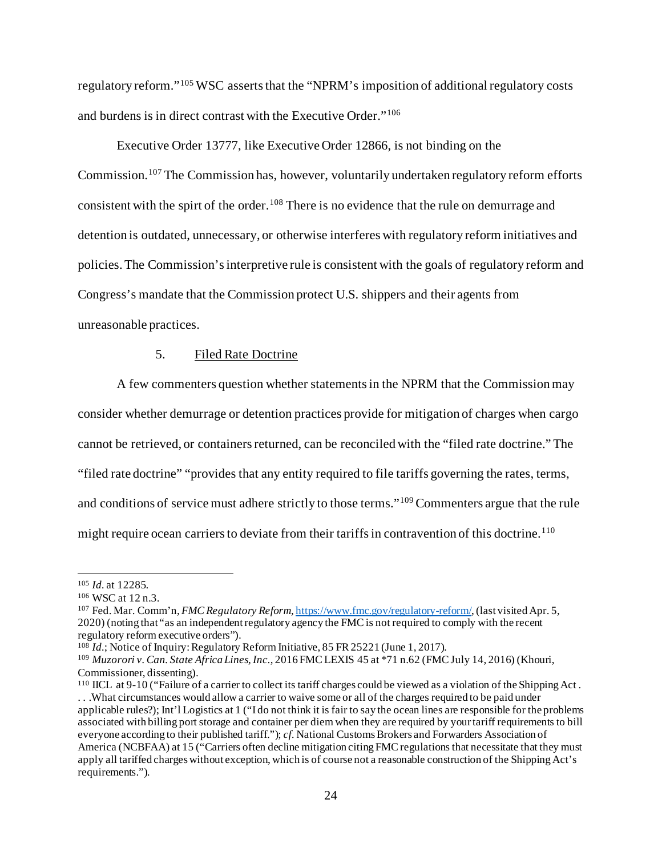regulatory reform."[105](#page-23-0) WSC asserts that the "NPRM's imposition of additional regulatory costs and burdens is in direct contrast with the Executive Order."[106](#page-23-1)

Executive Order 13777, like Executive Order 12866, is not binding on the Commission.[107](#page-23-2) The Commission has, however, voluntarily undertaken regulatory reform efforts consistent with the spirt of the order.<sup>[108](#page-23-3)</sup> There is no evidence that the rule on demurrage and detention is outdated, unnecessary, or otherwise interferes with regulatory reform initiatives and policies. The Commission's interpretive rule is consistent with the goals of regulatory reform and Congress's mandate that the Commission protect U.S. shippers and their agents from unreasonable practices.

## 5. Filed Rate Doctrine

A few commenters question whether statements in the NPRM that the Commission may

consider whether demurrage or detention practices provide for mitigation of charges when cargo

cannot be retrieved, or containers returned, can be reconciled with the "filed rate doctrine." The

"filed rate doctrine" "provides that any entity required to file tariffs governing the rates, terms,

and conditions of service must adhere strictly to those terms."[109](#page-23-4) Commenters argue that the rule

might require ocean carriers to deviate from their tariffs in contravention of this doctrine.<sup>[110](#page-23-5)</sup>

<span id="page-23-0"></span><sup>105</sup> *Id.* at 12285.

<span id="page-23-1"></span><sup>106</sup> WSC at 12 n.3.

<span id="page-23-2"></span><sup>107</sup> Fed. Mar. Comm'n, *FMC Regulatory Reform*[, https://www.fmc.gov/regulatory-reform/](https://www.fmc.gov/regulatory-reform/), (last visited Apr. 5, 2020) (noting that "as an independent regulatory agency the FMC is not required to comply with the recent regulatory reform executive orders").

<span id="page-23-3"></span><sup>&</sup>lt;sup>108</sup> *Id.*; Notice of Inquiry: Regulatory Reform Initiative, 85 FR 25221 (June 1, 2017).

<span id="page-23-4"></span><sup>109</sup> *Muzorori v. Can. State Africa Lines, Inc.*, 2016 FMC LEXIS 45 at \*71 n.62 (FMC July 14, 2016) (Khouri, Commissioner, dissenting).

<span id="page-23-5"></span><sup>110</sup> IICL at 9-10 ("Failure of a carrier to collect its tariff charges could be viewed as a violation of the Shipping Act . . . .What circumstances would allow a carrier to waive some or all of the charges required to be paid under

applicable rules?); Int'l Logistics at 1 ("I do not think it is fair to say the ocean lines are responsible for the problems associated with billing port storage and container per diem when they are required by your tariff requirements to bill everyone according to their published tariff."); *cf.* National Customs Brokers and Forwarders Association of America (NCBFAA) at 15 ("Carriers often decline mitigation citing FMC regulations that necessitate that they must apply all tariffed charges without exception, which is of course not a reasonable construction of the Shipping Act's requirements.").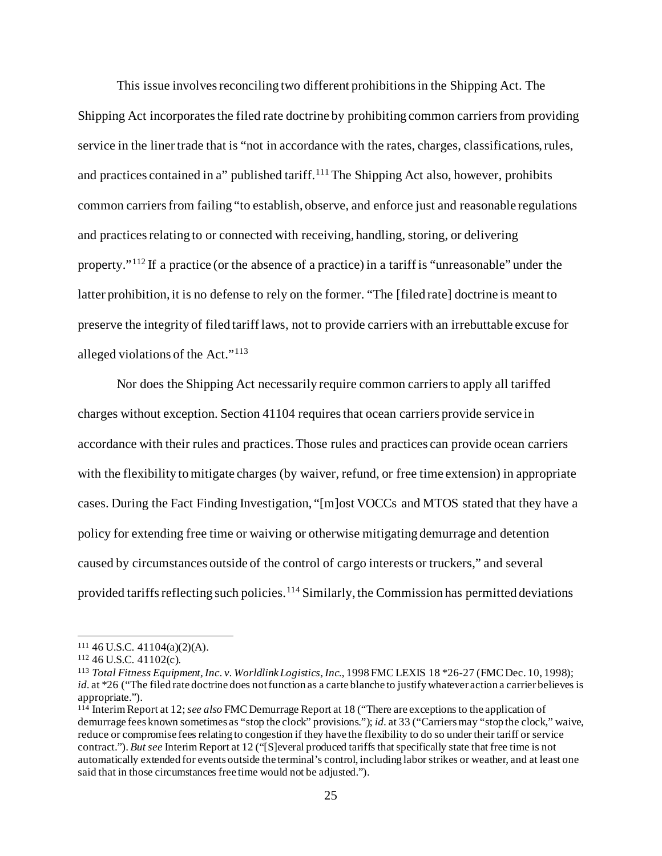This issue involves reconciling two different prohibitions in the Shipping Act. The Shipping Act incorporates the filed rate doctrine by prohibiting common carriers from providing service in the liner trade that is "not in accordance with the rates, charges, classifications, rules, and practices contained in a" published tariff.<sup>[111](#page-24-0)</sup> The Shipping Act also, however, prohibits common carriers from failing "to establish, observe, and enforce just and reasonable regulations and practices relating to or connected with receiving, handling, storing, or delivering property."[112](#page-24-1) If a practice (or the absence of a practice) in a tariff is "unreasonable" under the latter prohibition, it is no defense to rely on the former. "The [filed rate] doctrine is meant to preserve the integrity of filed tariff laws, not to provide carriers with an irrebuttable excuse for alleged violations of the Act."[113](#page-24-2)

Nor does the Shipping Act necessarily require common carriers to apply all tariffed charges without exception. Section 41104 requires that ocean carriers provide service in accordance with their rules and practices. Those rules and practices can provide ocean carriers with the flexibility to mitigate charges (by waiver, refund, or free time extension) in appropriate cases. During the Fact Finding Investigation, "[m]ost VOCCs and MTOS stated that they have a policy for extending free time or waiving or otherwise mitigating demurrage and detention caused by circumstances outside of the control of cargo interests or truckers," and several provided tariffs reflecting such policies.<sup>[114](#page-24-3)</sup> Similarly, the Commission has permitted deviations

<span id="page-24-1"></span><span id="page-24-0"></span><sup>111</sup> 46 U.S.C. 41104(a)(2)(A). 112 46 U.S.C. 41102(c).

<span id="page-24-2"></span><sup>113</sup> *Total Fitness Equipment, Inc. v. Worldlink Logistics, Inc.*, 1998 FMC LEXIS 18 \*26-27 (FMC Dec. 10, 1998); *id.* at \*26 ("The filed rate doctrine does not function as a carte blanche to justify whatever action a carrier believes is appropriate.").

<span id="page-24-3"></span><sup>114</sup> Interim Report at 12; *see also* FMC Demurrage Report at 18 ("There are exceptions to the application of demurrage fees known sometimes as "stop the clock" provisions."); *id.* at 33 ("Carriers may "stop the clock," waive, reduce or compromise fees relating to congestion if they have the flexibility to do so under their tariff or service contract."). *But see* Interim Report at 12 ("[S]everal produced tariffs that specifically state that free time is not automatically extended for events outside the terminal's control, including labor strikes or weather, and at least one said that in those circumstances free time would not be adjusted.").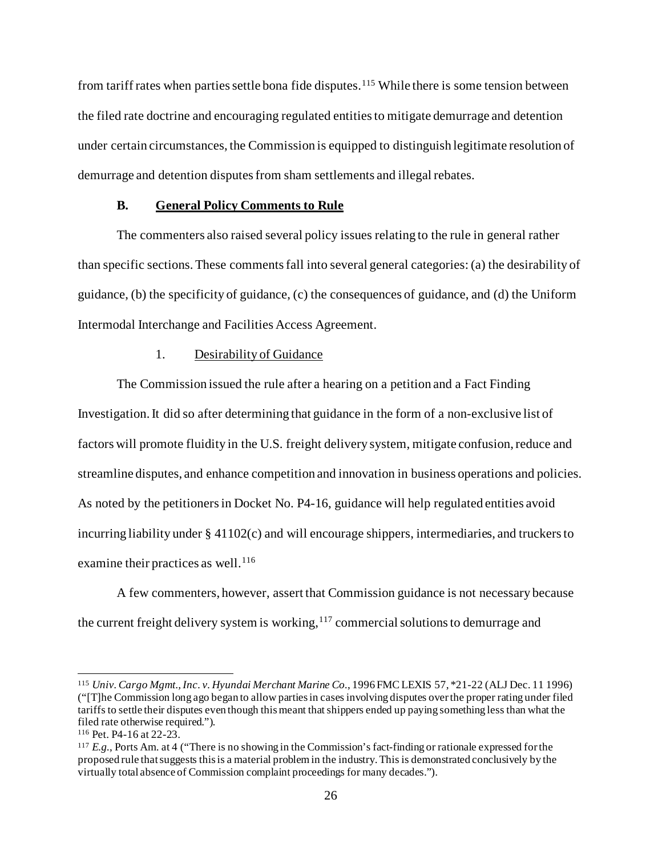from tariff rates when parties settle bona fide disputes.<sup>[115](#page-25-0)</sup> While there is some tension between the filed rate doctrine and encouraging regulated entities to mitigate demurrage and detention under certain circumstances, the Commission is equipped to distinguish legitimate resolution of demurrage and detention disputes from sham settlements and illegal rebates.

# **B. General Policy Comments to Rule**

The commenters also raised several policy issues relating to the rule in general rather than specific sections. These comments fall into several general categories: (a) the desirability of guidance, (b) the specificity of guidance, (c) the consequences of guidance, and (d) the Uniform Intermodal Interchange and Facilities Access Agreement.

### 1. Desirability of Guidance

The Commission issued the rule after a hearing on a petition and a Fact Finding Investigation. It did so after determining that guidance in the form of a non-exclusive list of factors will promote fluidity in the U.S. freight delivery system, mitigate confusion, reduce and streamline disputes, and enhance competition and innovation in business operations and policies. As noted by the petitioners in Docket No. P4-16, guidance will help regulated entities avoid incurring liability under § 41102(c) and will encourage shippers, intermediaries, and truckers to examine their practices as well.<sup>[116](#page-25-1)</sup>

A few commenters, however, assert that Commission guidance is not necessary because the current freight delivery system is working, $117$  commercial solutions to demurrage and

<span id="page-25-0"></span><sup>115</sup> *Univ. Cargo Mgmt., Inc. v. Hyundai Merchant Marine Co.*, 1996 FMC LEXIS 57, \*21-22 (ALJ Dec. 11 1996) ("[T]he Commission long ago began to allow parties in cases involving disputes over the proper rating under filed tariffs to settle their disputes even though this meant that shippers ended up paying something less than what the filed rate otherwise required.").

<span id="page-25-1"></span><sup>116</sup> Pet. P4-16 at 22-23.

<span id="page-25-2"></span><sup>117</sup> *E.g.*, Ports Am. at 4 ("There is no showing in the Commission's fact-finding or rationale expressed for the proposed rule that suggests this is a material problem in the industry. This is demonstrated conclusively by the virtually total absence of Commission complaint proceedings for many decades.").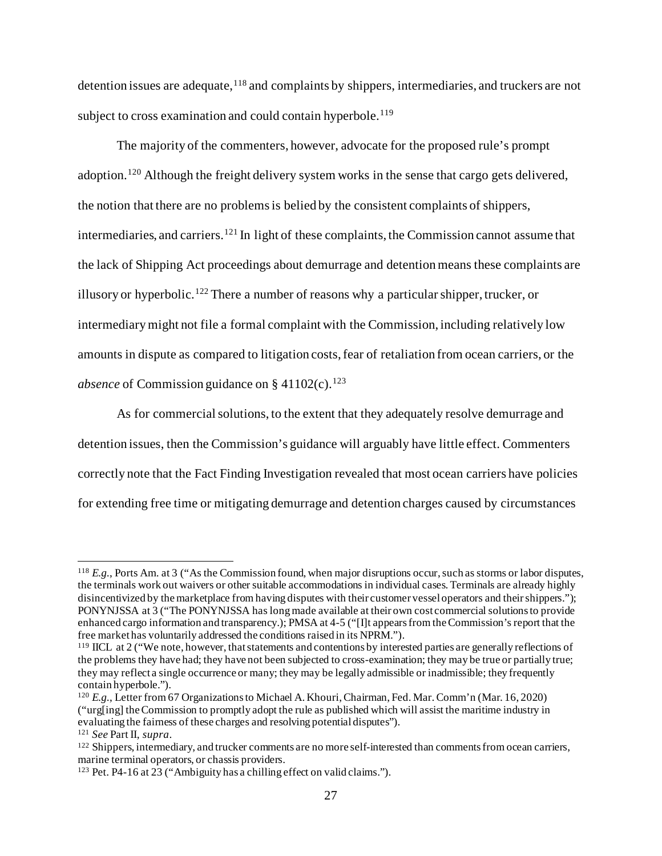detention issues are adequate, <sup>[118](#page-26-0)</sup> and complaints by shippers, intermediaries, and truckers are not subject to cross examination and could contain hyperbole.<sup>[119](#page-26-1)</sup>

The majority of the commenters, however, advocate for the proposed rule's prompt adoption.<sup>[120](#page-26-2)</sup> Although the freight delivery system works in the sense that cargo gets delivered, the notion that there are no problems is belied by the consistent complaints of shippers, intermediaries, and carriers.<sup>[121](#page-26-3)</sup> In light of these complaints, the Commission cannot assume that the lack of Shipping Act proceedings about demurrage and detentionmeans these complaints are illusory or hyperbolic.<sup>[122](#page-26-4)</sup> There a number of reasons why a particular shipper, trucker, or intermediary might not file a formal complaint with the Commission, including relatively low amounts in dispute as compared to litigation costs, fear of retaliation from ocean carriers, or the *absence* of Commission guidance on  $\S$  41102(c).<sup>[123](#page-26-5)</sup>

As for commercial solutions, to the extent that they adequately resolve demurrage and detention issues, then the Commission's guidance will arguably have little effect. Commenters correctly note that the Fact Finding Investigation revealed that most ocean carriers have policies for extending free time or mitigating demurrage and detention charges caused by circumstances

<span id="page-26-0"></span><sup>118</sup> *E.g.*, Ports Am. at 3 ("As the Commission found, when major disruptions occur, such as storms or labor disputes, the terminals work out waivers or other suitable accommodations in individual cases. Terminals are already highly disincentivized by the marketplace from having disputes with their customer vessel operators and their shippers."); PONYNJSSA at 3 ("The PONYNJSSA has long made available at their own cost commercial solutions to provide enhanced cargo information and transparency.); PMSA at 4-5 ("[I]t appears from the Commission's report that the free market has voluntarily addressed the conditions raised in its NPRM.").

<span id="page-26-1"></span><sup>119</sup> IICL at 2 ("We note, however, that statements and contentions by interested parties are generally reflections of the problems they have had; they have not been subjected to cross-examination; they may be true or partially true; they may reflect a single occurrence or many; they may be legally admissible or inadmissible; they frequently contain hyperbole.").

<span id="page-26-2"></span><sup>120</sup> *E.g.*, Letter from 67 Organizationsto Michael A. Khouri, Chairman, Fed. Mar. Comm'n (Mar. 16, 2020) ("urg[ing] the Commission to promptly adopt the rule as published which will assist the maritime industry in evaluating the fairness of these charges and resolving potential disputes"). 121 *See* Part II, *supra*.

<span id="page-26-3"></span>

<span id="page-26-4"></span><sup>&</sup>lt;sup>122</sup> Shippers, intermediary, and trucker comments are no more self-interested than comments from ocean carriers, marine terminal operators, or chassis providers.

<span id="page-26-5"></span><sup>123</sup> Pet. P4-16 at 23 ("Ambiguity has a chilling effect on valid claims.").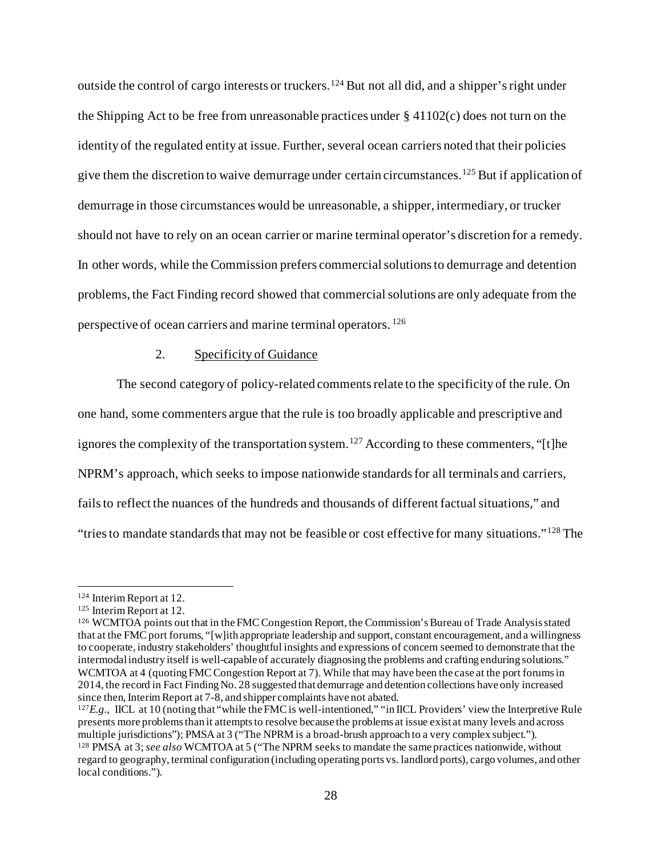outside the control of cargo interests or truckers.<sup>[124](#page-27-0)</sup> But not all did, and a shipper's right under the Shipping Act to be free from unreasonable practices under  $\S 41102(c)$  does not turn on the identity of the regulated entity at issue. Further, several ocean carriers noted that their policies give them the discretion to waive demurrage under certain circumstances.<sup>[125](#page-27-1)</sup> But if application of demurrage in those circumstances would be unreasonable, a shipper, intermediary, or trucker should not have to rely on an ocean carrier or marine terminal operator's discretion for a remedy. In other words, while the Commission prefers commercial solutions to demurrage and detention problems, the Fact Finding record showed that commercial solutions are only adequate from the perspective of ocean carriers and marine terminal operators. [126](#page-27-2)

# 2. Specificity of Guidance

The second category of policy-related comments relate to the specificity of the rule. On one hand, some commenters argue that the rule is too broadly applicable and prescriptive and ignores the complexity of the transportation system.<sup>[127](#page-27-3)</sup> According to these commenters, "[t]he NPRM's approach, which seeks to impose nationwide standards for all terminals and carriers, fails to reflect the nuances of the hundreds and thousands of different factual situations," and "tries to mandate standards that may not be feasible or cost effective for many situations."[128](#page-27-4) The

<span id="page-27-0"></span><sup>124</sup> Interim Report at 12.

<span id="page-27-1"></span><sup>125</sup> Interim Report at 12.

<span id="page-27-2"></span><sup>126</sup> WCMTOA points out that in the FMC Congestion Report, the Commission's Bureau of Trade Analysis stated that at the FMC port forums, "[w]ith appropriate leadership and support, constant encouragement, and a willingness to cooperate, industry stakeholders' thoughtful insights and expressions of concern seemed to demonstrate that the intermodal industry itself is well-capable of accurately diagnosing the problems and crafting enduring solutions." WCMTOA at 4 (quoting FMC Congestion Report at 7). While that may have been the case at the port forums in 2014, the record in Fact Finding No. 28 suggested that demurrage and detention collections have only increased since then, Interim Report at 7-8, and shipper complaints have not abated.

<span id="page-27-3"></span> $^{127}E.g.,$  IICL at 10 (noting that "while the FMC is well-intentioned," "in IICL Providers' view the Interpretive Rule presents more problems than it attempts to resolve because the problems at issue exist at many levels and across multiple jurisdictions"); PMSA at 3 ("The NPRM is a broad-brush approach to a very complex subject."). <sup>128</sup> PMSA at 3; *see also* WCMTOA at 5 ("The NPRM seeks to mandate the same practices nationwide, without

<span id="page-27-4"></span>regard to geography, terminal configuration (including operating ports vs. landlord ports), cargo volumes, and other local conditions.").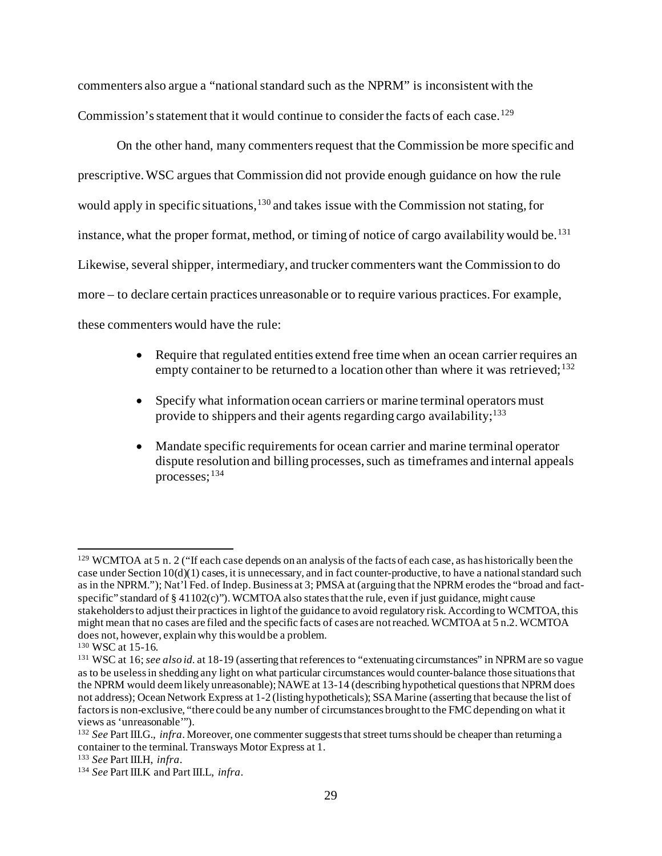commenters also argue a "national standard such as the NPRM" is inconsistent with the Commission's statement that it would continue to consider the facts of each case.<sup>[129](#page-28-0)</sup>

On the other hand, many commenters request that the Commission be more specific and prescriptive. WSC argues that Commission did not provide enough guidance on how the rule would apply in specific situations, <sup>[130](#page-28-1)</sup> and takes issue with the Commission not stating, for instance, what the proper format, method, or timing of notice of cargo availability would be.<sup>[131](#page-28-2)</sup> Likewise, several shipper, intermediary, and trucker commenters want the Commission to do more – to declare certain practices unreasonable or to require various practices. For example, these commenters would have the rule:

- Require that regulated entities extend free time when an ocean carrier requires an empty container to be returned to a location other than where it was retrieved;<sup>[132](#page-28-3)</sup>
- Specify what information ocean carriers or marine terminal operators must provide to shippers and their agents regarding cargo availability;  $133$
- Mandate specific requirements for ocean carrier and marine terminal operator dispute resolution and billing processes, such as timeframes and internal appeals processes;[134](#page-28-5)

<span id="page-28-0"></span><sup>&</sup>lt;sup>129</sup> WCMTOA at 5 n. 2 ("If each case depends on an analysis of the facts of each case, as has historically been the case under Section  $10(d)(1)$  cases, it is unnecessary, and in fact counter-productive, to have a national standard such as in the NPRM."); Nat'l Fed. of Indep. Business at 3; PMSA at (arguing that the NPRM erodes the "broad and factspecific" standard of  $\S 41102(c)$ "). WCMTOA also states that the rule, even if just guidance, might cause stakeholders to adjust their practices in light of the guidance to avoid regulatory risk. According to WCMTOA, this might mean that no cases are filed and the specific facts of cases are not reached. WCMTOA at 5 n.2. WCMTOA does not, however, explain why this would be a problem.

<span id="page-28-1"></span><sup>130</sup> WSC at 15-16.

<span id="page-28-2"></span><sup>131</sup> WSC at 16; *see also id.* at 18-19 (asserting that references to "extenuating circumstances" in NPRM are so vague as to be useless in shedding any light on what particular circumstances would counter-balance those situations that the NPRM would deem likely unreasonable); NAWE at 13-14 (describing hypothetical questions that NPRM does not address); Ocean Network Express at 1-2 (listing hypotheticals); SSA Marine (asserting that because the list of factors is non-exclusive, "there could be any number of circumstances brought to the FMC depending on what it views as 'unreasonable'").

<span id="page-28-3"></span><sup>132</sup> *See* Part III.G., *infra*. Moreover, one commenter suggests that street turns should be cheaper than returning a container to the terminal. Transways Motor Express at 1.

<span id="page-28-5"></span><span id="page-28-4"></span><sup>133</sup> *See* Part III.H, *infra*. 134 *See* Part III.K and Part III.L, *infra*.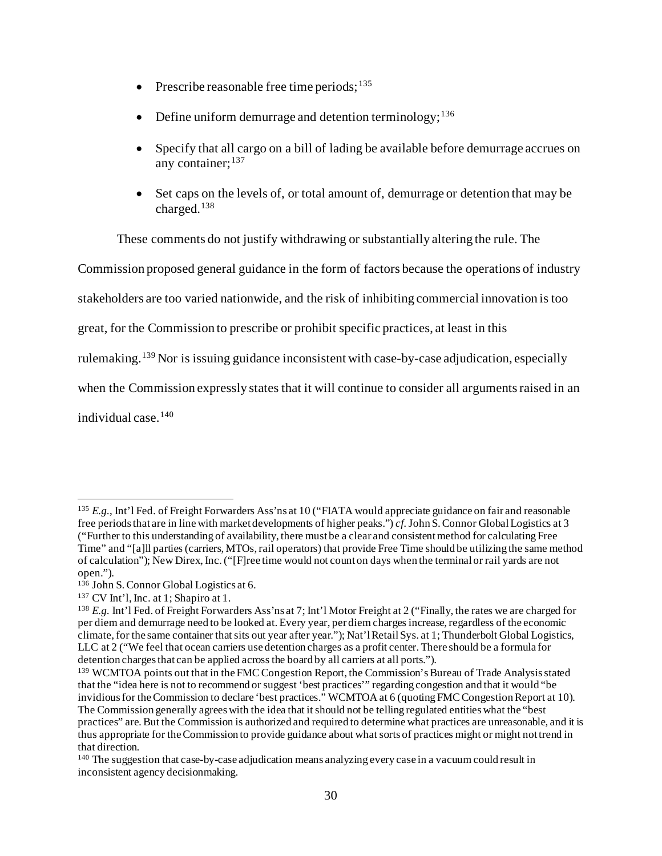- Prescribe reasonable free time periods; $135$
- Define uniform demurrage and detention terminology;<sup>[136](#page-29-1)</sup>
- Specify that all cargo on a bill of lading be available before demurrage accrues on any container: [137](#page-29-2)
- Set caps on the levels of, or total amount of, demurrage or detention that may be charged. [138](#page-29-3)

These comments do not justify withdrawing or substantially altering the rule. The

Commission proposed general guidance in the form of factors because the operations of industry

stakeholders are too varied nationwide, and the risk of inhibiting commercial innovation is too

great, for the Commission to prescribe or prohibit specific practices, at least in this

rulemaking. [139](#page-29-4) Nor is issuing guidance inconsistent with case-by-case adjudication, especially

when the Commission expressly states that it will continue to consider all arguments raised in an

individual case.<sup>[140](#page-29-5)</sup>

<span id="page-29-0"></span><sup>&</sup>lt;sup>135</sup> *E.g.*, Int'l Fed. of Freight Forwarders Ass'ns at 10 ("FIATA would appreciate guidance on fair and reasonable free periods that are in line with market developments of higher peaks.") *cf.*John S. Connor Global Logistics at 3 ("Further to this understanding of availability, there must be a clear and consistent method for calculating Free Time" and "[a]ll parties (carriers, MTOs, rail operators) that provide Free Time should be utilizing the same method of calculation"); New Direx, Inc. ("[F]ree time would not count on days when the terminal or rail yards are not open.").

<span id="page-29-1"></span><sup>136</sup> John S. Connor Global Logistics at 6.

<span id="page-29-2"></span><sup>137</sup> CV Int'l, Inc. at 1; Shapiro at 1.

<span id="page-29-3"></span><sup>138</sup> *E.g.* Int'l Fed. of Freight Forwarders Ass'ns at 7; Int'l Motor Freight at 2 ("Finally, the rates we are charged for per diem and demurrage need to be looked at. Every year, per diem charges increase, regardless of the economic climate, for the same container that sits out year after year."); Nat'l Retail Sys. at 1; Thunderbolt Global Logistics, LLC at 2 ("We feel that ocean carriers use detention charges as a profit center. There should be a formula for detention charges that can be applied across the board by all carriers at all ports.").

<span id="page-29-4"></span><sup>&</sup>lt;sup>139</sup> WCMTOA points out that in the FMC Congestion Report, the Commission's Bureau of Trade Analysis stated that the "idea here is not to recommend or suggest 'best practices'" regarding congestion and that it would "be invidious for the Commission to declare 'best practices." WCMTOA at 6 (quoting FMC Congestion Report at 10). The Commission generally agrees with the idea that it should not be telling regulated entities what the "best practices" are. But the Commission is authorized and required to determine what practices are unreasonable, and it is thus appropriate for the Commission to provide guidance about what sorts of practices might or might not trend in that direction.

<span id="page-29-5"></span><sup>140</sup> The suggestion that case-by-case adjudication means analyzing every case in a vacuum could result in inconsistent agency decisionmaking.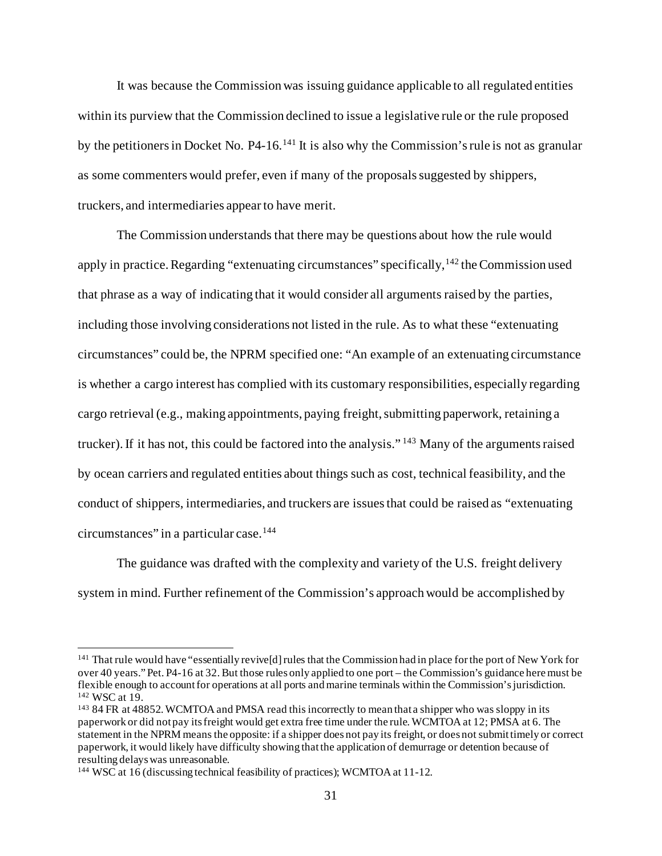It was because the Commission was issuing guidance applicable to all regulated entities within its purview that the Commission declined to issue a legislative rule or the rule proposed by the petitioners in Docket No. P4-16.<sup>[141](#page-30-0)</sup> It is also why the Commission's rule is not as granular as some commenters would prefer, even if many of the proposals suggested by shippers, truckers, and intermediaries appear to have merit.

The Commission understands that there may be questions about how the rule would apply in practice. Regarding "extenuating circumstances" specifically,  $^{142}$  $^{142}$  $^{142}$  the Commission used that phrase as a way of indicating that it would consider all arguments raised by the parties, including those involving considerations not listed in the rule. As to what these "extenuating circumstances" could be, the NPRM specified one: "An example of an extenuating circumstance is whether a cargo interest has complied with its customary responsibilities, especially regarding cargo retrieval (e.g., making appointments, paying freight, submitting paperwork, retaining a trucker).If it has not, this could be factored into the analysis." [143](#page-30-2) Many of the arguments raised by ocean carriers and regulated entities about things such as cost, technical feasibility, and the conduct of shippers, intermediaries, and truckers are issues that could be raised as "extenuating circumstances" in a particular case.[144](#page-30-3)

The guidance was drafted with the complexity and variety of the U.S. freight delivery system in mind. Further refinement of the Commission's approach would be accomplished by

<span id="page-30-0"></span><sup>&</sup>lt;sup>141</sup> That rule would have "essentially revive[d] rules that the Commission had in place for the port of New York for over 40 years." Pet. P4-16 at 32. But those rules only applied to one port – the Commission's guidance here must be flexible enough to account for operations at all ports and marine terminals within the Commission's jurisdiction. 142 WSC at 19.

<span id="page-30-2"></span><span id="page-30-1"></span><sup>&</sup>lt;sup>143</sup> 84 FR at 48852. WCMTOA and PMSA read this incorrectly to mean that a shipper who was sloppy in its paperwork or did not pay its freight would get extra free time under the rule. WCMTOA at 12; PMSA at 6. The statement in the NPRM means the opposite: if a shipper does not pay its freight, or does not submit timely or correct paperwork, it would likely have difficulty showing that the application of demurrage or detention because of resulting delays was unreasonable.

<span id="page-30-3"></span><sup>144</sup> WSC at 16 (discussing technical feasibility of practices); WCMTOA at 11-12.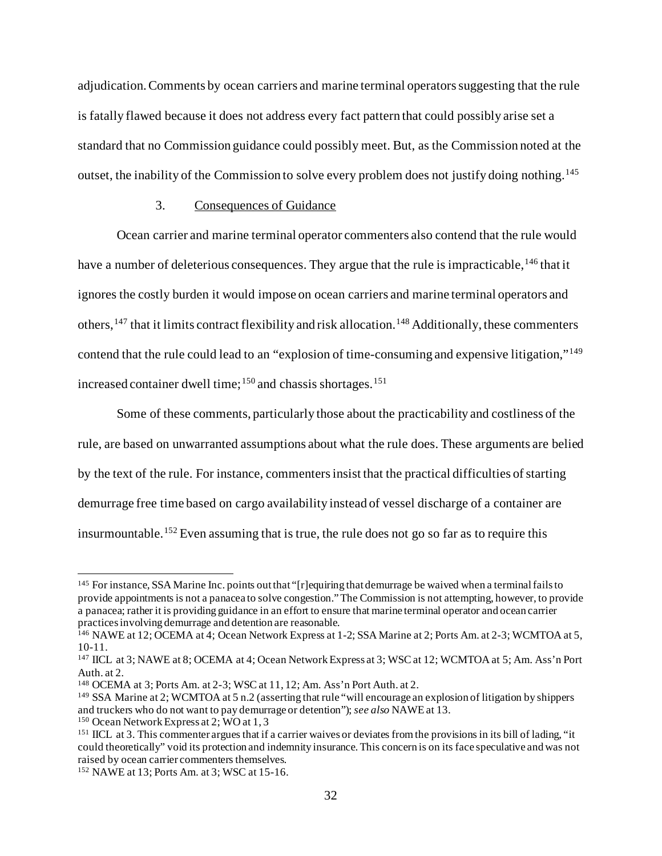adjudication. Comments by ocean carriers and marine terminal operators suggesting that the rule is fatally flawed because it does not address every fact pattern that could possibly arise set a standard that no Commission guidance could possibly meet. But, as the Commission noted at the outset, the inability of the Commission to solve every problem does not justify doing nothing.<sup>[145](#page-31-0)</sup>

# 3. Consequences of Guidance

Ocean carrier and marine terminal operator commenters also contend that the rule would have a number of deleterious consequences. They argue that the rule is impracticable, <sup>[146](#page-31-1)</sup> that it ignores the costly burden it would impose on ocean carriers and marine terminal operators and others, <sup>[147](#page-31-2)</sup> that it limits contract flexibility and risk allocation. <sup>[148](#page-31-3)</sup> Additionally, these commenters contend that the rule could lead to an "explosion of time-consuming and expensive litigation,"[149](#page-31-4) increased container dwell time; [150](#page-31-5) and chassis shortages. [151](#page-31-6)

Some of these comments, particularly those about the practicability and costliness of the rule, are based on unwarranted assumptions about what the rule does. These arguments are belied by the text of the rule. For instance, commenters insist that the practical difficulties of starting demurrage free time based on cargo availability instead of vessel discharge of a container are insurmountable.[152](#page-31-7) Even assuming that is true, the rule does not go so far as to require this

<span id="page-31-0"></span><sup>145</sup> For instance, SSA Marine Inc. points out that "[r]equiring that demurrage be waived when a terminal fails to provide appointments is not a panacea to solve congestion." The Commission is not attempting, however, to provide a panacea; rather it is providing guidance in an effort to ensure that marine terminal operator and ocean carrier practices involving demurrage and detention are reasonable.

<span id="page-31-1"></span><sup>&</sup>lt;sup>146</sup> NAWE at 12; OCEMA at 4; Ocean Network Express at 1-2; SSA Marine at 2; Ports Am. at 2-3; WCMTOA at 5, 10-11.

<span id="page-31-2"></span><sup>147</sup> IICL at 3; NAWE at 8; OCEMA at 4; Ocean Network Express at 3; WSC at 12; WCMTOA at 5; Am. Ass'n Port Auth. at 2.

<span id="page-31-3"></span><sup>148</sup> OCEMA at 3; Ports Am. at 2-3; WSC at 11, 12; Am. Ass'n Port Auth. at 2.

<span id="page-31-4"></span><sup>149</sup> SSA Marine at 2; WCMTOA at 5 n.2 (asserting that rule "will encourage an explosion of litigation by shippers and truckers who do not want to pay demurrage or detention"); *see also* NAWE at 13.

<span id="page-31-5"></span><sup>150</sup> Ocean Network Express at 2; WO at 1, 3

<span id="page-31-6"></span><sup>&</sup>lt;sup>151</sup> IICL at 3. This commenter argues that if a carrier waives or deviates from the provisions in its bill of lading, "it could theoretically" void its protection and indemnity insurance. This concern is on its face speculative and was not raised by ocean carrier commenters themselves.

<span id="page-31-7"></span><sup>152</sup> NAWE at 13; Ports Am. at 3; WSC at 15-16.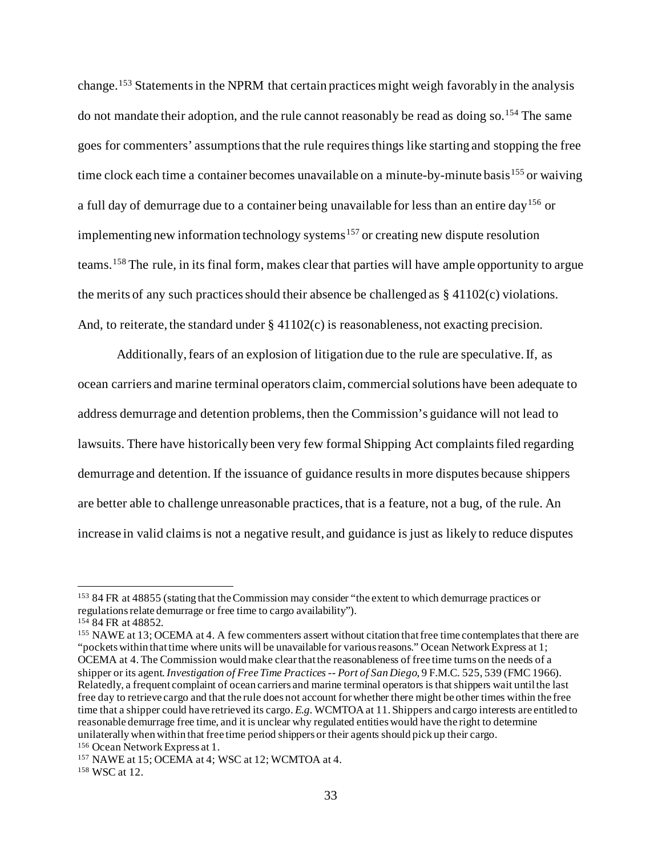change. [153](#page-32-0) Statements in the NPRM that certain practices might weigh favorably in the analysis do not mandate their adoption, and the rule cannot reasonably be read as doing so. [154](#page-32-1) The same goes for commenters' assumptionsthat the rule requires things like starting and stopping the free time clock each time a container becomes unavailable on a minute-by-minute basis<sup>[155](#page-32-2)</sup> or waiving a full day of demurrage due to a container being unavailable for less than an entire day<sup>[156](#page-32-3)</sup> or implementing new information technology systems<sup>[157](#page-32-4)</sup> or creating new dispute resolution teams. <sup>[158](#page-32-5)</sup> The rule, in its final form, makes clear that parties will have ample opportunity to argue the merits of any such practices should their absence be challenged as § 41102(c) violations. And, to reiterate, the standard under  $\S 41102(c)$  is reasonableness, not exacting precision.

Additionally, fears of an explosion of litigation due to the rule are speculative. If, as ocean carriers and marine terminal operators claim, commercial solutions have been adequate to address demurrage and detention problems, then the Commission's guidance will not lead to lawsuits. There have historically been very few formal Shipping Act complaints filed regarding demurrage and detention. If the issuance of guidance results in more disputes because shippers are better able to challenge unreasonable practices, that is a feature, not a bug, of the rule. An increase in valid claims is not a negative result, and guidance is just as likely to reduce disputes

<span id="page-32-0"></span><sup>153</sup> 84 FR at 48855 (stating that the Commission may consider "the extent to which demurrage practices or regulations relate demurrage or free time to cargo availability").

<span id="page-32-1"></span><sup>154</sup> 84 FR at 48852.

<span id="page-32-2"></span><sup>155</sup> NAWE at 13; OCEMA at 4. A few commenters assert without citation that free time contemplates that there are "pockets within that time where units will be unavailable for various reasons." Ocean Network Express at 1; OCEMA at 4. The Commission would make clear that the reasonableness of free time turns on the needs of a shipper or its agent. *Investigation of Free Time Practices -- Port of San Diego*, 9 F.M.C. 525, 539 (FMC 1966). Relatedly, a frequent complaint of ocean carriers and marine terminal operators is that shippers wait until the last free day to retrieve cargo and that the rule does not account for whether there might be other times within the free time that a shipper could have retrieved its cargo. *E.g.* WCMTOA at 11. Shippers and cargo interests are entitled to reasonable demurrage free time, and it is unclear why regulated entities would have the right to determine unilaterally when within that free time period shippers or their agents should pick up their cargo.

<span id="page-32-3"></span><sup>156</sup> Ocean Network Express at 1.

<span id="page-32-4"></span><sup>157</sup> NAWE at 15; OCEMA at 4; WSC at 12; WCMTOA at 4.

<span id="page-32-5"></span><sup>158</sup> WSC at 12.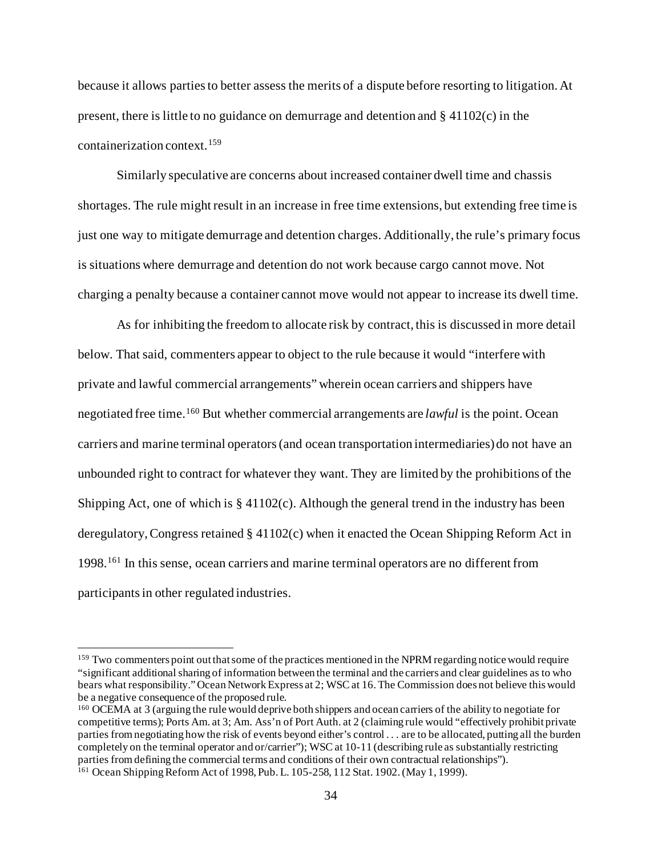because it allows parties to better assess the merits of a dispute before resorting to litigation. At present, there is little to no guidance on demurrage and detention and  $\S$  41102(c) in the containerization context.[159](#page-33-0)

Similarly speculative are concerns about increased container dwell time and chassis shortages. The rule might result in an increase in free time extensions, but extending free time is just one way to mitigate demurrage and detention charges. Additionally, the rule's primary focus is situations where demurrage and detention do not work because cargo cannot move. Not charging a penalty because a container cannot move would not appear to increase its dwell time.

As for inhibiting the freedom to allocate risk by contract, this is discussed in more detail below. That said, commenters appear to object to the rule because it would "interfere with private and lawful commercial arrangements" wherein ocean carriers and shippers have negotiated free time. [160](#page-33-1) But whether commercial arrangements are *lawful* is the point. Ocean carriers and marine terminal operators (and ocean transportation intermediaries) do not have an unbounded right to contract for whatever they want. They are limited by the prohibitions of the Shipping Act, one of which is  $\S 41102(c)$ . Although the general trend in the industry has been deregulatory, Congress retained § 41102(c) when it enacted the Ocean Shipping Reform Act in 1998.[161](#page-33-2) In this sense, ocean carriers and marine terminal operators are no different from participants in other regulated industries.

<span id="page-33-0"></span><sup>&</sup>lt;sup>159</sup> Two commenters point out that some of the practices mentioned in the NPRM regarding notice would require "significant additional sharing of information between the terminal and the carriers and clear guidelines as to who bears what responsibility." Ocean Network Express at 2; WSC at 16. The Commission does not believe this would be a negative consequence of the proposed rule.

<span id="page-33-2"></span><span id="page-33-1"></span><sup>160</sup> OCEMA at 3 (arguing the rule would deprive both shippers and ocean carriers of the ability to negotiate for competitive terms); Ports Am. at 3; Am. Ass'n of Port Auth. at 2 (claiming rule would "effectively prohibit private parties from negotiating how the risk of events beyond either's control . . . are to be allocated, putting all the burden completely on the terminal operator and or/carrier"); WSC at 10-11 (describing rule as substantially restricting parties from defining the commercial terms and conditions of their own contractual relationships"). <sup>161</sup> Ocean Shipping Reform Act of 1998, Pub. L. 105-258, 112 Stat. 1902. (May 1, 1999).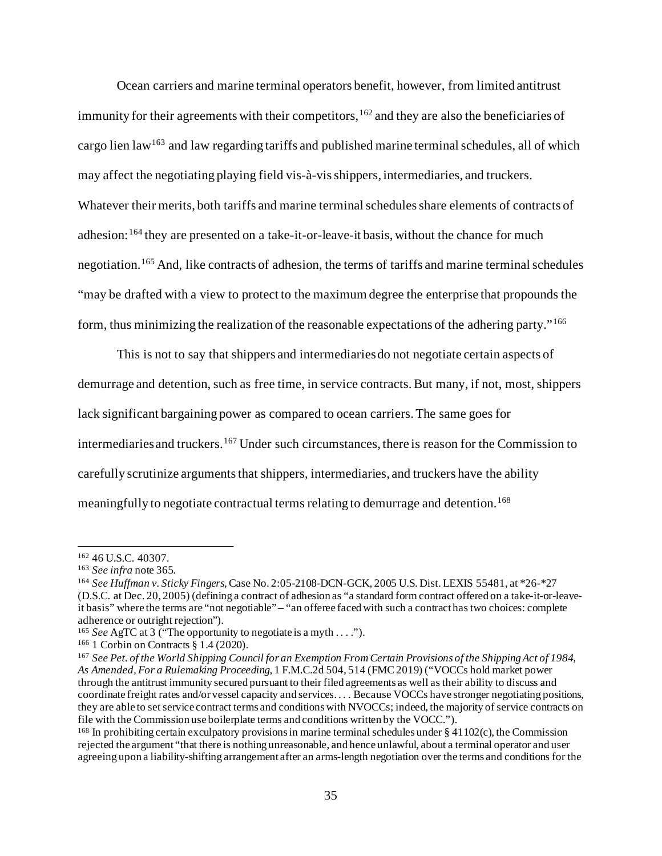Ocean carriers and marine terminal operators benefit, however, from limited antitrust immunity for their agreements with their competitors, [162](#page-34-0) and they are also the beneficiaries of cargo lien law<sup>163</sup> and law regarding tariffs and published marine terminal schedules, all of which may affect the negotiating playing field vis-à-vis shippers, intermediaries, and truckers. Whatever their merits, both tariffs and marine terminal schedules share elements of contracts of adhesion:<sup>[164](#page-34-2)</sup> they are presented on a take-it-or-leave-it basis, without the chance for much negotiation.[165](#page-34-3) And, like contracts of adhesion, the terms of tariffs and marine terminal schedules "may be drafted with a view to protect to the maximum degree the enterprise that propounds the form, thus minimizing the realization of the reasonable expectations of the adhering party."[166](#page-34-4)

This is not to say that shippers and intermediaries do not negotiate certain aspects of demurrage and detention, such as free time, in service contracts.But many, if not, most, shippers lack significant bargaining power as compared to ocean carriers. The same goes for intermediaries and truckers.<sup>[167](#page-34-5)</sup> Under such circumstances, there is reason for the Commission to carefully scrutinize arguments that shippers, intermediaries, and truckers have the ability meaningfully to negotiate contractual terms relating to demurrage and detention.<sup>[168](#page-34-6)</sup>

<span id="page-34-1"></span><span id="page-34-0"></span><sup>&</sup>lt;sup>162</sup> 46 U.S.C. 40307.<br><sup>163</sup> See infra note 365.

<span id="page-34-2"></span><sup>&</sup>lt;sup>164</sup> See Huffman v. Sticky Fingers, Case No. 2:05-2108-DCN-GCK, 2005 U.S. Dist. LEXIS 55481, at \*26-\*27 (D.S.C. at Dec. 20, 2005) (defining a contract of adhesion as "a standard form contract offered on a take-it-or-leaveit basis" where the terms are "not negotiable" – "an offeree faced with such a contract has two choices: complete adherence or outright rejection").

<span id="page-34-3"></span><sup>165</sup> *See* AgTC at 3 ("The opportunity to negotiate is a myth . . . .").

<span id="page-34-4"></span><sup>166</sup> 1 Corbin on Contracts § 1.4 (2020).

<span id="page-34-5"></span><sup>167</sup> *See Pet. of the World Shipping Council for an Exemption From Certain Provisions of the Shipping Act of 1984, As Amended, For a Rulemaking Proceeding*, 1 F.M.C.2d 504, 514 (FMC 2019) ("VOCCs hold market power through the antitrust immunity secured pursuant to their filed agreements as well as their ability to discuss and coordinate freight rates and/or vessel capacity and services. . . . Because VOCCs have stronger negotiating positions, they are able to set service contract terms and conditions with NVOCCs; indeed, the majority of service contracts on file with the Commission use boilerplate terms and conditions written by the VOCC.").

<span id="page-34-6"></span><sup>168</sup> In prohibiting certain exculpatory provisions in marine terminal schedules under § 41102(c), the Commission rejected the argument "that there is nothing unreasonable, and hence unlawful, about a terminal operator and user agreeing upon a liability-shifting arrangement after an arms-length negotiation over the terms and conditions for the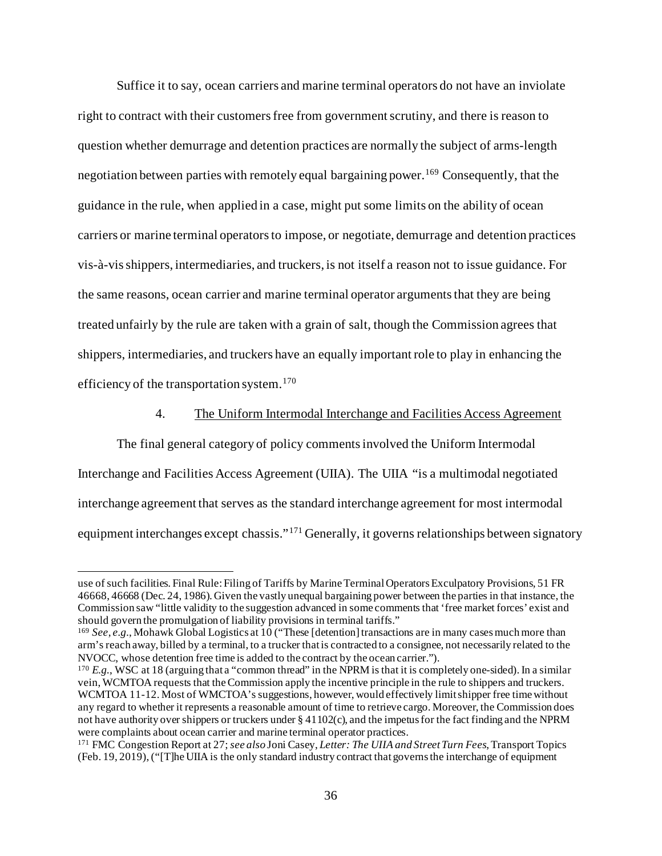Suffice it to say, ocean carriers and marine terminal operators do not have an inviolate right to contract with their customers free from government scrutiny, and there is reason to question whether demurrage and detention practices are normally the subject of arms-length negotiation between parties with remotely equal bargaining power.<sup>[169](#page-35-0)</sup> Consequently, that the guidance in the rule, when applied in a case, might put some limits on the ability of ocean carriers or marine terminal operators to impose, or negotiate, demurrage and detention practices vis-à-vis shippers, intermediaries, and truckers, is not itself a reason not to issue guidance. For the same reasons, ocean carrier and marine terminal operator arguments that they are being treated unfairly by the rule are taken with a grain of salt, though the Commission agrees that shippers, intermediaries, and truckers have an equally important role to play in enhancing the efficiency of the transportation system.<sup>[170](#page-35-1)</sup>

#### 4. The Uniform Intermodal Interchange and Facilities Access Agreement

The final general category of policy comments involved the Uniform Intermodal Interchange and Facilities Access Agreement (UIIA). The UIIA "is a multimodal negotiated interchange agreement that serves as the standard interchange agreement for most intermodal equipment interchanges except chassis."<sup>[171](#page-35-2)</sup> Generally, it governs relationships between signatory

use of such facilities. Final Rule: Filing of Tariffs by Marine Terminal Operators Exculpatory Provisions, 51 FR 46668, 46668 (Dec. 24, 1986). Given the vastly unequal bargaining power between the parties in that instance, the Commission saw "little validity to the suggestion advanced in some comments that 'free market forces' exist and should govern the promulgation of liability provisions in terminal tariffs."

<span id="page-35-0"></span><sup>169</sup> *See*, *e.g.*, Mohawk Global Logistics at 10 ("These [detention] transactions are in many cases much more than arm's reach away, billed by a terminal, to a trucker that is contracted to a consignee, not necessarily related to the NVOCC, whose detention free time is added to the contract by the ocean carrier.").

<span id="page-35-1"></span><sup>&</sup>lt;sup>170</sup> *E.g.*, WSC at 18 (arguing that a "common thread" in the NPRM is that it is completely one-sided). In a similar vein, WCMTOA requests that the Commission apply the incentive principle in the rule to shippers and truckers. WCMTOA 11-12. Most of WMCTOA's suggestions, however, would effectively limit shipper free time without any regard to whether it represents a reasonable amount of time to retrieve cargo. Moreover, the Commission does not have authority over shippers or truckers under § 41102(c), and the impetus for the fact finding and the NPRM were complaints about ocean carrier and marine terminal operator practices.

<span id="page-35-2"></span><sup>171</sup> FMC Congestion Report at 27; *see also* Joni Casey, *Letter: The UIIA and Street Turn Fees*, Transport Topics (Feb. 19, 2019), ("[T]he UIIA is the only standard industry contract that governs the interchange of equipment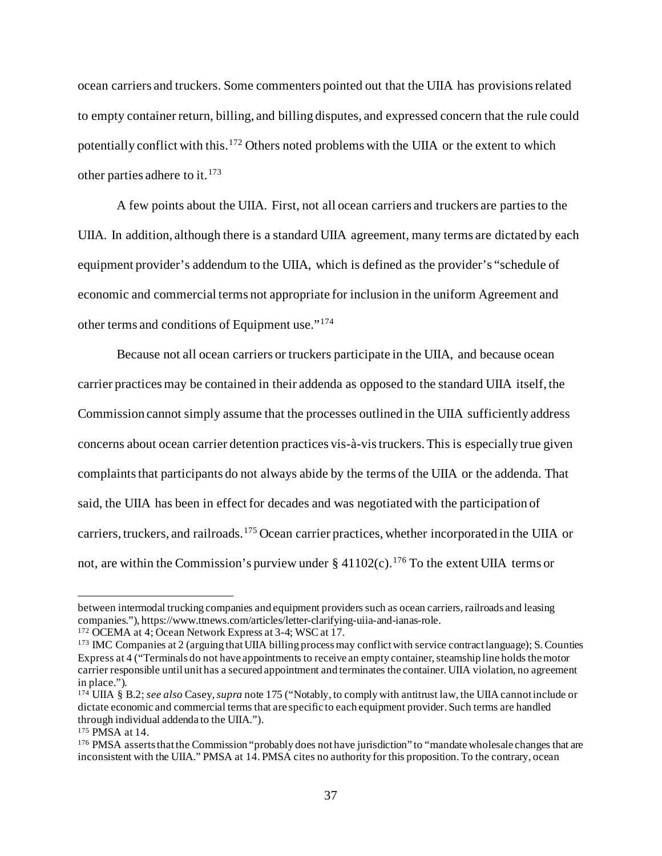ocean carriers and truckers. Some commenters pointed out that the UIIA has provisions related to empty container return, billing, and billing disputes, and expressed concern that the rule could potentially conflict with this.<sup>[172](#page-36-0)</sup> Others noted problems with the UIIA or the extent to which other parties adhere to it.[173](#page-36-1)

A few points about the UIIA. First, not all ocean carriers and truckers are parties to the UIIA. In addition, although there is a standard UIIA agreement, many terms are dictated by each equipment provider's addendum to the UIIA, which is defined as the provider's "schedule of economic and commercial terms not appropriate for inclusion in the uniform Agreement and other terms and conditions of Equipment use."[174](#page-36-2)

Because not all ocean carriers or truckers participate in the UIIA, and because ocean carrier practices may be contained in their addenda as opposed to the standard UIIA itself, the Commission cannot simply assume that the processes outlined in the UIIA sufficiently address concerns about ocean carrier detention practices vis-à-vis truckers.This is especially true given complaints that participants do not always abide by the terms of the UIIA or the addenda. That said, the UIIA has been in effect for decades and was negotiated with the participation of carriers, truckers, and railroads.[175](#page-36-3) Ocean carrier practices, whether incorporated in the UIIA or not, are within the Commission's purview under  $\S 41102(c)$ .<sup>[176](#page-36-4)</sup> To the extent UIIA terms or

between intermodal trucking companies and equipment providers such as ocean carriers, railroads and leasing companies."), https://www.ttnews.com/articles/letter-clarifying-uiia-and-ianas-role.

<span id="page-36-0"></span><sup>172</sup> OCEMA at 4; Ocean Network Express at 3-4; WSC at 17.

<span id="page-36-1"></span><sup>173</sup> IMC Companies at 2 (arguing that UIIA billing process may conflict with service contract language); S. Counties Express at 4 ("Terminals do not have appointments to receive an empty container, steamship line holds the motor carrier responsible until unit has a secured appointment and terminates the container. UIIA violation, no agreement in place.").

<span id="page-36-2"></span><sup>174</sup> UIIA § B.2; *see also* Casey, *supra* note 175 ("Notably, to comply with antitrust law, the UIIA cannot include or dictate economic and commercial terms that are specific to each equipment provider. Such terms are handled through individual addenda to the UIIA.").

<span id="page-36-3"></span><sup>175</sup> PMSA at 14.

<span id="page-36-4"></span><sup>176</sup> PMSA asserts that the Commission "probably does not have jurisdiction" to "mandate wholesale changes that are inconsistent with the UIIA." PMSA at 14. PMSA cites no authority for this proposition. To the contrary, ocean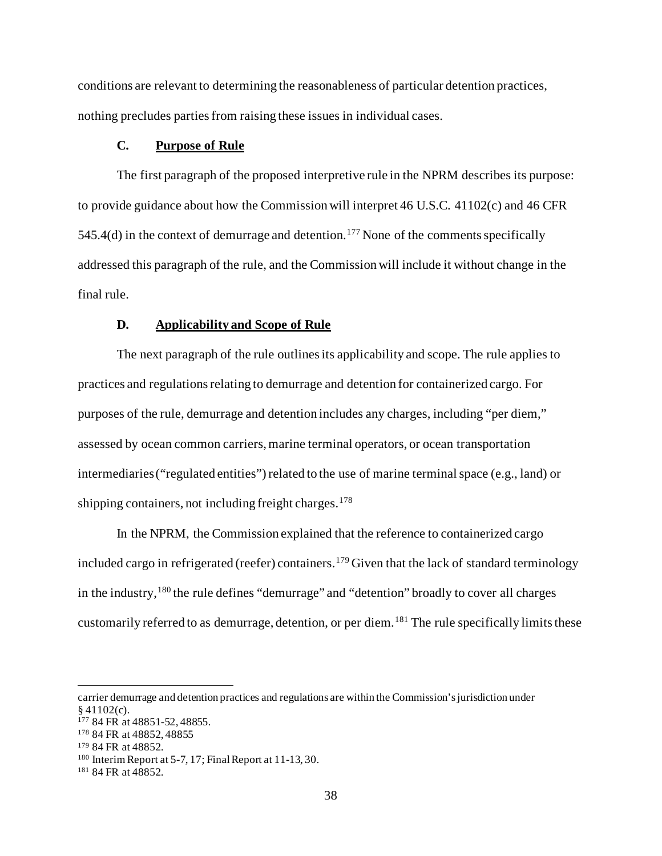conditions are relevant to determining the reasonableness of particular detention practices, nothing precludes parties from raising these issues in individual cases.

# **C. Purpose of Rule**

The first paragraph of the proposed interpretive rule in the NPRM describes its purpose: to provide guidance about how the Commission will interpret 46 U.S.C. 41102(c) and 46 CFR 545.4(d) in the context of demurrage and detention. [177](#page-37-0) None of the comments specifically addressed this paragraph of the rule, and the Commission will include it without change in the final rule.

#### **D. Applicability and Scope of Rule**

The next paragraph of the rule outlines its applicability and scope. The rule applies to practices and regulations relating to demurrage and detention for containerized cargo. For purposes of the rule, demurrage and detention includes any charges, including "per diem," assessed by ocean common carriers, marine terminal operators, or ocean transportation intermediaries ("regulated entities") related to the use of marine terminal space (e.g., land) or shipping containers, not including freight charges. $178$ 

In the NPRM, the Commission explained that the reference to containerized cargo included cargo in refrigerated (reefer) containers. [179](#page-37-2) Given that the lack of standard terminology in the industry,  $180$  the rule defines "demurrage" and "detention" broadly to cover all charges customarily referred to as demurrage, detention, or per diem.<sup>[181](#page-37-4)</sup> The rule specifically limits these

carrier demurrage and detention practices and regulations are within the Commission's jurisdiction under  $§$  41102(c).

<span id="page-37-0"></span><sup>177</sup> 84 FR at 48851-52, 48855.

<span id="page-37-1"></span><sup>178</sup> 84 FR at 48852, 48855

<span id="page-37-2"></span><sup>179</sup> 84 FR at 48852.

<span id="page-37-3"></span><sup>180</sup> Interim Report at 5-7, 17; Final Report at 11-13, 30.

<span id="page-37-4"></span><sup>181</sup> 84 FR at 48852.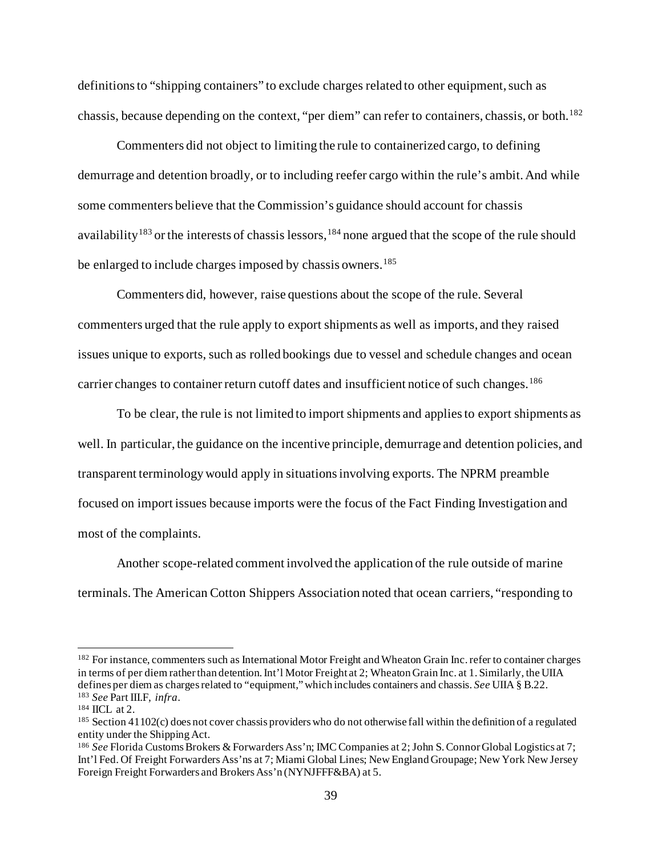definitions to "shipping containers" to exclude charges related to other equipment, such as chassis, because depending on the context, "per diem" can refer to containers, chassis, or both.<sup>[182](#page-38-0)</sup>

Commenters did not object to limiting the rule to containerized cargo, to defining demurrage and detention broadly, or to including reefer cargo within the rule's ambit. And while some commenters believe that the Commission's guidance should account for chassis availability<sup>[183](#page-38-1)</sup> or the interests of chassis lessors, <sup>[184](#page-38-2)</sup> none argued that the scope of the rule should be enlarged to include charges imposed by chassis owners.<sup>[185](#page-38-3)</sup>

Commenters did, however, raise questions about the scope of the rule. Several commenters urged that the rule apply to export shipments as well as imports, and they raised issues unique to exports, such as rolled bookings due to vessel and schedule changes and ocean carrier changes to container return cutoff dates and insufficient notice of such changes. [186](#page-38-4)

To be clear, the rule is not limited to import shipments and appliesto export shipments as well. In particular, the guidance on the incentive principle, demurrage and detention policies, and transparent terminology would apply in situationsinvolving exports. The NPRM preamble focused on import issues because imports were the focus of the Fact Finding Investigation and most of the complaints.

Another scope-related comment involved the application of the rule outside of marine terminals. The American Cotton Shippers Association noted that ocean carriers, "responding to

<span id="page-38-0"></span><sup>&</sup>lt;sup>182</sup> For instance, commenters such as International Motor Freight and Wheaton Grain Inc. refer to container charges in terms of per diem rather than detention. Int'l Motor Freight at 2; Wheaton Grain Inc. at 1. Similarly, the UIIA defines per diem as charges related to "equipment," which includes containers and chassis. *See* UIIA § B.22. <sup>183</sup> *See* Part III.F, *infra*.

<span id="page-38-2"></span><span id="page-38-1"></span><sup>&</sup>lt;sup>184</sup> IICL at 2.

<span id="page-38-3"></span> $185$  Section 41102(c) does not cover chassis providers who do not otherwise fall within the definition of a regulated entity under the Shipping Act.

<span id="page-38-4"></span><sup>186</sup> *See* Florida Customs Brokers & Forwarders Ass'n; IMC Companies at 2; John S. Connor Global Logistics at 7; Int'l Fed. Of Freight Forwarders Ass'ns at 7; Miami Global Lines; New England Groupage; New York New Jersey Foreign Freight Forwarders and Brokers Ass'n (NYNJFFF&BA) at 5.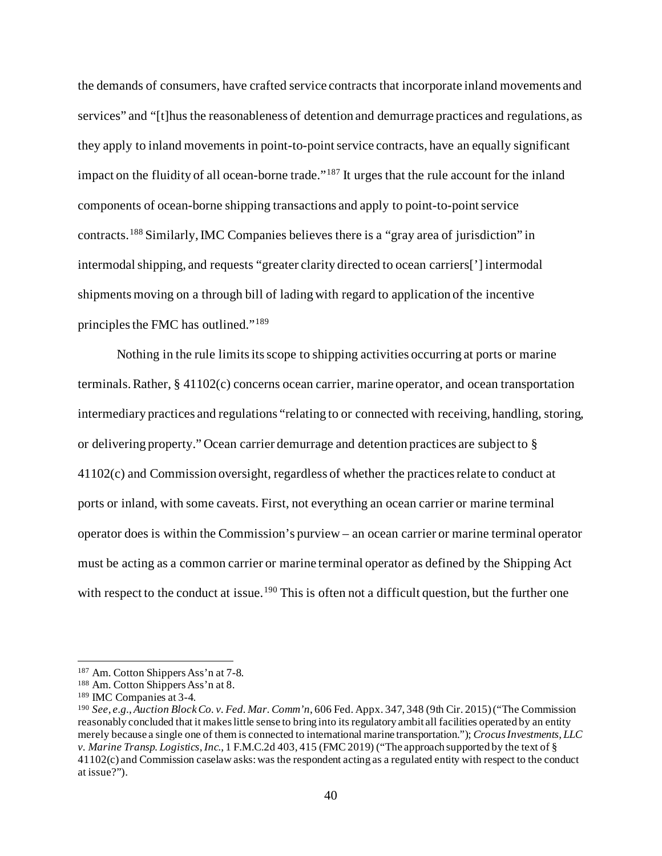the demands of consumers, have crafted service contracts that incorporate inland movements and services" and "[t]hus the reasonableness of detention and demurrage practices and regulations, as they apply to inland movements in point-to-point service contracts, have an equally significant impact on the fluidity of all ocean-borne trade."<sup>[187](#page-39-0)</sup> It urges that the rule account for the inland components of ocean-borne shipping transactions and apply to point-to-point service contracts.[188](#page-39-1) Similarly, IMC Companies believes there is a "gray area of jurisdiction" in intermodal shipping, and requests "greater clarity directed to ocean carriers['] intermodal shipments moving on a through bill of lading with regard to application of the incentive principles the FMC has outlined."[189](#page-39-2)

Nothing in the rule limits its scope to shipping activities occurring at ports or marine terminals.Rather, § 41102(c) concerns ocean carrier, marine operator, and ocean transportation intermediary practices and regulations "relating to or connected with receiving, handling, storing, or delivering property." Ocean carrier demurrage and detention practices are subject to § 41102(c) and Commission oversight, regardless of whether the practices relate to conduct at ports or inland, with some caveats. First, not everything an ocean carrier or marine terminal operator does is within the Commission's purview – an ocean carrier or marine terminal operator must be acting as a common carrier or marine terminal operator as defined by the Shipping Act with respect to the conduct at issue.<sup>[190](#page-39-3)</sup> This is often not a difficult question, but the further one

<span id="page-39-0"></span><sup>187</sup> Am. Cotton Shippers Ass'n at 7-8.

<span id="page-39-1"></span><sup>188</sup> Am. Cotton Shippers Ass'n at 8.

<span id="page-39-2"></span><sup>189</sup> IMC Companies at 3-4.

<span id="page-39-3"></span><sup>190</sup> *See*, *e.g.*, *Auction Block Co. v. Fed. Mar. Comm'n*, 606 Fed. Appx. 347, 348 (9th Cir. 2015) ("The Commission reasonably concluded that it makes little sense to bring into its regulatory ambit all facilities operated by an entity merely because a single one of them is connected to international marine transportation."); *Crocus Investments, LLC v. Marine Transp. Logistics, Inc.*, 1 F.M.C.2d 403, 415 (FMC 2019) ("The approach supported by the text of § 41102(c) and Commission caselaw asks: was the respondent acting as a regulated entity with respect to the conduct at issue?").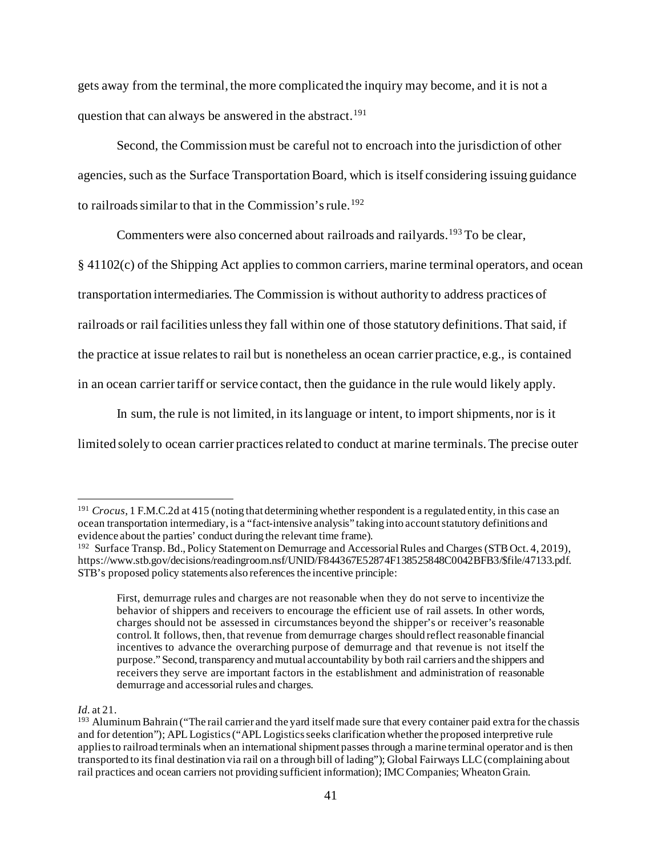gets away from the terminal, the more complicated the inquiry may become, and it is not a question that can always be answered in the abstract.<sup>[191](#page-40-0)</sup>

Second, the Commission must be careful not to encroach into the jurisdiction of other agencies, such as the Surface Transportation Board, which is itself considering issuing guidance to railroads similar to that in the Commission's rule.<sup>[192](#page-40-1)</sup>

Commenters were also concerned about railroads and railyards.<sup>[193](#page-40-2)</sup> To be clear,

§ 41102(c) of the Shipping Act applies to common carriers, marine terminal operators, and ocean transportation intermediaries. The Commission is without authority to address practices of railroads or rail facilities unless they fall within one of those statutory definitions. That said, if the practice at issue relates to rail but is nonetheless an ocean carrier practice, e.g., is contained in an ocean carrier tariff or service contact, then the guidance in the rule would likely apply.

In sum, the rule is not limited, in its language or intent, to import shipments, nor is it limited solely to ocean carrier practices related to conduct at marine terminals. The precise outer

#### *Id.* at 21.

<span id="page-40-0"></span><sup>&</sup>lt;sup>191</sup> *Crocus*, 1 F.M.C.2d at 415 (noting that determining whether respondent is a regulated entity, in this case an ocean transportation intermediary, is a "fact-intensive analysis" taking into account statutory definitions and evidence about the parties' conduct during the relevant time frame).

<span id="page-40-1"></span><sup>192</sup> Surface Transp. Bd., Policy Statement on Demurrage and Accessorial Rules and Charges (STB Oct. 4, 2019), https://www.stb.gov/decisions/readingroom.nsf/UNID/F844367E52874F138525848C0042BFB3/\$file/47133.pdf. STB's proposed policy statements also references the incentive principle:

First, demurrage rules and charges are not reasonable when they do not serve to incentivize the behavior of shippers and receivers to encourage the efficient use of rail assets. In other words, charges should not be assessed in circumstances beyond the shipper's or receiver's reasonable control. It follows, then, that revenue from demurrage charges should reflect reasonable financial incentives to advance the overarching purpose of demurrage and that revenue is not itself the purpose." Second, transparency and mutual accountability by both rail carriers and the shippers and receivers they serve are important factors in the establishment and administration of reasonable demurrage and accessorial rules and charges.

<span id="page-40-2"></span><sup>&</sup>lt;sup>193</sup> Aluminum Bahrain ("The rail carrier and the yard itself made sure that every container paid extra for the chassis and for detention"); APL Logistics ("APL Logistics seeks clarification whether the proposed interpretive rule applies to railroad terminals when an international shipment passes through a marine terminal operator and is then transported to its final destination via rail on a through bill of lading"); Global Fairways LLC (complaining about rail practices and ocean carriers not providing sufficient information); IMC Companies; Wheaton Grain.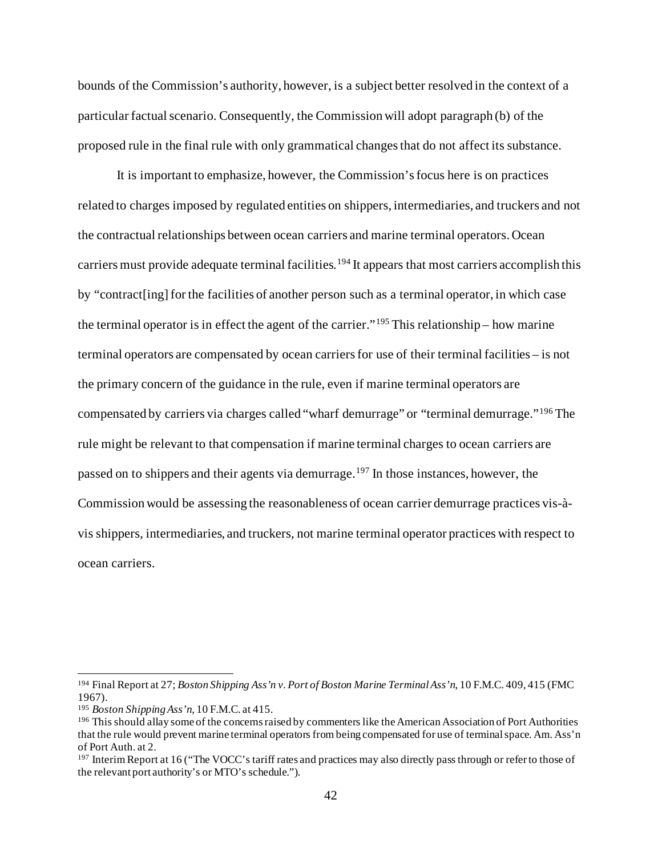bounds of the Commission's authority, however, is a subject better resolved in the context of a particular factual scenario. Consequently, the Commission will adopt paragraph (b) of the proposed rule in the final rule with only grammatical changes that do not affect its substance.

It is important to emphasize, however, the Commission's focus here is on practices related to charges imposed by regulated entities on shippers, intermediaries, and truckers and not the contractual relationships between ocean carriers and marine terminal operators. Ocean carriers must provide adequate terminal facilities.<sup>[194](#page-41-0)</sup> It appears that most carriers accomplish this by "contract[ing] for the facilities of another person such as a terminal operator, in which case the terminal operator is in effect the agent of the carrier."<sup>[195](#page-41-1)</sup> This relationship – how marine terminal operators are compensated by ocean carriers for use of their terminal facilities – is not the primary concern of the guidance in the rule, even if marine terminal operators are compensated by carriers via charges called "wharf demurrage" or "terminal demurrage."<sup>[196](#page-41-2)</sup> The rule might be relevant to that compensation if marine terminal charges to ocean carriers are passed on to shippers and their agents via demurrage. [197](#page-41-3) In those instances, however, the Commission would be assessing the reasonableness of ocean carrier demurrage practices vis-àvis shippers, intermediaries, and truckers, not marine terminal operator practices with respect to ocean carriers.

<span id="page-41-0"></span><sup>194</sup> Final Report at 27; *Boston Shipping Ass'n v. Port of Boston Marine Terminal Ass'n*, 10 F.M.C. 409, 415 (FMC 1967).

<span id="page-41-1"></span><sup>195</sup> *Boston Shipping Ass'n*, 10 F.M.C. at 415.

<span id="page-41-2"></span><sup>196</sup> This should allay some of the concerns raised by commenters like the American Association of Port Authorities that the rule would prevent marine terminal operators from being compensated for use of terminal space. Am. Ass'n of Port Auth. at 2.

<span id="page-41-3"></span><sup>197</sup> Interim Report at 16 ("The VOCC's tariff rates and practices may also directly pass through or refer to those of the relevant port authority's or MTO's schedule.").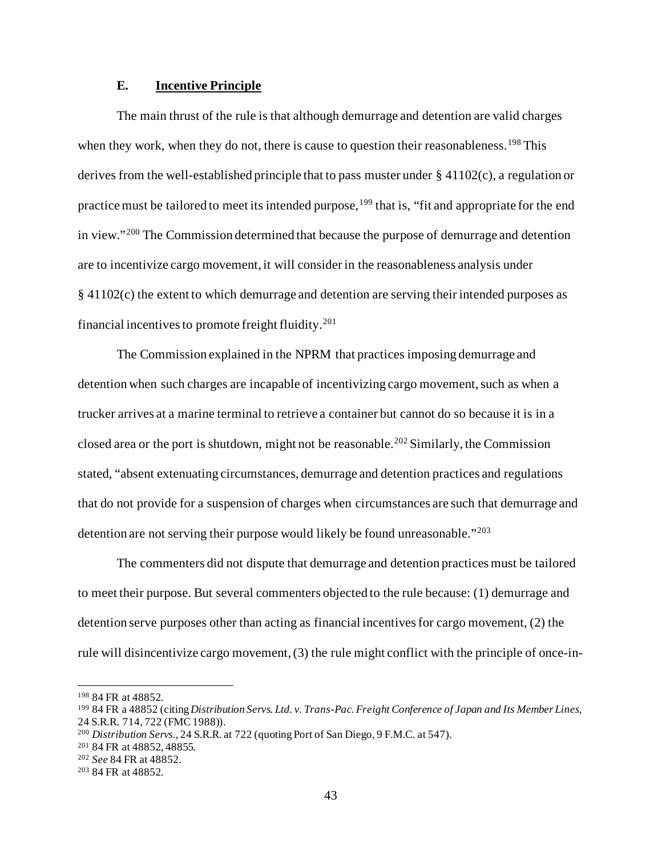# **E. Incentive Principle**

The main thrust of the rule is that although demurrage and detention are valid charges when they work, when they do not, there is cause to question their reasonableness.<sup>[198](#page-42-0)</sup> This derives from the well-established principle that to pass muster under  $\S 41102(c)$ , a regulation or practice must be tailored to meet its intended purpose, <sup>[199](#page-42-1)</sup> that is, "fit and appropriate for the end in view."[200](#page-42-2) The Commission determined that because the purpose of demurrage and detention are to incentivize cargo movement, it will consider in the reasonableness analysis under § 41102(c) the extent to which demurrage and detention are serving their intended purposes as financial incentives to promote freight fluidity.[201](#page-42-3)

The Commission explained in the NPRM that practices imposing demurrage and detention when such charges are incapable of incentivizing cargo movement, such as when a trucker arrives at a marine terminal to retrieve a container but cannot do so because it is in a closed area or the port is shutdown, might not be reasonable.<sup>[202](#page-42-4)</sup> Similarly, the Commission stated, "absent extenuating circumstances, demurrage and detention practices and regulations that do not provide for a suspension of charges when circumstances are such that demurrage and detention are not serving their purpose would likely be found unreasonable."[203](#page-42-5)

The commenters did not dispute that demurrage and detention practices must be tailored to meet their purpose. But several commenters objected to the rule because: (1) demurrage and detention serve purposes other than acting as financial incentives for cargo movement, (2) the rule will disincentivize cargo movement, (3) the rule might conflict with the principle of once-in-

<span id="page-42-0"></span><sup>198</sup> 84 FR at 48852.

<span id="page-42-1"></span><sup>199</sup> 84 FR a 48852 (citing *Distribution Servs. Ltd. v. Trans-Pac. Freight Conference of Japan and Its Member Lines*, 24 S.R.R. 714, 722 (FMC 1988)).

<span id="page-42-2"></span><sup>200</sup> *Distribution Servs.*, 24 S.R.R. at 722 (quoting Port of San Diego, 9 F.M.C. at 547).

<span id="page-42-3"></span><sup>201</sup> 84 FR at 48852, 48855.

<span id="page-42-4"></span><sup>202</sup> *See* 84 FR at 48852.

<span id="page-42-5"></span><sup>203</sup> 84 FR at 48852.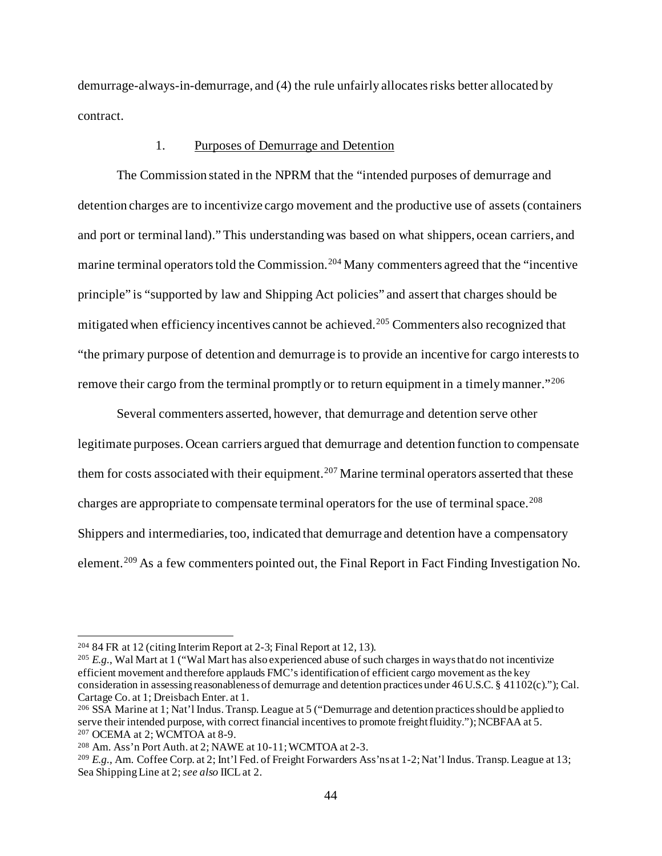demurrage-always-in-demurrage, and (4) the rule unfairly allocates risks better allocated by contract.

### 1. Purposes of Demurrage and Detention

The Commission stated in the NPRM that the "intended purposes of demurrage and detention charges are to incentivize cargo movement and the productive use of assets (containers and port or terminal land)." This understanding was based on what shippers, ocean carriers, and marine terminal operators told the Commission.<sup>[204](#page-43-0)</sup> Many commenters agreed that the "incentive" principle" is "supported by law and Shipping Act policies" and assert that charges should be mitigated when efficiency incentives cannot be achieved.<sup>[205](#page-43-1)</sup> Commenters also recognized that "the primary purpose of detention and demurrage is to provide an incentive for cargo interests to remove their cargo from the terminal promptly or to return equipment in a timely manner."<sup>[206](#page-43-2)</sup>

Several commenters asserted, however, that demurrage and detention serve other legitimate purposes. Ocean carriers argued that demurrage and detention function to compensate them for costs associated with their equipment.<sup>[207](#page-43-3)</sup> Marine terminal operators asserted that these charges are appropriate to compensate terminal operators for the use of terminal space.<sup>[208](#page-43-4)</sup> Shippers and intermediaries, too, indicated that demurrage and detention have a compensatory element.<sup>[209](#page-43-5)</sup> As a few commenters pointed out, the Final Report in Fact Finding Investigation No.

<span id="page-43-0"></span> $20484$  FR at 12 (citing Interim Report at 2-3; Final Report at 12, 13).

<span id="page-43-1"></span><sup>&</sup>lt;sup>205</sup> *E.g.*, Wal Mart at 1 ("Wal Mart has also experienced abuse of such charges in ways that do not incentivize efficient movement and therefore applauds FMC's identification of efficient cargo movement as the key consideration in assessing reasonableness of demurrage and detention practices under 46 U.S.C. § 41102(c)."); Cal. Cartage Co. at 1; Dreisbach Enter. at 1.

<span id="page-43-2"></span><sup>206</sup> SSA Marine at 1; Nat'l Indus. Transp. League at 5 ("Demurrage and detention practices should be applied to serve their intended purpose, with correct financial incentives to promote freight fluidity."); NCBFAA at 5. <sup>207</sup> OCEMA at 2; WCMTOA at 8-9.

<span id="page-43-4"></span><span id="page-43-3"></span><sup>208</sup> Am. Ass'n Port Auth. at 2; NAWE at 10-11; WCMTOA at 2-3.

<span id="page-43-5"></span><sup>209</sup> *E.g.*, Am. Coffee Corp. at 2; Int'l Fed. of Freight Forwarders Ass'ns at 1-2; Nat'l Indus. Transp. League at 13; Sea Shipping Line at 2; *see also* IICL at 2.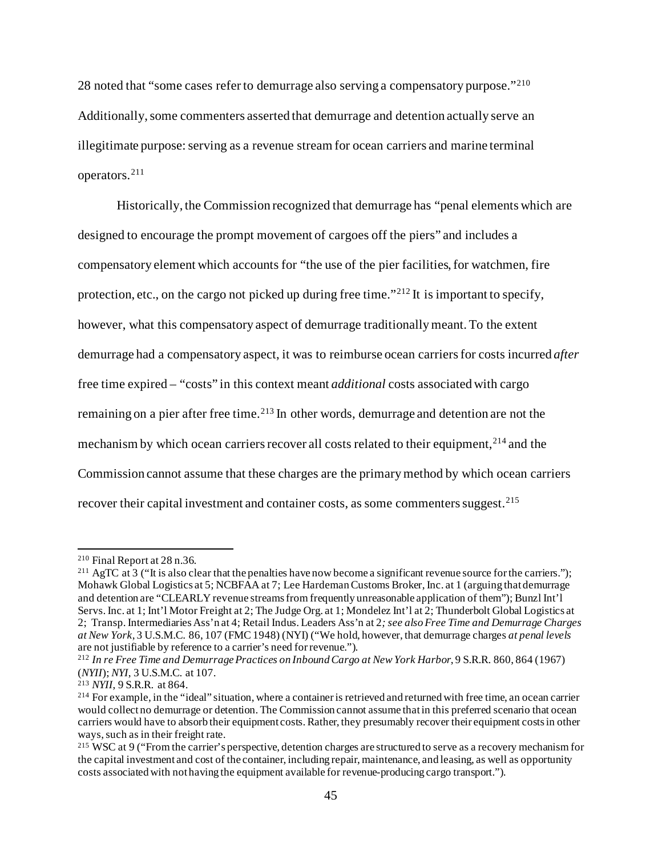28 noted that "some cases refer to demurrage also serving a compensatory purpose."<sup>[210](#page-44-0)</sup> Additionally, some commenters asserted that demurrage and detention actually serve an illegitimate purpose: serving as a revenue stream for ocean carriers and marine terminal operators. [211](#page-44-1)

Historically, the Commission recognized that demurrage has "penal elements which are designed to encourage the prompt movement of cargoes off the piers" and includes a compensatory element which accounts for "the use of the pier facilities, for watchmen, fire protection, etc., on the cargo not picked up during free time."<sup>[212](#page-44-2)</sup> It is important to specify, however, what this compensatory aspect of demurrage traditionally meant. To the extent demurrage had a compensatory aspect, it was to reimburse ocean carriers for costs incurred *after* free time expired – "costs" in this context meant *additional* costs associated with cargo remaining on a pier after free time.<sup>[213](#page-44-3)</sup> In other words, demurrage and detention are not the mechanism by which ocean carriers recover all costs related to their equipment,<sup>[214](#page-44-4)</sup> and the Commission cannot assume that these charges are the primary method by which ocean carriers recover their capital investment and container costs, as some commenters suggest.<sup>[215](#page-44-5)</sup>

<span id="page-44-1"></span><span id="page-44-0"></span><sup>&</sup>lt;sup>210</sup> Final Report at 28 n.36.<br><sup>211</sup> AgTC at 3 ("It is also clear that the penalties have now become a significant revenue source for the carriers."); Mohawk Global Logistics at 5; NCBFAA at 7; Lee Hardeman Customs Broker, Inc. at 1 (arguing that demurrage and detention are "CLEARLY revenue streams from frequently unreasonable application of them"); Bunzl Int'l Servs. Inc. at 1; Int'l Motor Freight at 2; The Judge Org. at 1; Mondelez Int'l at 2; Thunderbolt Global Logistics at 2; Transp. Intermediaries Ass'n at 4; Retail Indus. Leaders Ass'n at 2*; see alsoFree Time and Demurrage Charges at New York*, 3 U.S.M.C. 86, 107 (FMC 1948) (NYI) ("We hold, however, that demurrage charges *at penal levels*

<span id="page-44-2"></span><sup>&</sup>lt;sup>212</sup> In re Free Time and Demurrage Practices on Inbound Cargo at New York Harbor, 9 S.R.R. 860, 864 (1967) (*NYII*); *NYI*, 3 U.S.M.C. at 107.<br><sup>213</sup> *NYII*, 9 S.R.R. at 864.

<span id="page-44-3"></span>

<span id="page-44-4"></span><sup>&</sup>lt;sup>214</sup> For example, in the "ideal" situation, where a container is retrieved and returned with free time, an ocean carrier would collect no demurrage or detention. The Commission cannot assume that in this preferred scenario that ocean carriers would have to absorb their equipment costs. Rather, they presumably recover their equipment costs in other ways, such as in their freight rate.

<span id="page-44-5"></span><sup>&</sup>lt;sup>215</sup> WSC at 9 ("From the carrier's perspective, detention charges are structured to serve as a recovery mechanism for the capital investment and cost of the container, including repair, maintenance, and leasing, as well as opportunity costs associated with not having the equipment available for revenue-producing cargo transport.").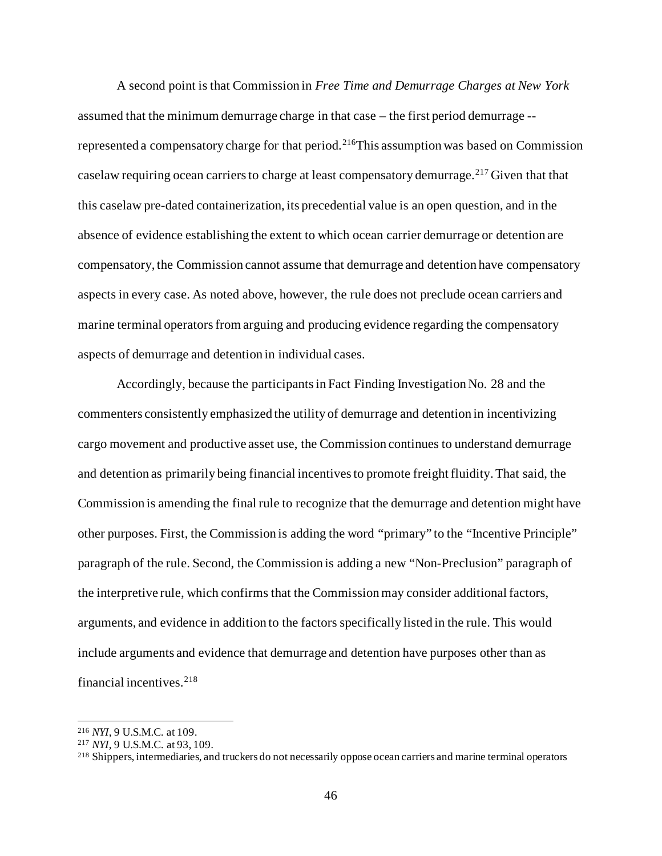A second point is that Commission in *Free Time and Demurrage Charges at New York* assumed that the minimum demurrage charge in that case – the first period demurrage -- represented a compensatory charge for that period.<sup>[216](#page-45-0)</sup>This assumption was based on Commission caselaw requiring ocean carriers to charge at least compensatory demurrage.<sup>[217](#page-45-1)</sup> Given that that this caselaw pre-dated containerization, its precedential value is an open question, and in the absence of evidence establishing the extent to which ocean carrier demurrage or detention are compensatory, the Commission cannot assume that demurrage and detention have compensatory aspects in every case. As noted above, however, the rule does not preclude ocean carriers and marine terminal operators from arguing and producing evidence regarding the compensatory aspects of demurrage and detention in individual cases.

Accordingly, because the participants in Fact Finding Investigation No. 28 and the commenters consistently emphasized the utility of demurrage and detention in incentivizing cargo movement and productive asset use, the Commission continues to understand demurrage and detention as primarily being financial incentives to promote freight fluidity.That said, the Commission is amending the final rule to recognize that the demurrage and detention might have other purposes. First, the Commission is adding the word "primary" to the "Incentive Principle" paragraph of the rule. Second, the Commission is adding a new "Non-Preclusion" paragraph of the interpretive rule, which confirms that the Commission may consider additional factors, arguments, and evidence in addition to the factors specifically listed in the rule. This would include arguments and evidence that demurrage and detention have purposes other than as financial incentives. [218](#page-45-2)

<span id="page-45-0"></span><sup>216</sup> *NYI*, 9 U.S.M.C. at 109.

<span id="page-45-1"></span><sup>217</sup> *NYI*, 9 U.S.M.C. at 93, 109.

<span id="page-45-2"></span><sup>&</sup>lt;sup>218</sup> Shippers, intermediaries, and truckers do not necessarily oppose ocean carriers and marine terminal operators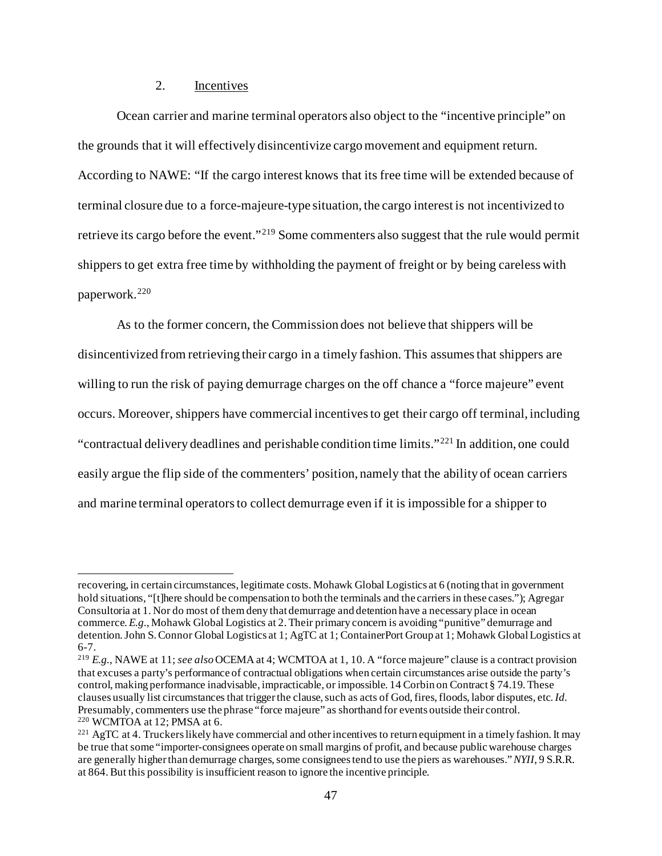# 2. Incentives

Ocean carrier and marine terminal operators also object to the "incentive principle" on the grounds that it will effectively disincentivize cargo movement and equipment return. According to NAWE: "If the cargo interest knows that its free time will be extended because of terminal closure due to a force-majeure-type situation, the cargo interest is not incentivized to retrieve its cargo before the event."[219](#page-46-0) Some commenters also suggest that the rule would permit shippers to get extra free time by withholding the payment of freight or by being careless with paperwork.[220](#page-46-1)

As to the former concern, the Commission does not believe that shippers will be disincentivized from retrieving their cargo in a timely fashion. This assumes that shippers are willing to run the risk of paying demurrage charges on the off chance a "force majeure" event occurs. Moreover, shippers have commercial incentives to get their cargo off terminal, including "contractual delivery deadlines and perishable condition time limits."[221](#page-46-2) In addition, one could easily argue the flip side of the commenters' position, namely that the ability of ocean carriers and marine terminal operators to collect demurrage even if it is impossible for a shipper to

recovering, in certain circumstances, legitimate costs. Mohawk Global Logistics at 6 (noting that in government hold situations, "[t]here should be compensation to both the terminals and the carriers in these cases."); Agregar Consultoria at 1. Nor do most of them deny that demurrage and detention have a necessary place in ocean commerce. *E.g.*, Mohawk Global Logistics at 2. Their primary concern is avoiding "punitive" demurrage and detention. John S. Connor Global Logistics at 1; AgTC at 1; ContainerPort Group at 1; Mohawk Global Logistics at 6-7.

<span id="page-46-0"></span><sup>219</sup> *E.g.*, NAWE at 11; *see also* OCEMA at 4; WCMTOA at 1, 10. A "force majeure" clause is a contract provision that excuses a party's performance of contractual obligations when certain circumstances arise outside the party's control, making performance inadvisable, impracticable, or impossible. 14 Corbin on Contract § 74.19. These clauses usually list circumstances that trigger the clause, such as acts of God, fires, floods, labor disputes, etc.*Id.* Presumably, commenters use the phrase "force majeure" as shorthand for events outside their control.<br><sup>220</sup> WCMTOA at 12: PMSA at 6.

<span id="page-46-2"></span><span id="page-46-1"></span> $^{221}$  AgTC at 4. Truckers likely have commercial and other incentives to return equipment in a timely fashion. It may be true that some "importer-consignees operate on small margins of profit, and because public warehouse charges are generally higher than demurrage charges, some consignees tend to use the piers as warehouses." *NYII*, 9 S.R.R. at 864. But this possibility is insufficient reason to ignore the incentive principle.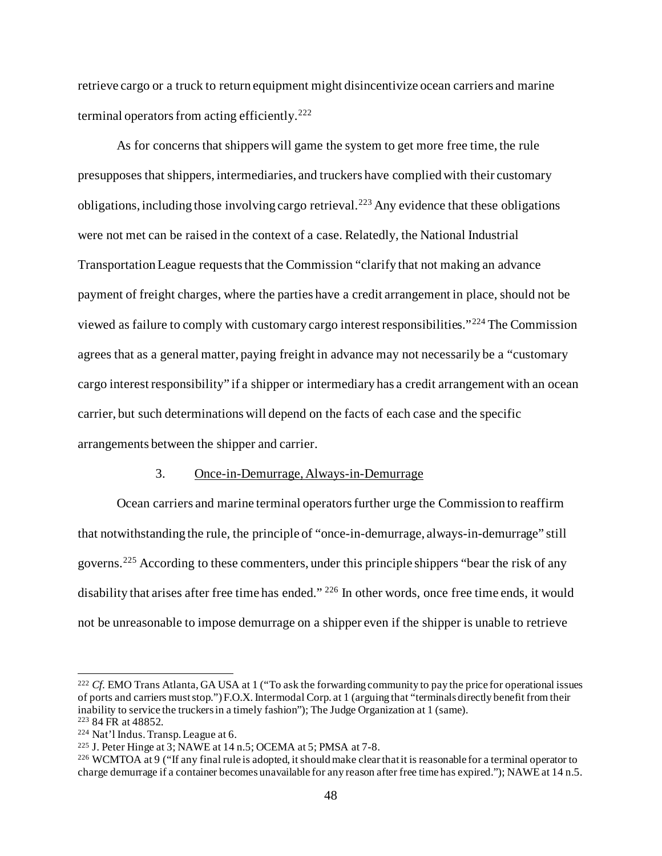retrieve cargo or a truck to return equipment might disincentivize ocean carriers and marine terminal operators from acting efficiently.[222](#page-47-0)

As for concerns that shippers will game the system to get more free time, the rule presupposes that shippers, intermediaries, and truckers have complied with their customary obligations, including those involving cargo retrieval.<sup>[223](#page-47-1)</sup> Any evidence that these obligations were not met can be raised in the context of a case. Relatedly, the National Industrial Transportation League requests that the Commission "clarify that not making an advance payment of freight charges, where the parties have a credit arrangement in place, should not be viewed as failure to comply with customary cargo interest responsibilities."[224](#page-47-2) The Commission agrees that as a general matter, paying freight in advance may not necessarily be a "customary cargo interest responsibility" if a shipper or intermediary has a credit arrangement with an ocean carrier, but such determinations will depend on the facts of each case and the specific arrangements between the shipper and carrier.

### 3. Once-in-Demurrage, Always-in-Demurrage

Ocean carriers and marine terminal operators further urge the Commission to reaffirm that notwithstanding the rule, the principle of "once-in-demurrage, always-in-demurrage" still governs.[225](#page-47-3) According to these commenters, under this principle shippers "bear the risk of any disability that arises after free time has ended." <sup>[226](#page-47-4)</sup> In other words, once free time ends, it would not be unreasonable to impose demurrage on a shipper even if the shipper is unable to retrieve

<span id="page-47-0"></span><sup>222</sup> *Cf.* EMO Trans Atlanta, GA USA at 1 ("To ask the forwarding community to pay the price for operational issues of ports and carriers must stop.") F.O.X. Intermodal Corp. at 1 (arguing that "terminals directly benefit from their inability to service the truckers in a timely fashion"); The Judge Organization at 1 (same).<br><sup>223</sup> 84 FR at 48852.

<span id="page-47-1"></span>

<span id="page-47-2"></span> $224$  Nat'l Indus. Transp. League at 6.

<span id="page-47-3"></span><sup>&</sup>lt;sup>225</sup> J. Peter Hinge at  $3$ ; NAWE at  $14$  n.5; OCEMA at  $5$ ; PMSA at  $7-8$ .

<span id="page-47-4"></span><sup>226</sup> WCMTOA at 9 ("If any final rule is adopted, it should make clear that it is reasonable for a terminal operator to charge demurrage if a container becomes unavailable for any reason after free time has expired."); NAWE at 14 n.5.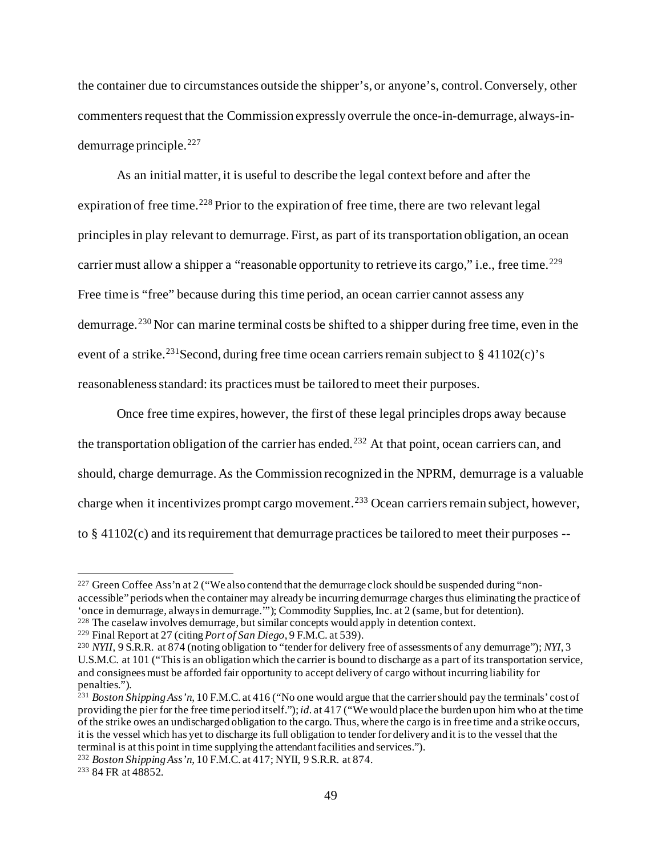the container due to circumstances outside the shipper's, or anyone's, control.Conversely, other commenters request that the Commission expressly overrule the once-in-demurrage, always-in $d$ emurrage principle.<sup>[227](#page-48-0)</sup>

As an initial matter, it is useful to describe the legal context before and after the expiration of free time.<sup>[228](#page-48-1)</sup> Prior to the expiration of free time, there are two relevant legal principles in play relevant to demurrage. First, as part of its transportation obligation, an ocean carrier must allow a shipper a "reasonable opportunity to retrieve its cargo," i.e., free time.<sup>[229](#page-48-2)</sup> Free time is "free" because during this time period, an ocean carrier cannot assess any demurrage.[230](#page-48-3) Nor can marine terminal costs be shifted to a shipper during free time, even in the event of a strike.<sup>[231](#page-48-4)</sup>Second, during free time ocean carriers remain subject to  $\S$  41102(c)'s reasonableness standard: its practices must be tailored to meet their purposes.

Once free time expires, however, the first of these legal principles drops away because the transportation obligation of the carrier has ended.<sup>[232](#page-48-5)</sup> At that point, ocean carriers can, and should, charge demurrage. As the Commission recognized in the NPRM, demurrage is a valuable charge when it incentivizes prompt cargo movement.<sup>[233](#page-48-6)</sup> Ocean carriers remain subject, however, to  $\S 41102(c)$  and its requirement that demurrage practices be tailored to meet their purposes  $-$ 

<span id="page-48-0"></span> $227$  Green Coffee Ass'n at 2 ("We also contend that the demurrage clock should be suspended during "nonaccessible" periods when the container may already be incurring demurrage charges thus eliminating the practice of 'once in demurrage, always in demurrage.'"); Commodity Supplies, Inc. at 2 (same, but for detention). <sup>228</sup> The caselaw involves demurrage, but similar concepts would apply in detention context.

<span id="page-48-2"></span><span id="page-48-1"></span><sup>229</sup> Final Report at 27 (citing *Port of San Diego*, 9 F.M.C. at 539).

<span id="page-48-3"></span><sup>230</sup> *NYII*, 9 S.R.R. at 874 (noting obligation to "tender for delivery free of assessments of any demurrage"); *NYI*, 3 U.S.M.C. at 101 ("This is an obligation which the carrier is bound to discharge as a part of its transportation service, and consignees must be afforded fair opportunity to accept delivery of cargo without incurring liability for penalties.").

<span id="page-48-4"></span><sup>231</sup> *Boston Shipping Ass'n*, 10 F.M.C. at 416 ("No one would argue that the carrier should pay the terminals' cost of providing the pier for the free time period itself."); *id.* at 417 ("We would place the burden upon him who at the time of the strike owes an undischarged obligation to the cargo. Thus, where the cargo is in free time and a strike occurs, it is the vessel which has yet to discharge its full obligation to tender for delivery and it is to the vessel that the terminal is at this point in time supplying the attendant facilities and services.").

<span id="page-48-5"></span><sup>232</sup> *Boston Shipping Ass'n*, 10 F.M.C. at 417; NYII, 9 S.R.R. at 874.

<span id="page-48-6"></span><sup>233</sup> 84 FR at 48852.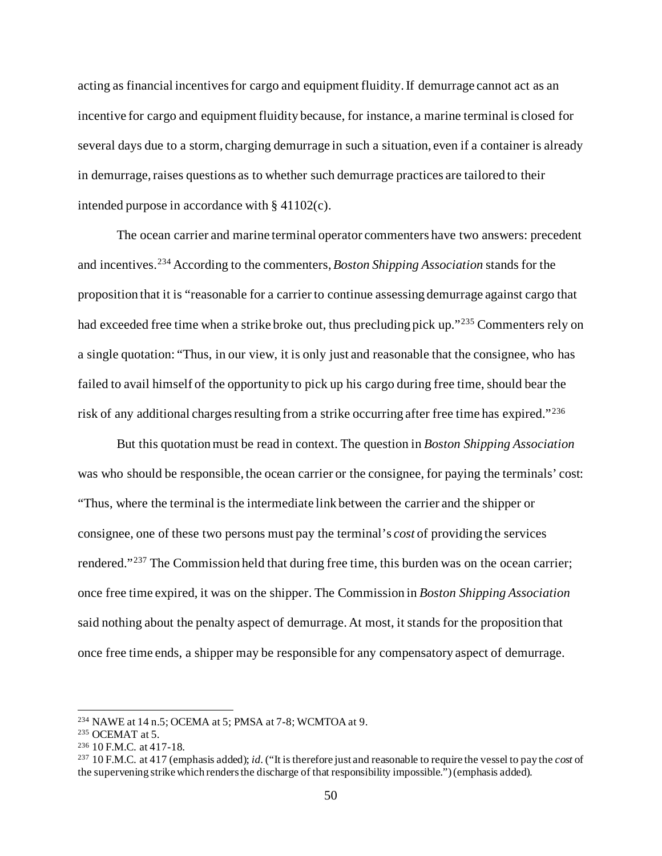acting as financial incentives for cargo and equipment fluidity. If demurrage cannot act as an incentive for cargo and equipment fluidity because, for instance, a marine terminal is closed for several days due to a storm, charging demurrage in such a situation, even if a container is already in demurrage, raises questions as to whether such demurrage practices are tailored to their intended purpose in accordance with § 41102(c).

The ocean carrier and marine terminal operator commenters have two answers: precedent and incentives.[234](#page-49-0) According to the commenters, *Boston Shipping Association* stands for the proposition that it is "reasonable for a carrier to continue assessing demurrage against cargo that had exceeded free time when a strike broke out, thus precluding pick up."[235](#page-49-1) Commenters rely on a single quotation: "Thus, in our view, it is only just and reasonable that the consignee, who has failed to avail himself of the opportunity to pick up his cargo during free time, should bear the risk of any additional charges resulting from a strike occurring after free time has expired."<sup>[236](#page-49-2)</sup>

But this quotation must be read in context. The question in *Boston Shipping Association* was who should be responsible, the ocean carrier or the consignee, for paying the terminals' cost: "Thus, where the terminal is the intermediate link between the carrier and the shipper or consignee, one of these two persons must pay the terminal's *cost* of providing the services rendered."[237](#page-49-3) The Commission held that during free time, this burden was on the ocean carrier; once free time expired, it was on the shipper. The Commission in *Boston Shipping Association* said nothing about the penalty aspect of demurrage. At most, it stands for the proposition that once free time ends, a shipper may be responsible for any compensatory aspect of demurrage.

<span id="page-49-0"></span><sup>234</sup> NAWE at 14 n.5; OCEMA at 5; PMSA at 7-8; WCMTOA at 9.

<span id="page-49-1"></span><sup>235</sup> OCEMAT at 5.

<span id="page-49-2"></span><sup>236</sup> 10 F.M.C. at 417-18.

<span id="page-49-3"></span><sup>237</sup> 10 F.M.C. at 417 (emphasis added); *id.*("It is therefore just and reasonable to require the vessel to pay the *cost* of the supervening strike which renders the discharge of that responsibility impossible.") (emphasis added).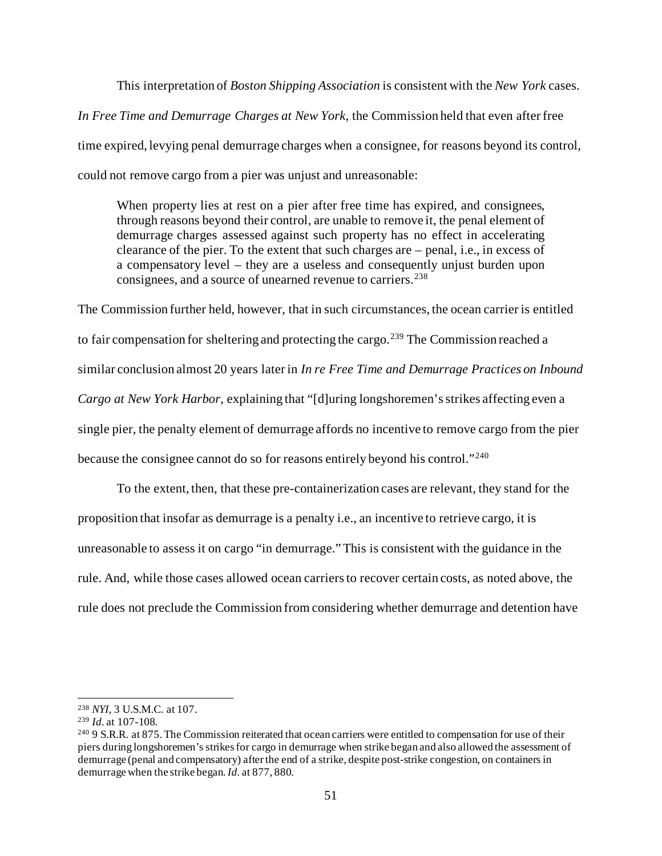This interpretation of *Boston Shipping Association* is consistent with the *New York* cases. *In Free Time and Demurrage Charges at New York*, the Commission held that even after free time expired, levying penal demurrage charges when a consignee, for reasons beyond its control, could not remove cargo from a pier was unjust and unreasonable:

When property lies at rest on a pier after free time has expired, and consignees, through reasons beyond their control, are unable to remove it, the penal element of demurrage charges assessed against such property has no effect in accelerating clearance of the pier. To the extent that such charges are – penal, i.e., in excess of a compensatory level – they are a useless and consequently unjust burden upon consignees, and a source of unearned revenue to carriers.<sup>[238](#page-50-0)</sup>

The Commission further held, however, that in such circumstances, the ocean carrier is entitled to fair compensation for sheltering and protecting the cargo.<sup>[239](#page-50-1)</sup> The Commission reached a similar conclusion almost 20 years later in *In re Free Time and Demurrage Practices on Inbound Cargo at New York Harbor*, explaining that "[d]uring longshoremen's strikes affecting even a single pier, the penalty element of demurrage affords no incentive to remove cargo from the pier because the consignee cannot do so for reasons entirely beyond his control."[240](#page-50-2)

To the extent, then, that these pre-containerization cases are relevant, they stand for the proposition that insofar as demurrage is a penalty i.e., an incentive to retrieve cargo, it is unreasonable to assess it on cargo "in demurrage." This is consistent with the guidance in the rule. And, while those cases allowed ocean carriers to recover certain costs, as noted above, the rule does not preclude the Commission from considering whether demurrage and detention have

<span id="page-50-0"></span><sup>238</sup> *NYI*, 3 U.S.M.C. at 107.

<span id="page-50-1"></span><sup>239</sup> *Id.* at 107-108.

<span id="page-50-2"></span><sup>&</sup>lt;sup>240</sup> 9 S.R.R. at 875. The Commission reiterated that ocean carriers were entitled to compensation for use of their piers during longshoremen's strikes for cargo in demurrage when strike began and also allowed the assessment of demurrage (penal and compensatory) after the end of a strike, despite post-strike congestion, on containers in demurrage when the strike began. *Id.* at 877, 880.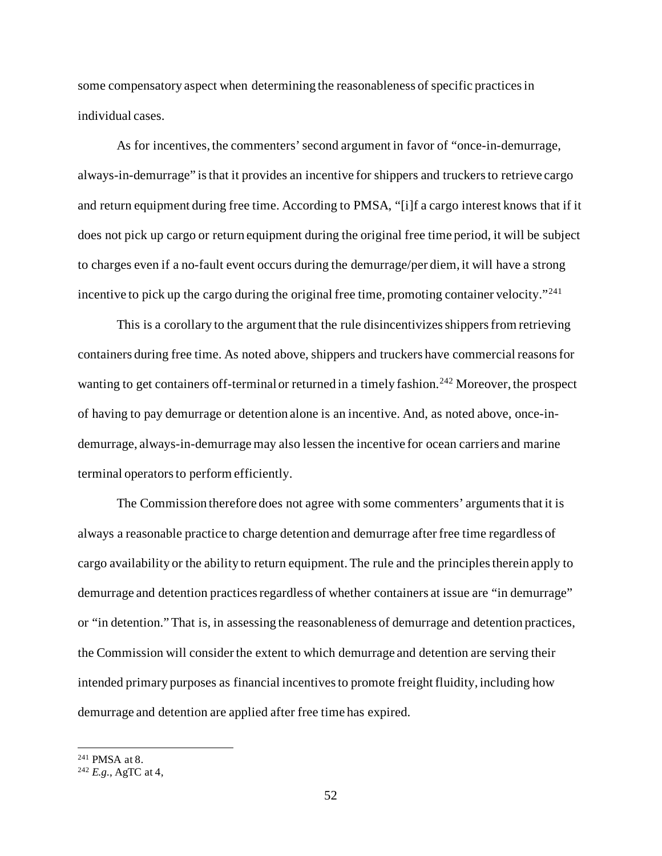some compensatory aspect when determining the reasonableness of specific practices in individual cases.

As for incentives, the commenters' second argument in favor of "once-in-demurrage, always-in-demurrage" is that it provides an incentive for shippers and truckers to retrieve cargo and return equipment during free time. According to PMSA, "[i]f a cargo interest knows that if it does not pick up cargo or return equipment during the original free time period, it will be subject to charges even if a no-fault event occurs during the demurrage/per diem, it will have a strong incentive to pick up the cargo during the original free time, promoting container velocity."<sup>[241](#page-51-0)</sup>

This is a corollary to the argument that the rule disincentivizes shippers from retrieving containers during free time. As noted above, shippers and truckers have commercial reasons for wanting to get containers off-terminal or returned in a timely fashion.<sup>[242](#page-51-1)</sup> Moreover, the prospect of having to pay demurrage or detention alone is an incentive. And, as noted above, once-indemurrage, always-in-demurrage may also lessen the incentive for ocean carriers and marine terminal operators to perform efficiently.

The Commission therefore does not agree with some commenters' arguments that it is always a reasonable practice to charge detention and demurrage after free time regardless of cargo availability or the ability to return equipment. The rule and the principles therein apply to demurrage and detention practices regardless of whether containers at issue are "in demurrage" or "in detention." That is, in assessing the reasonableness of demurrage and detention practices, the Commission will consider the extent to which demurrage and detention are serving their intended primary purposes as financial incentives to promote freight fluidity, including how demurrage and detention are applied after free time has expired.

<span id="page-51-1"></span><span id="page-51-0"></span><sup>241</sup> PMSA at 8. 242 *E.g.*, AgTC at 4,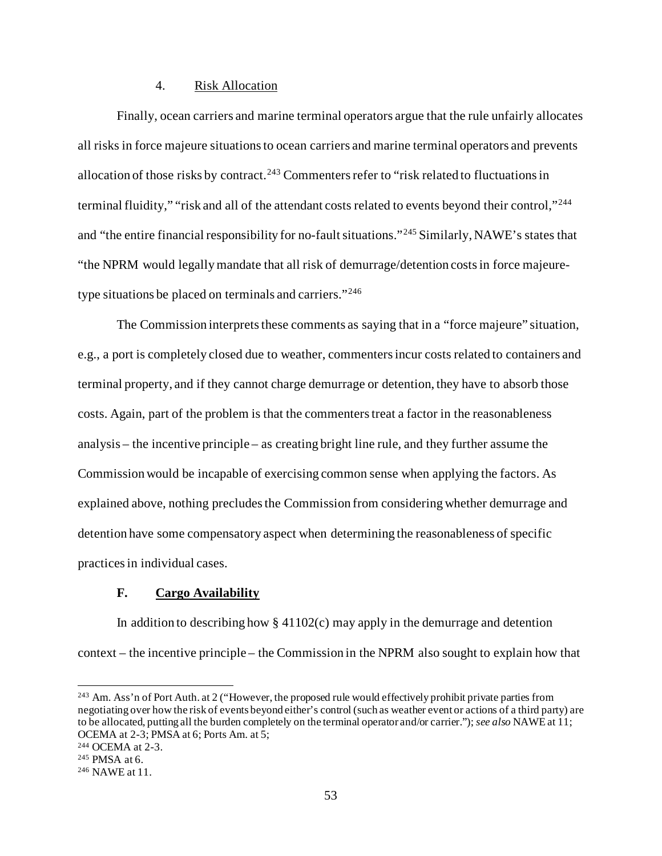### 4. Risk Allocation

Finally, ocean carriers and marine terminal operators argue that the rule unfairly allocates all risks in force majeure situations to ocean carriers and marine terminal operators and prevents allocation of those risks by contract.<sup>[243](#page-52-0)</sup> Commenters refer to "risk related to fluctuations in terminal fluidity," "risk and all of the attendant costs related to events beyond their control,"<sup>[244](#page-52-1)</sup> and "the entire financial responsibility for no-fault situations."[245](#page-52-2) Similarly, NAWE's states that "the NPRM would legally mandate that all risk of demurrage/detention costs in force majeuretype situations be placed on terminals and carriers."[246](#page-52-3)

The Commission interprets these comments as saying that in a "force majeure" situation, e.g., a port is completely closed due to weather, commentersincur costs related to containers and terminal property, and if they cannot charge demurrage or detention, they have to absorb those costs. Again, part of the problem is that the commenters treat a factor in the reasonableness analysis – the incentive principle – as creating bright line rule, and they further assume the Commission would be incapable of exercising common sense when applying the factors. As explained above, nothing precludes the Commission from considering whether demurrage and detention have some compensatory aspect when determining the reasonableness of specific practices in individual cases.

# **F. Cargo Availability**

In addition to describing how  $\S$  41102(c) may apply in the demurrage and detention context – the incentive principle – the Commission in the NPRM also sought to explain how that

<span id="page-52-0"></span><sup>&</sup>lt;sup>243</sup> Am. Ass'n of Port Auth. at 2 ("However, the proposed rule would effectively prohibit private parties from negotiating over how the risk of events beyond either's control (such as weather event or actions of a third party) are to be allocated, putting all the burden completely on the terminal operator and/or carrier."); *see also* NAWE at 11; OCEMA at 2-3; PMSA at 6; Ports Am. at 5; 244 OCEMA at 2-3.

<span id="page-52-1"></span>

<span id="page-52-2"></span><sup>245</sup> PMSA at 6.

<span id="page-52-3"></span><sup>246</sup> NAWE at 11.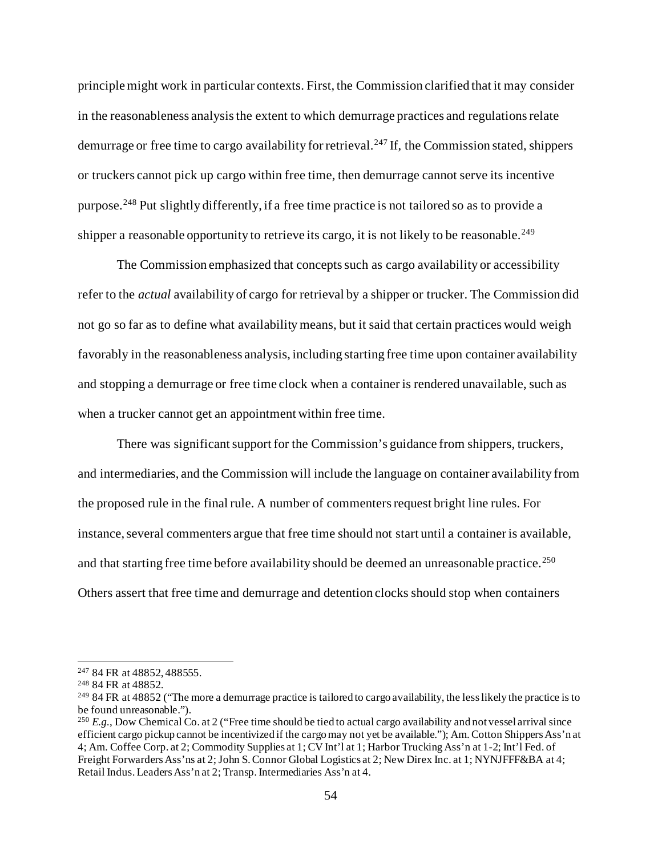principle might work in particular contexts. First, the Commission clarified that it may consider in the reasonableness analysis the extent to which demurrage practices and regulations relate demurrage or free time to cargo availability for retrieval.<sup>[247](#page-53-0)</sup> If, the Commission stated, shippers or truckers cannot pick up cargo within free time, then demurrage cannot serve its incentive purpose.[248](#page-53-1) Put slightly differently, if a free time practice is not tailored so as to provide a shipper a reasonable opportunity to retrieve its cargo, it is not likely to be reasonable.<sup>[249](#page-53-2)</sup>

The Commission emphasized that concepts such as cargo availability or accessibility refer to the *actual* availability of cargo for retrieval by a shipper or trucker. The Commission did not go so far as to define what availability means, but it said that certain practices would weigh favorably in the reasonableness analysis, including starting free time upon container availability and stopping a demurrage or free time clock when a container is rendered unavailable, such as when a trucker cannot get an appointment within free time.

There was significant support for the Commission's guidance from shippers, truckers, and intermediaries, and the Commission will include the language on container availability from the proposed rule in the final rule. A number of commenters request bright line rules. For instance, several commenters argue that free time should not start until a container is available, and that starting free time before availability should be deemed an unreasonable practice.<sup>[250](#page-53-3)</sup> Others assert that free time and demurrage and detention clocks should stop when containers

<span id="page-53-0"></span><sup>247</sup> 84 FR at 48852, 488555.

<span id="page-53-1"></span><sup>248</sup> 84 FR at 48852.

<span id="page-53-2"></span> $249$  84 FR at 48852 ("The more a demurrage practice is tailored to cargo availability, the less likely the practice is to be found unreasonable.").

<span id="page-53-3"></span><sup>250</sup> *E.g.*, Dow Chemical Co. at 2 ("Free time should be tied to actual cargo availability and not vessel arrival since efficient cargo pickup cannot be incentivized if the cargo may not yet be available."); Am. Cotton Shippers Ass'n at 4; Am. Coffee Corp. at 2; Commodity Supplies at 1; CV Int'l at 1; Harbor Trucking Ass'n at 1-2; Int'l Fed. of Freight Forwarders Ass'ns at 2; John S. Connor Global Logistics at 2; New Direx Inc. at 1; NYNJFFF&BA at 4; Retail Indus. Leaders Ass'n at 2; Transp. Intermediaries Ass'n at 4.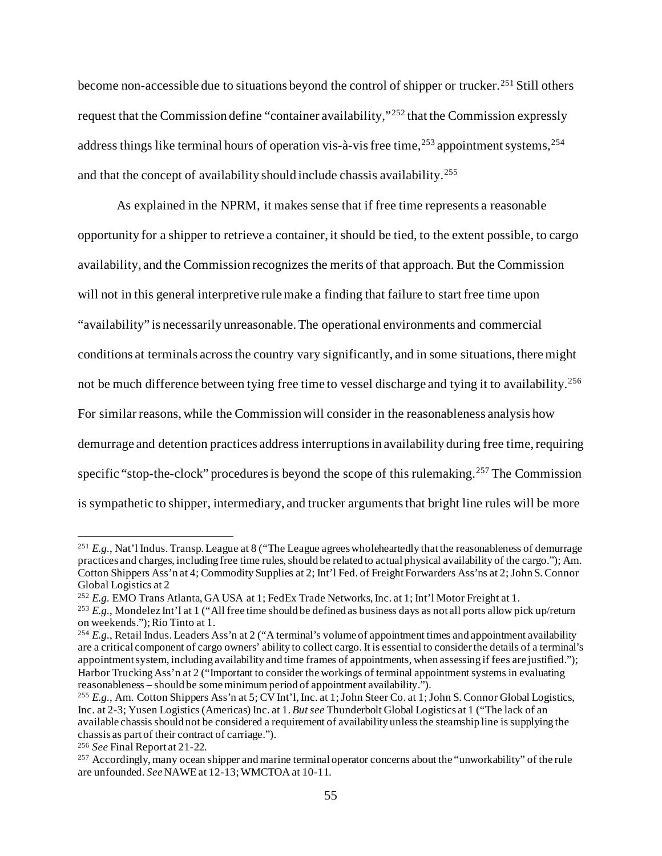become non-accessible due to situations beyond the control of shipper or trucker.<sup>[251](#page-54-0)</sup> Still others request that the Commission define "container availability,"[252](#page-54-1) that the Commission expressly address things like terminal hours of operation vis-à-vis free time,<sup>[253](#page-54-2)</sup> appointment systems,<sup>[254](#page-54-3)</sup> and that the concept of availability should include chassis availability.<sup>[255](#page-54-4)</sup>

As explained in the NPRM, it makes sense that if free time represents a reasonable opportunity for a shipper to retrieve a container, it should be tied, to the extent possible, to cargo availability, and the Commission recognizes the merits of that approach. But the Commission will not in this general interpretive rule make a finding that failure to start free time upon "availability" is necessarily unreasonable. The operational environments and commercial conditions at terminals across the country vary significantly, and in some situations, there might not be much difference between tying free time to vessel discharge and tying it to availability.<sup>[256](#page-54-5)</sup> For similar reasons, while the Commission will consider in the reasonableness analysis how demurrage and detention practices address interruptions in availability during free time, requiring specific "stop-the-clock" procedures is beyond the scope of this rulemaking.<sup>[257](#page-54-6)</sup> The Commission is sympathetic to shipper, intermediary, and trucker arguments that bright line rules will be more

<span id="page-54-0"></span><sup>&</sup>lt;sup>251</sup> *E.g.*, Nat'l Indus. Transp. League at 8 ("The League agrees wholeheartedly that the reasonableness of demurrage practices and charges, including free time rules, should be related to actual physical availability of the cargo."); Am. Cotton Shippers Ass'n at 4; Commodity Supplies at 2; Int'l Fed. of Freight Forwarders Ass'ns at 2; John S. Connor Global Logistics at 2

<span id="page-54-1"></span><sup>252</sup> *E.g.* EMO Trans Atlanta, GA USA at 1; FedEx Trade Networks, Inc. at 1; Int'l Motor Freight at 1.

<span id="page-54-2"></span><sup>253</sup> *E.g.*, Mondelez Int'l at 1 ("All free time should be defined as business days as not all ports allow pick up/return on weekends."); Rio Tinto at 1.

<span id="page-54-3"></span><sup>&</sup>lt;sup>254</sup> *E.g.*, Retail Indus. Leaders Ass'n at 2 ("A terminal's volume of appointment times and appointment availability are a critical component of cargo owners' ability to collect cargo. It is essential to consider the details of a terminal's appointment system, including availability and time frames of appointments, when assessing if fees are justified."); Harbor Trucking Ass'n at 2 ("Important to consider the workings of terminal appointment systems in evaluating reasonableness – should be some minimum period of appointment availability.").

<span id="page-54-4"></span><sup>255</sup> *E.g.*, Am. Cotton Shippers Ass'n at 5; CV Int'l, Inc. at 1; John Steer Co. at 1; John S. Connor Global Logistics, Inc. at 2-3; Yusen Logistics (Americas) Inc. at 1. *But see* Thunderbolt Global Logistics at 1 ("The lack of an available chassis should not be considered a requirement of availability unless the steamship line is supplying the chassis as part of their contract of carriage.").

<span id="page-54-5"></span><sup>256</sup> *See* Final Report at 21-22.

<span id="page-54-6"></span><sup>&</sup>lt;sup>257</sup> Accordingly, many ocean shipper and marine terminal operator concerns about the "unworkability" of the rule are unfounded. *See*NAWE at 12-13; WMCTOA at 10-11.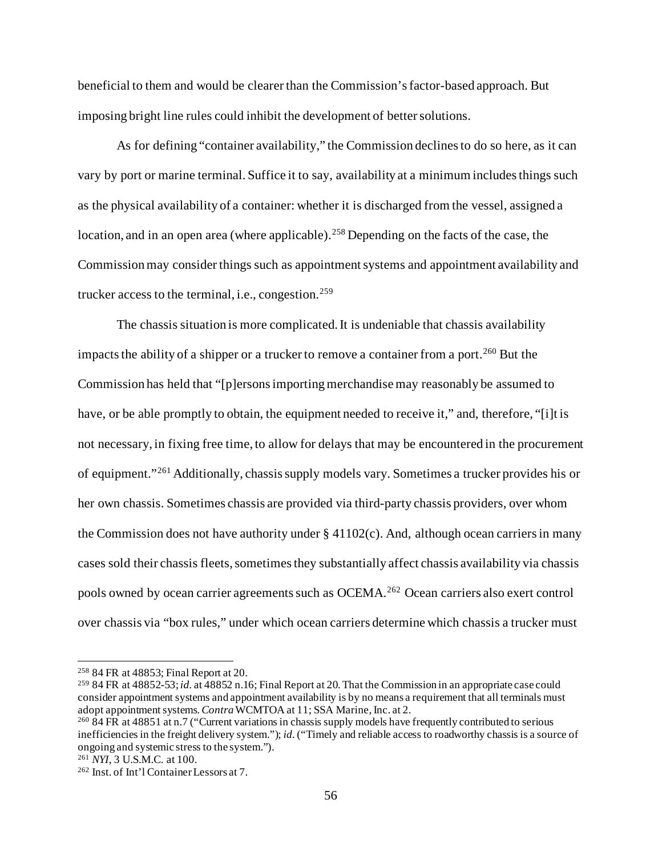beneficial to them and would be clearer than the Commission's factor-based approach. But imposing bright line rules could inhibit the development of better solutions.

As for defining "container availability," the Commission declines to do so here, as it can vary by port or marine terminal. Suffice it to say, availability at a minimum includes things such as the physical availability of a container: whether it is discharged from the vessel, assigned a location, and in an open area (where applicable).<sup>[258](#page-55-0)</sup> Depending on the facts of the case, the Commission may consider things such as appointment systems and appointment availability and trucker access to the terminal, i.e., congestion.<sup>[259](#page-55-1)</sup>

The chassis situation is more complicated. It is undeniable that chassis availability impacts the ability of a shipper or a trucker to remove a container from a port.<sup>[260](#page-55-2)</sup> But the Commission has held that "[p]ersons importing merchandise may reasonably be assumed to have, or be able promptly to obtain, the equipment needed to receive it," and, therefore, "[i]t is not necessary, in fixing free time, to allow for delays that may be encountered in the procurement of equipment."[261](#page-55-3) Additionally, chassis supply models vary. Sometimes a trucker provides his or her own chassis. Sometimes chassis are provided via third-party chassis providers, over whom the Commission does not have authority under  $\S$  41102(c). And, although ocean carriers in many cases sold their chassis fleets, sometimes they substantially affect chassis availability via chassis pools owned by ocean carrier agreements such as OCEMA.[262](#page-55-4) Ocean carriers also exert control over chassis via "box rules," under which ocean carriers determine which chassis a trucker must

<span id="page-55-0"></span><sup>258</sup> 84 FR at 48853; Final Report at 20.

<span id="page-55-1"></span><sup>259</sup> 84 FR at 48852-53; *id.* at 48852 n.16; Final Report at 20. That the Commission in an appropriate case could consider appointment systems and appointment availability is by no means a requirement that all terminals must<br>adopt appointment systems. Contra WCMTOA at 11; SSA Marine, Inc. at 2.

<span id="page-55-2"></span><sup>&</sup>lt;sup>260</sup> 84 FR at 48851 at n.7 ("Current variations in chassis supply models have frequently contributed to serious inefficiencies in the freight delivery system."); *id.*("Timely and reliable access to roadworthy chassis is a source of ongoing and systemic stress to the system.").

<span id="page-55-3"></span><sup>261</sup> *NYI*, 3 U.S.M.C. at 100.

<span id="page-55-4"></span><sup>262</sup> Inst. of Int'l Container Lessors at 7.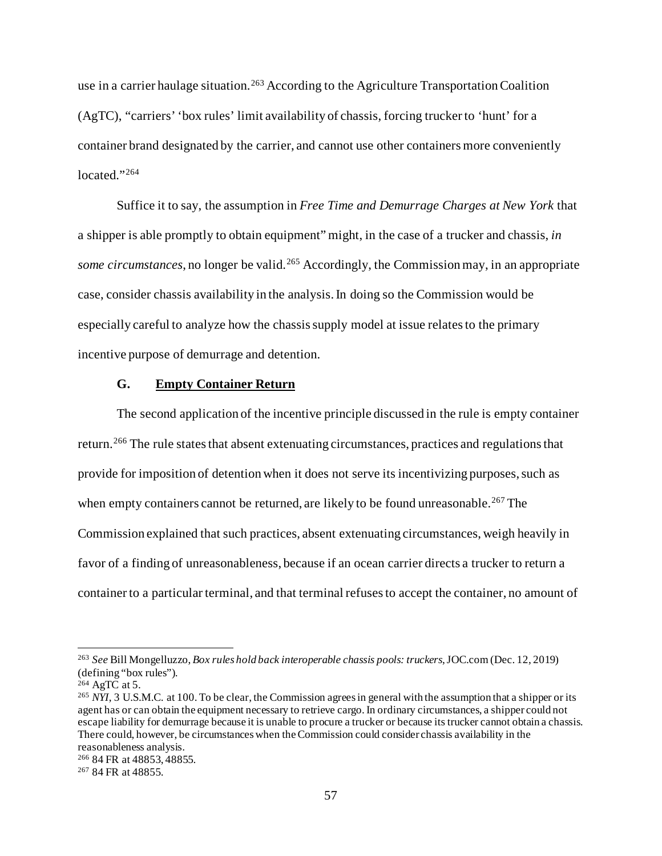use in a carrier haulage situation.<sup>[263](#page-56-0)</sup> According to the Agriculture Transportation Coalition (AgTC), "carriers' 'box rules' limit availability of chassis, forcing trucker to 'hunt' for a container brand designated by the carrier, and cannot use other containers more conveniently located."<sup>[264](#page-56-1)</sup>

Suffice it to say, the assumption in *Free Time and Demurrage Charges at New York* that a shipper is able promptly to obtain equipment" might, in the case of a trucker and chassis, *in some circumstances*, no longer be valid.<sup>[265](#page-56-2)</sup> Accordingly, the Commission may, in an appropriate case, consider chassis availability in the analysis.In doing so the Commission would be especially careful to analyze how the chassis supply model at issue relates to the primary incentive purpose of demurrage and detention.

# **G. Empty Container Return**

The second application of the incentive principle discussed in the rule is empty container return.<sup>[266](#page-56-3)</sup> The rule states that absent extenuating circumstances, practices and regulations that provide for imposition of detention when it does not serve its incentivizing purposes, such as when empty containers cannot be returned, are likely to be found unreasonable.<sup>[267](#page-56-4)</sup> The Commission explained that such practices, absent extenuating circumstances, weigh heavily in favor of a finding of unreasonableness, because if an ocean carrier directs a trucker to return a container to a particular terminal, and that terminal refuses to accept the container, no amount of

<span id="page-56-0"></span><sup>263</sup> *See* Bill Mongelluzzo, *Box rules hold back interoperable chassis pools: truckers*, JOC.com (Dec. 12, 2019) (defining "box rules").

<span id="page-56-1"></span><sup>264</sup> AgTC at 5.

<span id="page-56-2"></span><sup>&</sup>lt;sup>265</sup> *NYI*, 3 U.S.M.C. at 100. To be clear, the Commission agrees in general with the assumption that a shipper or its agent has or can obtain the equipment necessary to retrieve cargo. In ordinary circumstances, a shipper could not escape liability for demurrage because it is unable to procure a trucker or because its trucker cannot obtain a chassis. There could, however, be circumstances when the Commission could consider chassis availability in the reasonableness analysis.

<span id="page-56-3"></span><sup>266</sup> 84 FR at 48853, 48855.

<span id="page-56-4"></span><sup>267</sup> 84 FR at 48855.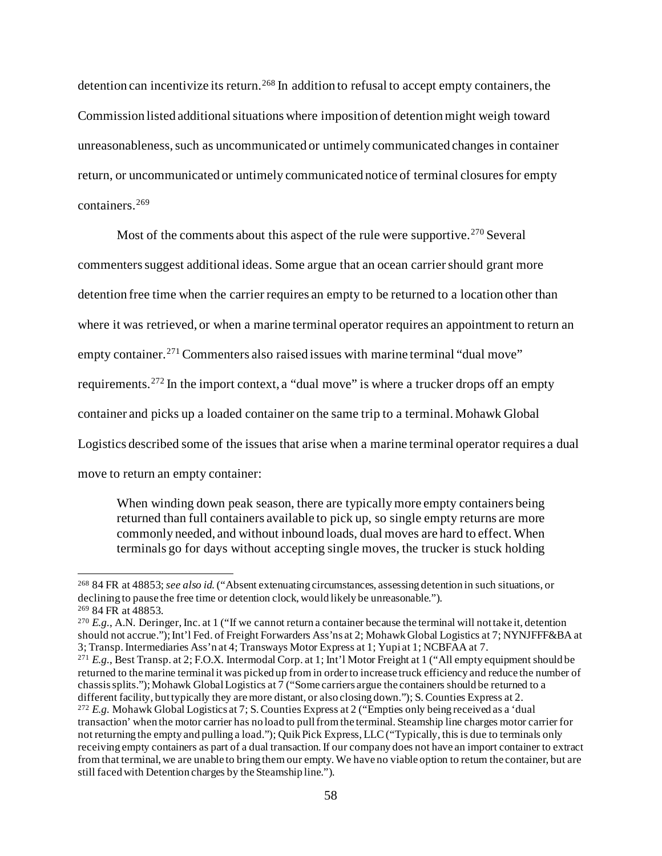detention can incentivize its return.<sup>[268](#page-57-0)</sup> In addition to refusal to accept empty containers, the Commission listed additional situations where imposition of detentionmight weigh toward unreasonableness, such as uncommunicated or untimely communicated changes in container return, or uncommunicated or untimely communicated notice of terminal closures for empty containers.[269](#page-57-1)

Most of the comments about this aspect of the rule were supportive.<sup>[270](#page-57-2)</sup> Several commenterssuggest additional ideas. Some argue that an ocean carrier should grant more detention free time when the carrier requires an empty to be returned to a location other than where it was retrieved, or when a marine terminal operator requires an appointment to return an empty container.<sup>[271](#page-57-3)</sup> Commenters also raised issues with marine terminal "dual move" requirements.[272](#page-57-4) In the import context, a "dual move" is where a trucker drops off an empty container and picks up a loaded container on the same trip to a terminal. Mohawk Global Logistics described some of the issues that arise when a marine terminal operator requires a dual move to return an empty container:

When winding down peak season, there are typically more empty containers being returned than full containers available to pick up, so single empty returns are more commonly needed, and without inbound loads, dual moves are hard to effect. When terminals go for days without accepting single moves, the trucker is stuck holding

<span id="page-57-0"></span><sup>268</sup> 84 FR at 48853; *see also id.*("Absent extenuating circumstances, assessing detention in such situations, or declining to pause the free time or detention clock, would likely be unreasonable."). <sup>269</sup> 84 FR at 48853.

<span id="page-57-2"></span><span id="page-57-1"></span><sup>&</sup>lt;sup>270</sup> E.g., A.N. Deringer, Inc. at 1 ("If we cannot return a container because the terminal will not take it, detention should not accrue."); Int'l Fed. of Freight Forwarders Ass'ns at 2; Mohawk Global Logistics at 7; NYNJFFF&BA at 3; Transp. Intermediaries Ass'n at 4; Transways Motor Express at 1; Yupi at 1; NCBFAA at 7.

<span id="page-57-4"></span><span id="page-57-3"></span><sup>271</sup> *E.g.*, Best Transp. at 2; F.O.X. Intermodal Corp. at 1; Int'l Motor Freight at 1 ("All empty equipment should be returned to the marine terminal it was picked up from in order to increase truck efficiency and reduce the number of chassis splits."); Mohawk Global Logistics at 7 ("Some carriers argue the containers should be returned to a different facility, but typically they are more distant, or also closing down."); S. Counties Express at 2. <sup>272</sup> *E.g.* Mohawk Global Logistics at 7; S. Counties Express at 2 ("Empties only being received as a 'dual transaction' when the motor carrier has no load to pull from the terminal. Steamship line charges motor carrier for not returning the empty and pulling a load."); Quik Pick Express, LLC ("Typically, this is due to terminals only receiving empty containers as part of a dual transaction. If our company does not have an import container to extract from that terminal, we are unable to bring them our empty. We have no viable option to return the container, but are still faced with Detention charges by the Steamship line.").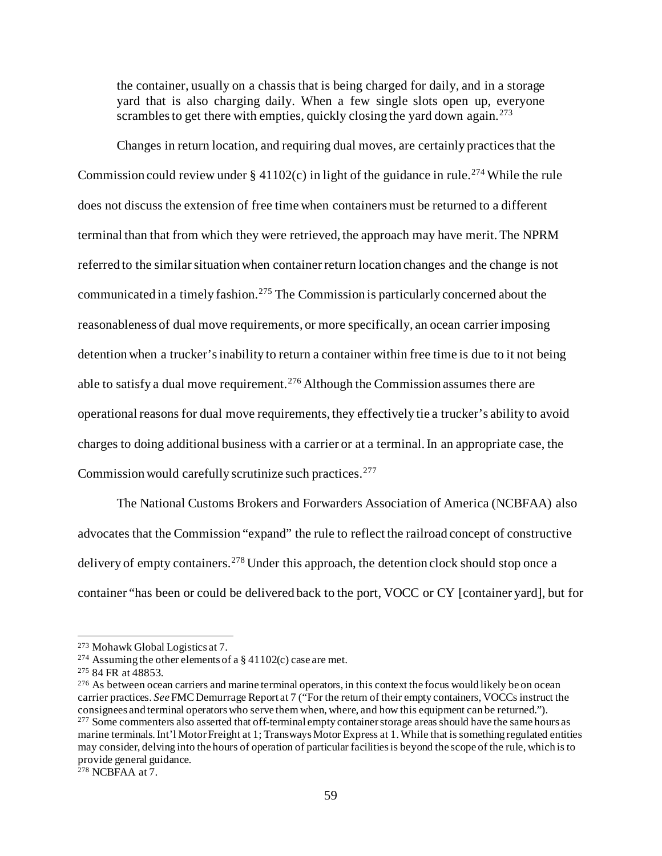the container, usually on a chassis that is being charged for daily, and in a storage yard that is also charging daily. When a few single slots open up, everyone scrambles to get there with empties, quickly closing the yard down again.<sup>[273](#page-58-0)</sup>

Changes in return location, and requiring dual moves, are certainly practices that the Commission could review under  $\S 41102(c)$  in light of the guidance in rule.<sup>[274](#page-58-1)</sup> While the rule does not discuss the extension of free time when containers must be returned to a different terminal than that from which they were retrieved, the approach may have merit.The NPRM referred to the similar situation when container return location changes and the change is not communicated in a timely fashion.<sup>[275](#page-58-2)</sup> The Commission is particularly concerned about the reasonableness of dual move requirements, or more specifically, an ocean carrier imposing detention when a trucker's inability to return a container within free time is due to it not being able to satisfy a dual move requirement.<sup>[276](#page-58-3)</sup> Although the Commission assumes there are operational reasons for dual move requirements, they effectively tie a trucker's ability to avoid charges to doing additional business with a carrier or at a terminal. In an appropriate case, the Commission would carefully scrutinize such practices.<sup>[277](#page-58-4)</sup>

The National Customs Brokers and Forwarders Association of America (NCBFAA) also advocates that the Commission "expand" the rule to reflect the railroad concept of constructive delivery of empty containers.<sup>[278](#page-58-5)</sup> Under this approach, the detention clock should stop once a container "has been or could be delivered back to the port, VOCC or CY [container yard], but for

<span id="page-58-0"></span><sup>273</sup> Mohawk Global Logistics at 7.

<span id="page-58-1"></span><sup>&</sup>lt;sup>274</sup> Assuming the other elements of a  $\S$  41102(c) case are met.

<span id="page-58-2"></span><sup>275</sup> 84 FR at 48853.

<span id="page-58-4"></span><span id="page-58-3"></span><sup>&</sup>lt;sup>276</sup> As between ocean carriers and marine terminal operators, in this context the focus would likely be on ocean carrier practices. *See* FMC Demurrage Report at 7 ("For the return of their empty containers, VOCCs instruct the consignees and terminal operators who serve them when, where, and how this equipment can be returned."). <sup>277</sup> Some commenters also asserted that off-terminal empty container storage areas should have the same hours as marine terminals. Int'l Motor Freight at 1; Transways Motor Express at 1. While that is something regulated entities may consider, delving into the hours of operation of particular facilities is beyond the scope of the rule, which is to provide general guidance.

<span id="page-58-5"></span><sup>278</sup> NCBFAA at 7.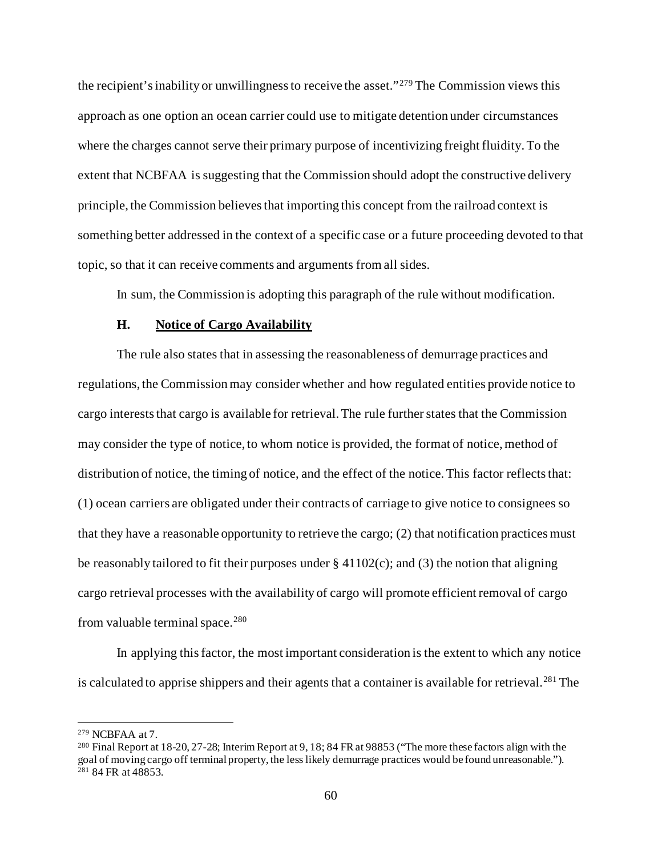the recipient's inability or unwillingness to receive the asset."[279](#page-59-0) The Commission views this approach as one option an ocean carrier could use to mitigate detention under circumstances where the charges cannot serve their primary purpose of incentivizing freight fluidity. To the extent that NCBFAA is suggesting that the Commission should adopt the constructive delivery principle, the Commission believes that importing this concept from the railroad context is something better addressed in the context of a specific case or a future proceeding devoted to that topic, so that it can receive comments and arguments from all sides.

In sum, the Commission is adopting this paragraph of the rule without modification.

### **H. Notice of Cargo Availability**

The rule also states that in assessing the reasonableness of demurrage practices and regulations, the Commission may consider whether and how regulated entities provide notice to cargo interests that cargo is available for retrieval.The rule further states that the Commission may consider the type of notice, to whom notice is provided, the format of notice, method of distribution of notice, the timing of notice, and the effect of the notice.This factor reflects that: (1) ocean carriers are obligated under their contracts of carriage to give notice to consignees so that they have a reasonable opportunity to retrieve the cargo; (2) that notification practices must be reasonably tailored to fit their purposes under  $\S$  41102(c); and (3) the notion that aligning cargo retrieval processes with the availability of cargo will promote efficient removal of cargo from valuable terminal space.<sup>[280](#page-59-1)</sup>

In applying this factor, the most important consideration is the extent to which any notice is calculated to apprise shippers and their agents that a container is available for retrieval.<sup>[281](#page-59-2)</sup> The

<span id="page-59-0"></span><sup>279</sup> NCBFAA at 7.

<span id="page-59-2"></span><span id="page-59-1"></span><sup>280</sup> Final Report at 18-20, 27-28; Interim Report at 9, 18; 84 FR at 98853 ("The more these factors align with the goal of moving cargo off terminal property, the less likely demurrage practices would be found unreasonable."). <sup>281</sup> 84 FR at 48853.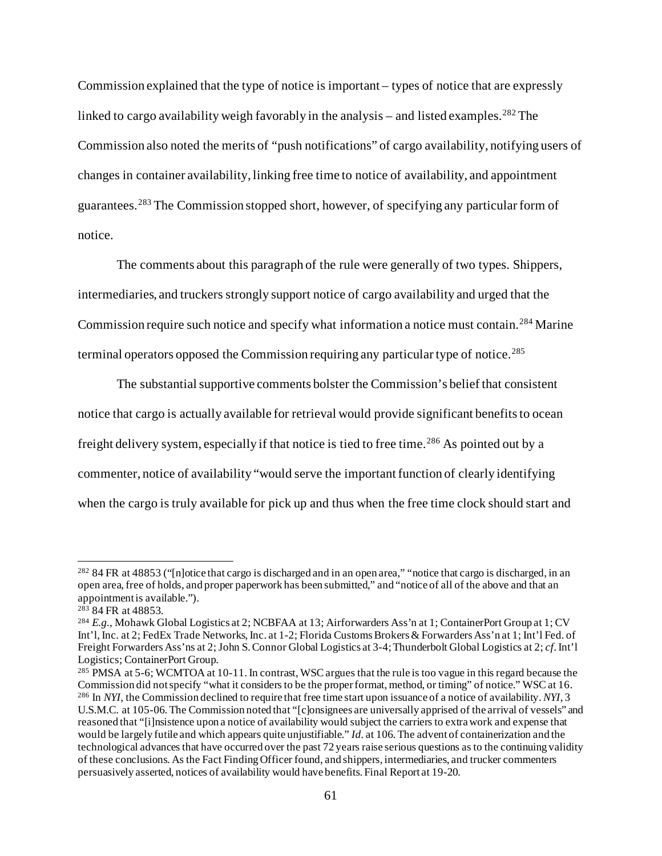Commission explained that the type of notice is important – types of notice that are expressly linked to cargo availability weigh favorably in the analysis – and listed examples.<sup>[282](#page-60-0)</sup> The Commission also noted the merits of "push notifications" of cargo availability, notifying users of changes in container availability, linking free time to notice of availability, and appointment guarantees.[283](#page-60-1) The Commission stopped short, however, of specifying any particular form of notice.

The comments about this paragraph of the rule were generally of two types. Shippers, intermediaries, and truckers strongly support notice of cargo availability and urged that the Commission require such notice and specify what information a notice must contain.[284](#page-60-2) Marine terminal operators opposed the Commission requiring any particular type of notice.<sup>[285](#page-60-3)</sup>

The substantial supportive comments bolster the Commission's belief that consistent notice that cargo is actually available for retrieval would provide significant benefits to ocean freight delivery system, especially if that notice is tied to free time.<sup>[286](#page-60-4)</sup> As pointed out by a commenter, notice of availability "would serve the important function of clearly identifying when the cargo is truly available for pick up and thus when the free time clock should start and

<span id="page-60-0"></span><sup>282</sup> 84 FR at 48853 ("[n]otice that cargo is discharged and in an open area," "notice that cargo is discharged, in an open area, free of holds, and proper paperwork has been submitted," and "notice of all of the above and that an appointment is available.").

<span id="page-60-1"></span><sup>&</sup>lt;sup>283</sup> 84 FR at 48853.

<span id="page-60-2"></span><sup>284</sup> *E.g.*, Mohawk Global Logistics at 2; NCBFAA at 13; Airforwarders Ass'n at 1; ContainerPort Group at 1; CV Int'l, Inc. at 2; FedEx Trade Networks, Inc. at 1-2; Florida Customs Brokers & Forwarders Ass'n at 1; Int'l Fed. of Freight Forwarders Ass'ns at 2; John S. Connor Global Logistics at 3-4; Thunderbolt Global Logistics at 2; *cf*. Int'l Logistics; ContainerPort Group.

<span id="page-60-4"></span><span id="page-60-3"></span><sup>&</sup>lt;sup>285</sup> PMSA at 5-6; WCMTOA at 10-11. In contrast, WSC argues that the rule is too vague in this regard because the Commission did not specify "what it considers to be the proper format, method, or timing" of notice." WSC at 16. <sup>286</sup> In *NYI*, the Commission declined to require that free time start upon issuance of a notice of availability. *NYI*, 3 U.S.M.C. at 105-06. The Commission noted that "[c]onsignees are universally apprised of the arrival of vessels" and reasoned that "[i]nsistence upon a notice of availability would subject the carriers to extra work and expense that would be largely futile and which appears quite unjustifiable." *Id.* at 106. The advent of containerization and the technological advances that have occurred over the past 72 years raise serious questions as to the continuing validity of these conclusions. As the Fact Finding Officer found, and shippers, intermediaries, and trucker commenters persuasively asserted, notices of availability would have benefits. Final Report at 19-20.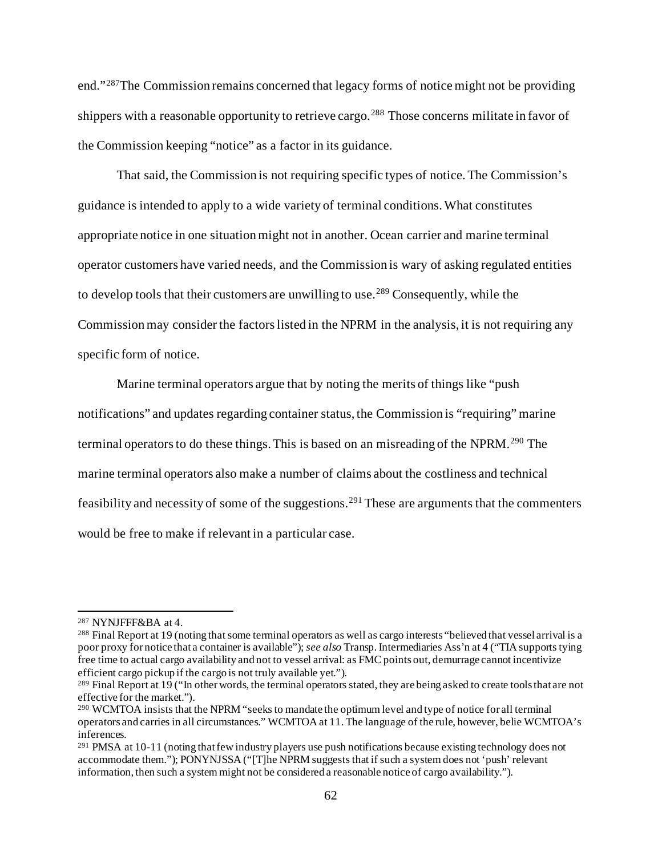end."[287](#page-61-0)The Commission remains concerned that legacy forms of notice might not be providing shippers with a reasonable opportunity to retrieve cargo.<sup>[288](#page-61-1)</sup> Those concerns militate in favor of the Commission keeping "notice" as a factor in its guidance.

That said, the Commission is not requiring specific types of notice.The Commission's guidance is intended to apply to a wide variety of terminal conditions. What constitutes appropriate notice in one situation might not in another. Ocean carrier and marine terminal operator customers have varied needs, and the Commission is wary of asking regulated entities to develop tools that their customers are unwilling to use.<sup>[289](#page-61-2)</sup> Consequently, while the Commission may consider the factors listed in the NPRM in the analysis, it is not requiring any specific form of notice.

Marine terminal operators argue that by noting the merits of things like "push notifications" and updates regarding container status, the Commission is "requiring" marine terminal operators to do these things. This is based on an misreading of the NPRM.<sup>[290](#page-61-3)</sup> The marine terminal operators also make a number of claims about the costliness and technical feasibility and necessity of some of the suggestions. [291](#page-61-4) These are arguments that the commenters would be free to make if relevant in a particular case.

<span id="page-61-0"></span><sup>287</sup> NYNJFFF&BA at 4.

<span id="page-61-1"></span><sup>288</sup> Final Report at 19 (noting that some terminal operators as well as cargo interests "believed that vessel arrival is a poor proxy for notice that a container is available"); *see also* Transp. Intermediaries Ass'n at 4 ("TIA supports tying free time to actual cargo availability and not to vessel arrival: as FMC points out, demurrage cannot incentivize efficient cargo pickup if the cargo is not truly available yet.").

<span id="page-61-2"></span><sup>&</sup>lt;sup>289</sup> Final Report at 19 ("In other words, the terminal operators stated, they are being asked to create tools that are not effective for the market.").

<span id="page-61-3"></span><sup>&</sup>lt;sup>290</sup> WCMTOA insists that the NPRM "seeks to mandate the optimum level and type of notice for all terminal operators and carries in all circumstances." WCMTOA at 11. The language of the rule, however, belie WCMTOA's inferences.

<span id="page-61-4"></span> $^{291}$  PMSA at 10-11 (noting that few industry players use push notifications because existing technology does not accommodate them."); PONYNJSSA ("[T]he NPRM suggests that if such a system does not 'push' relevant information, then such a system might not be considered a reasonable notice of cargo availability.").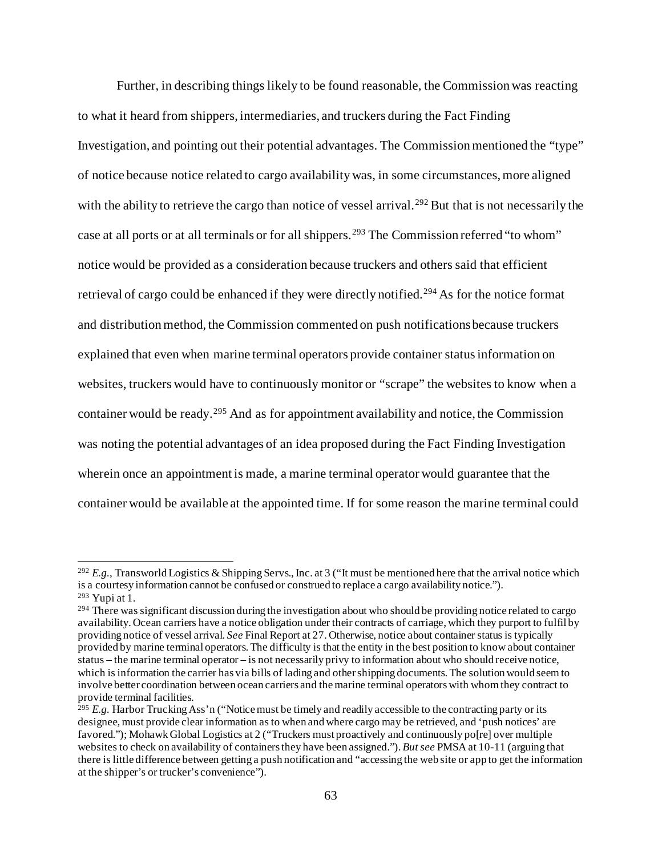Further, in describing things likely to be found reasonable, the Commission was reacting to what it heard from shippers, intermediaries, and truckers during the Fact Finding Investigation, and pointing out their potential advantages. The Commission mentioned the "type" of notice because notice related to cargo availability was, in some circumstances, more aligned with the ability to retrieve the cargo than notice of vessel arrival.<sup>[292](#page-62-0)</sup> But that is not necessarily the case at all ports or at all terminals or for all shippers.<sup>[293](#page-62-1)</sup> The Commission referred "to whom" notice would be provided as a consideration because truckers and others said that efficient retrieval of cargo could be enhanced if they were directly notified.<sup>[294](#page-62-2)</sup> As for the notice format and distribution method, the Commission commented on push notifications because truckers explained that even when marine terminal operators provide container status information on websites, truckers would have to continuously monitor or "scrape" the websites to know when a container would be ready.<sup>[295](#page-62-3)</sup> And as for appointment availability and notice, the Commission was noting the potential advantages of an idea proposed during the Fact Finding Investigation wherein once an appointment is made, a marine terminal operator would guarantee that the container would be available at the appointed time. If for some reason the marine terminal could

<span id="page-62-0"></span><sup>292</sup> *E.g.*, Transworld Logistics & Shipping Servs., Inc. at 3 ("It must be mentioned here that the arrival notice which is a courtesy information cannot be confused or construed to replace a cargo availability notice."). <sup>293</sup> Yupi at 1.

<span id="page-62-2"></span><span id="page-62-1"></span><sup>&</sup>lt;sup>294</sup> There was significant discussion during the investigation about who should be providing notice related to cargo availability. Ocean carriers have a notice obligation under their contracts of carriage, which they purport to fulfil by providing notice of vessel arrival. *See* Final Report at 27. Otherwise, notice about container status is typically provided by marine terminal operators. The difficulty is that the entity in the best position to know about container status – the marine terminal operator – is not necessarily privy to information about who should receive notice, which is information the carrier has via bills of lading and other shipping documents. The solution would seem to involve better coordination between ocean carriers and the marine terminal operators with whom they contract to provide terminal facilities.

<span id="page-62-3"></span><sup>&</sup>lt;sup>295</sup> *E.g.* Harbor Trucking Ass'n ("Notice must be timely and readily accessible to the contracting party or its designee, must provide clear information as to when and where cargo may be retrieved, and 'push notices' are favored."); Mohawk Global Logistics at 2 ("Truckers must proactively and continuously po[re] over multiple websites to check on availability of containers they have been assigned."). *But see* PMSA at 10-11 (arguing that there is little difference between getting a push notification and "accessing the web site or app to get the information at the shipper's or trucker's convenience").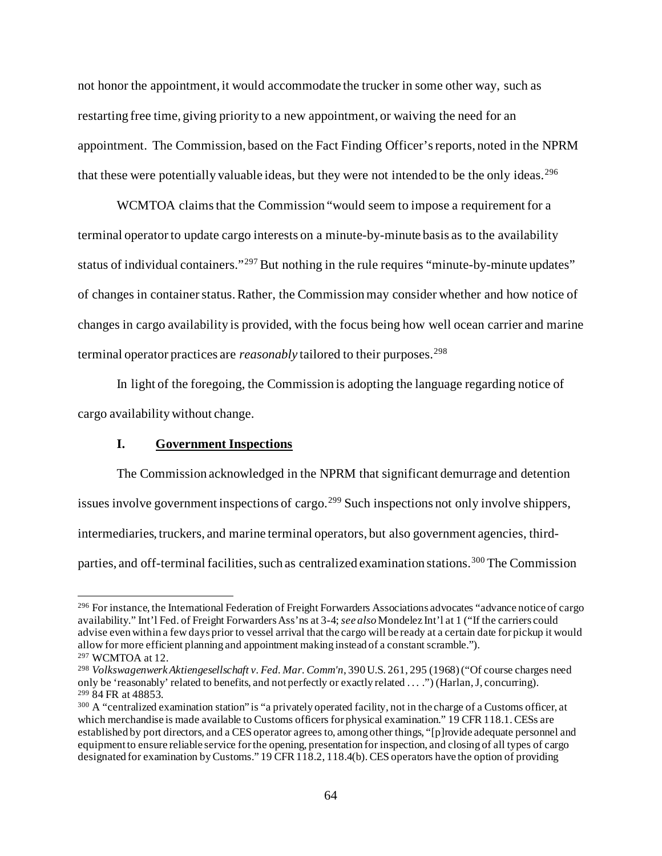not honor the appointment, it would accommodate the trucker in some other way, such as restarting free time, giving priority to a new appointment, or waiving the need for an appointment. The Commission, based on the Fact Finding Officer's reports, noted in the NPRM that these were potentially valuable ideas, but they were not intended to be the only ideas.<sup>[296](#page-63-0)</sup>

WCMTOA claims that the Commission "would seem to impose a requirement for a terminal operator to update cargo interests on a minute-by-minute basis as to the availability status of individual containers."<sup>[297](#page-63-1)</sup> But nothing in the rule requires "minute-by-minute updates" of changes in container status. Rather, the Commission may consider whether and how notice of changes in cargo availability is provided, with the focus being how well ocean carrier and marine terminal operator practices are *reasonably* tailored to their purposes.<sup>[298](#page-63-2)</sup>

In light of the foregoing, the Commission is adopting the language regarding notice of cargo availability without change.

## **I. Government Inspections**

The Commission acknowledged in the NPRM that significant demurrage and detention issues involve government inspections of cargo.<sup>[299](#page-63-3)</sup> Such inspections not only involve shippers, intermediaries, truckers, and marine terminal operators, but also government agencies, third-parties, and off-terminal facilities, such as centralized examination stations.<sup>[300](#page-63-4)</sup> The Commission

<span id="page-63-0"></span><sup>296</sup> For instance, the International Federation of Freight Forwarders Associations advocates "advance notice of cargo availability." Int'l Fed. of Freight Forwarders Ass'ns at 3-4; *see also*Mondelez Int'l at 1 ("If the carriers could advise even within a few days prior to vessel arrival that the cargo will be ready at a certain date for pickup it would allow for more efficient planning and appointment making instead of a constant scramble.").

<span id="page-63-1"></span><sup>297</sup> WCMTOA at 12.

<span id="page-63-2"></span><sup>298</sup> *Volkswagenwerk Aktiengesellschaft v. Fed. Mar. Comm'n*, 390 U.S. 261, 295 (1968) ("Of course charges need only be 'reasonably' related to benefits, and not perfectly or exactly related . . . .") (Harlan, J, concurring). <sup>299</sup> 84 FR at 48853.

<span id="page-63-4"></span><span id="page-63-3"></span><sup>&</sup>lt;sup>300</sup> A "centralized examination station" is "a privately operated facility, not in the charge of a Customs officer, at which merchandise is made available to Customs officers for physical examination." 19 CFR 118.1. CESs are established by port directors, and a CES operator agrees to, among other things, "[p]rovide adequate personnel and equipment to ensure reliable service for the opening, presentation for inspection, and closing of all types of cargo designated for examination by Customs." 19 CFR 118.2, 118.4(b). CES operators have the option of providing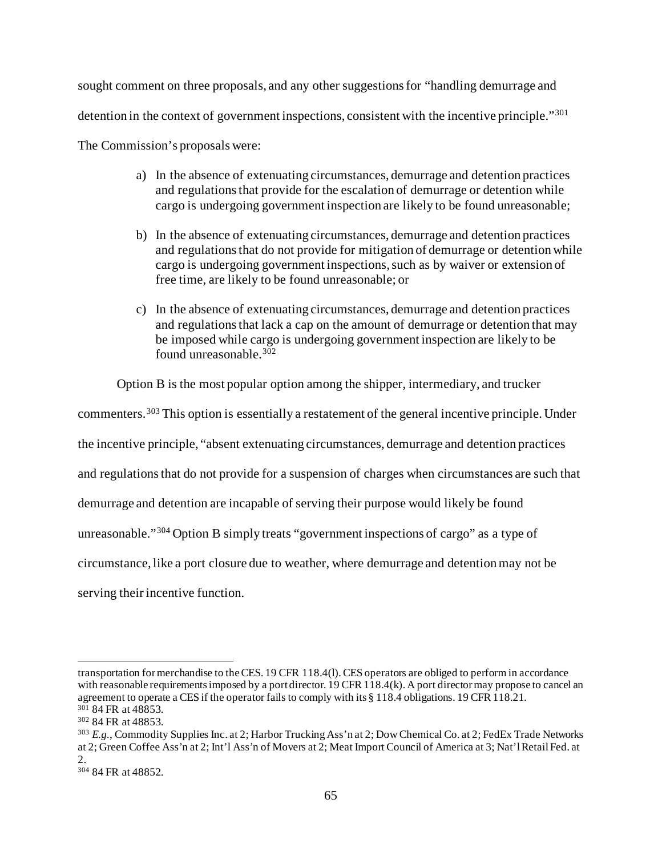sought comment on three proposals, and any other suggestions for "handling demurrage and detention in the context of government inspections, consistent with the incentive principle."<sup>[301](#page-64-0)</sup>

The Commission's proposals were:

- a) In the absence of extenuating circumstances, demurrage and detention practices and regulations that provide for the escalation of demurrage or detention while cargo is undergoing government inspection are likely to be found unreasonable;
- b) In the absence of extenuating circumstances, demurrage and detention practices and regulations that do not provide for mitigation of demurrage or detention while cargo is undergoing government inspections, such as by waiver or extension of free time, are likely to be found unreasonable; or
- c) In the absence of extenuating circumstances, demurrage and detention practices and regulations that lack a cap on the amount of demurrage or detention that may be imposed while cargo is undergoing government inspection are likely to be found unreasonable.[302](#page-64-1)

Option B is the most popular option among the shipper, intermediary, and trucker

commenters.<sup>[303](#page-64-2)</sup> This option is essentially a restatement of the general incentive principle. Under the incentive principle, "absent extenuating circumstances, demurrage and detention practices and regulations that do not provide for a suspension of charges when circumstances are such that demurrage and detention are incapable of serving their purpose would likely be found unreasonable."[304](#page-64-3) Option B simply treats "government inspections of cargo" as a type of circumstance, like a port closure due to weather, where demurrage and detention may not be serving their incentive function.

transportation for merchandise to the CES. 19 CFR 118.4(l). CES operators are obliged to perform in accordance with reasonable requirements imposed by a port director. 19 CFR 118.4(k). A port director may propose to cancel an agreement to operate a CES if the operator fails to comply with its § 118.4 obligations. 19 CFR 118.21.

<span id="page-64-0"></span><sup>&</sup>lt;sup>301</sup> 84 FR at 48853.

<span id="page-64-1"></span><sup>302</sup> 84 FR at 48853.

<span id="page-64-2"></span><sup>&</sup>lt;sup>303</sup> E.g., Commodity Supplies Inc. at 2; Harbor Trucking Ass'n at 2; Dow Chemical Co. at 2; FedEx Trade Networks at 2; Green Coffee Ass'n at 2; Int'l Ass'n of Movers at 2; Meat Import Council of America at 3; Nat'l Retail Fed. at 2.

<span id="page-64-3"></span><sup>304</sup> 84 FR at 48852.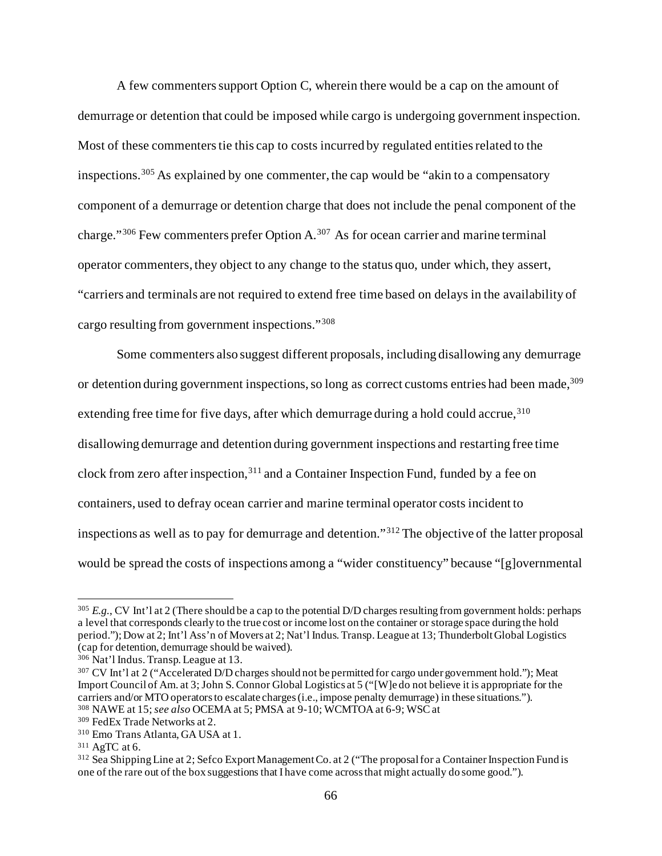A few commenters support Option C, wherein there would be a cap on the amount of demurrage or detention that could be imposed while cargo is undergoing government inspection. Most of these commenters tie this cap to costs incurred by regulated entities related to the inspections.[305](#page-65-0) As explained by one commenter, the cap would be "akin to a compensatory component of a demurrage or detention charge that does not include the penal component of the charge." $306$  Few commenters prefer Option A. $307$  As for ocean carrier and marine terminal operator commenters, they object to any change to the status quo, under which, they assert, "carriers and terminals are not required to extend free time based on delays in the availability of cargo resulting from government inspections."[308](#page-65-3)

Some commenters also suggest different proposals, including disallowing any demurrage or detention during government inspections, so long as correct customs entries had been made,<sup>309</sup> extending free time for five days, after which demurrage during a hold could accrue, [310](#page-65-5) disallowing demurrage and detention during government inspections and restarting free time clock from zero after inspection,<sup>[311](#page-65-6)</sup> and a Container Inspection Fund, funded by a fee on containers, used to defray ocean carrier and marine terminal operator costs incident to inspections as well as to pay for demurrage and detention."[312](#page-65-7) The objective of the latter proposal would be spread the costs of inspections among a "wider constituency" because "[g]overnmental

<span id="page-65-0"></span><sup>&</sup>lt;sup>305</sup> *E.g.*, CV Int'l at 2 (There should be a cap to the potential D/D charges resulting from government holds: perhaps a level that corresponds clearly to the true cost or income lost on the container or storage space during the hold period."); Dow at 2; Int'l Ass'n of Movers at 2; Nat'l Indus. Transp. League at 13; Thunderbolt Global Logistics (cap for detention, demurrage should be waived).

<span id="page-65-1"></span><sup>306</sup> Nat'l Indus. Transp. League at 13.

<span id="page-65-2"></span><sup>307</sup> CV Int'l at 2 ("Accelerated D/D charges should not be permitted for cargo under government hold."); Meat Import Council of Am. at 3; John S. Connor Global Logistics at 5 ("[W]e do not believe it is appropriate for the carriers and/or MTO operators to escalate charges (i.e., impose penalty demurrage) in these situations."). <sup>308</sup> NAWE at 15; *see also* OCEMA at 5; PMSA at 9-10; WCMTOA at 6-9; WSC at

<span id="page-65-4"></span><span id="page-65-3"></span><sup>309</sup> FedEx Trade Networks at 2.

<span id="page-65-5"></span><sup>310</sup> Emo Trans Atlanta, GA USA at 1.

<span id="page-65-6"></span><sup>311</sup> AgTC at 6.

<span id="page-65-7"></span><sup>312</sup> Sea Shipping Line at 2; Sefco Export Management Co. at 2 ("The proposal for a Container Inspection Fund is one of the rare out of the box suggestions that I have come across that might actually do some good.").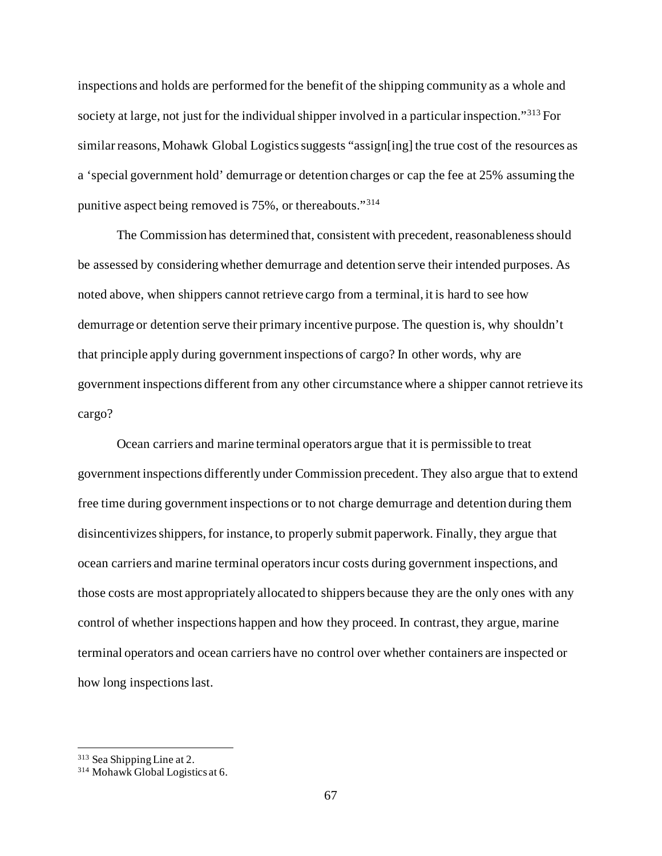inspections and holds are performed for the benefit of the shipping community as a whole and society at large, not just for the individual shipper involved in a particular inspection."[313](#page-66-0) For similar reasons, Mohawk Global Logistics suggests "assign[ing] the true cost of the resources as a 'special government hold' demurrage or detention charges or cap the fee at 25% assuming the punitive aspect being removed is 75%, or thereabouts."[314](#page-66-1)

The Commission has determined that, consistent with precedent, reasonableness should be assessed by considering whether demurrage and detention serve their intended purposes. As noted above, when shippers cannot retrieve cargo from a terminal, it is hard to see how demurrage or detention serve their primary incentive purpose. The question is, why shouldn't that principle apply during government inspections of cargo? In other words, why are government inspections different from any other circumstance where a shipper cannot retrieve its cargo?

Ocean carriers and marine terminal operators argue that it is permissible to treat government inspections differently under Commission precedent. They also argue that to extend free time during government inspections or to not charge demurrage and detention during them disincentivizes shippers, for instance, to properly submit paperwork. Finally, they argue that ocean carriers and marine terminal operators incur costs during government inspections, and those costs are most appropriately allocated to shippers because they are the only ones with any control of whether inspections happen and how they proceed. In contrast, they argue, marine terminal operators and ocean carriers have no control over whether containers are inspected or how long inspections last.

<span id="page-66-0"></span><sup>313</sup> Sea Shipping Line at 2.

<span id="page-66-1"></span><sup>314</sup> Mohawk Global Logistics at 6.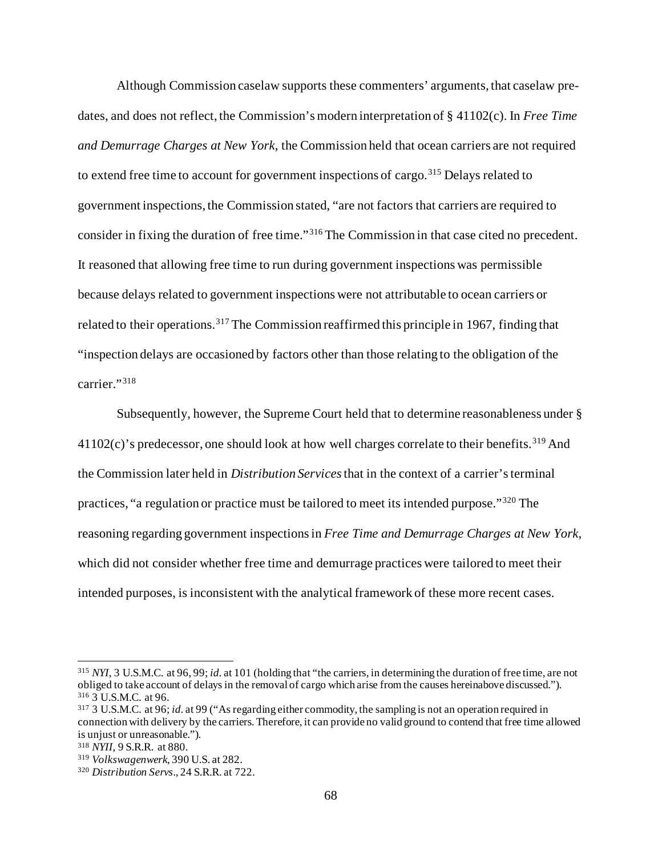Although Commission caselaw supports these commenters' arguments, that caselaw predates, and does not reflect, the Commission's modern interpretation of § 41102(c). In *Free Time and Demurrage Charges at New York*, the Commission held that ocean carriers are not required to extend free time to account for government inspections of cargo.<sup>[315](#page-67-0)</sup> Delays related to government inspections, the Commission stated, "are not factors that carriers are required to consider in fixing the duration of free time."[316](#page-67-1) The Commission in that case cited no precedent. It reasoned that allowing free time to run during government inspections was permissible because delays related to government inspections were not attributable to ocean carriers or related to their operations.<sup>[317](#page-67-2)</sup> The Commission reaffirmed this principle in 1967, finding that "inspection delays are occasioned by factors other than those relating to the obligation of the carrier."[318](#page-67-3)

Subsequently, however, the Supreme Court held that to determine reasonableness under §  $41102(c)$ 's predecessor, one should look at how well charges correlate to their benefits.<sup>[319](#page-67-4)</sup> And the Commission later held in *Distribution Services*that in the context of a carrier's terminal practices, "a regulation or practice must be tailored to meet its intended purpose."[320](#page-67-5) The reasoning regarding government inspectionsin *Free Time and Demurrage Charges at New York*, which did not consider whether free time and demurrage practices were tailored to meet their intended purposes, is inconsistent with the analytical framework of these more recent cases.

<span id="page-67-0"></span><sup>315</sup> *NYI*, 3 U.S.M.C. at 96, 99; *id.* at 101 (holding that "the carriers, in determining the duration of free time, are not obliged to take account of delays in the removal of cargo which arise from the causes hereinabove discussed."). <sup>316</sup> 3 U.S.M.C. at 96.

<span id="page-67-2"></span><span id="page-67-1"></span><sup>317</sup> 3 U.S.M.C. at 96; *id.* at 99 ("As regarding either commodity, the sampling is not an operation required in connection with delivery by the carriers. Therefore, it can provide no valid ground to contend that free time allowed is unjust or unreasonable.").

<span id="page-67-3"></span><sup>318</sup> *NYII*, 9 S.R.R. at 880.

<span id="page-67-4"></span><sup>319</sup> *Volkswagenwerk*, 390 U.S. at 282.

<span id="page-67-5"></span><sup>320</sup> *Distribution Servs*., 24 S.R.R. at 722.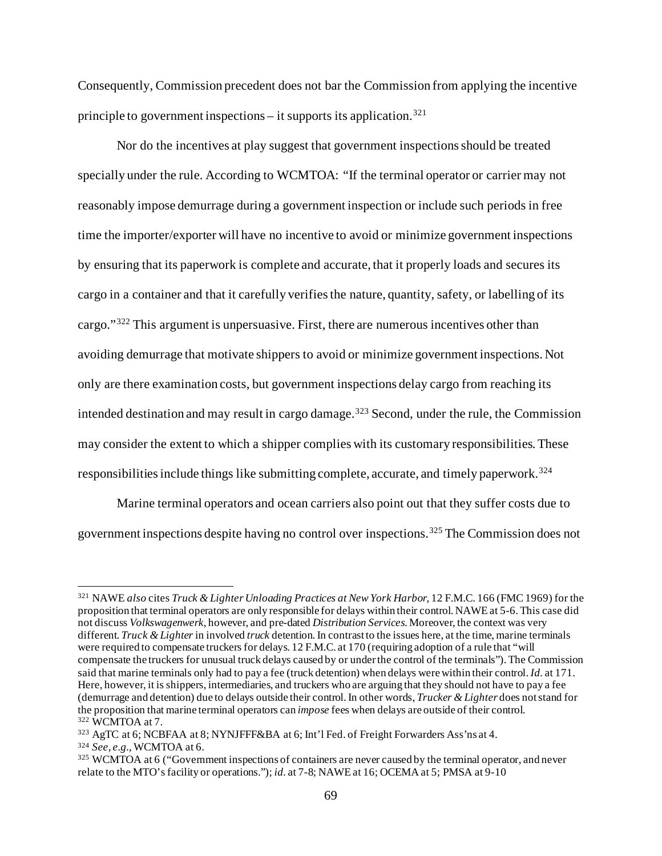Consequently, Commission precedent does not bar the Commission from applying the incentive principle to government inspections – it supports its application.<sup>[321](#page-68-0)</sup>

Nor do the incentives at play suggest that government inspections should be treated specially under the rule. According to WCMTOA: "If the terminal operator or carrier may not reasonably impose demurrage during a government inspection or include such periods in free time the importer/exporter will have no incentive to avoid or minimize government inspections by ensuring that its paperwork is complete and accurate, that it properly loads and secures its cargo in a container and that it carefully verifies the nature, quantity, safety, or labelling of its cargo."[322](#page-68-1) This argument is unpersuasive. First, there are numerous incentives other than avoiding demurrage that motivate shippers to avoid or minimize government inspections. Not only are there examination costs, but government inspections delay cargo from reaching its intended destination and may result in cargo damage. [323](#page-68-2) Second, under the rule, the Commission may consider the extent to which a shipper complies with its customary responsibilities. These responsibilities include things like submitting complete, accurate, and timely paperwork. [324](#page-68-3)

Marine terminal operators and ocean carriers also point out that they suffer costs due to government inspections despite having no control over inspections. [325](#page-68-4) The Commission does not

<span id="page-68-0"></span><sup>321</sup> NAWE *also* cites *Truck & Lighter Unloading Practices at New York Harbor*, 12 F.M.C. 166 (FMC 1969) for the proposition that terminal operators are only responsible for delays within their control. NAWE at 5-6. This case did not discuss *Volkswagenwerk*, however, and pre-dated *Distribution Services*. Moreover, the context was very different. *Truck & Lighter* in involved *truck* detention. In contrast to the issues here, at the time, marine terminals were required to compensate truckers for delays. 12 F.M.C. at 170 (requiring adoption of a rule that "will compensate the truckers for unusual truck delays caused by or under the control of the terminals"). The Commission said that marine terminals only had to pay a fee (truck detention) when delays were within their control. *Id.* at 171. Here, however, it is shippers, intermediaries, and truckers who are arguing that they should not have to pay a fee (demurrage and detention) due to delays outside their control. In other words, *Trucker & Lighter* does not stand for the proposition that marine terminal operators can *impose* fees when delays are outside of their control. <sup>322</sup> WCMTOA at 7.

<span id="page-68-2"></span><span id="page-68-1"></span><sup>323</sup> AgTC at 6; NCBFAA at 8; NYNJFFF&BA at 6; Int'l Fed. of Freight Forwarders Ass'ns at 4.

<span id="page-68-3"></span><sup>324</sup> *See*, *e.g.*, WCMTOA at 6.

<span id="page-68-4"></span><sup>325</sup> WCMTOA at 6 ("Government inspections of containers are never caused by the terminal operator, and never relate to the MTO's facility or operations."); *id.* at 7-8; NAWE at 16; OCEMA at 5; PMSA at 9-10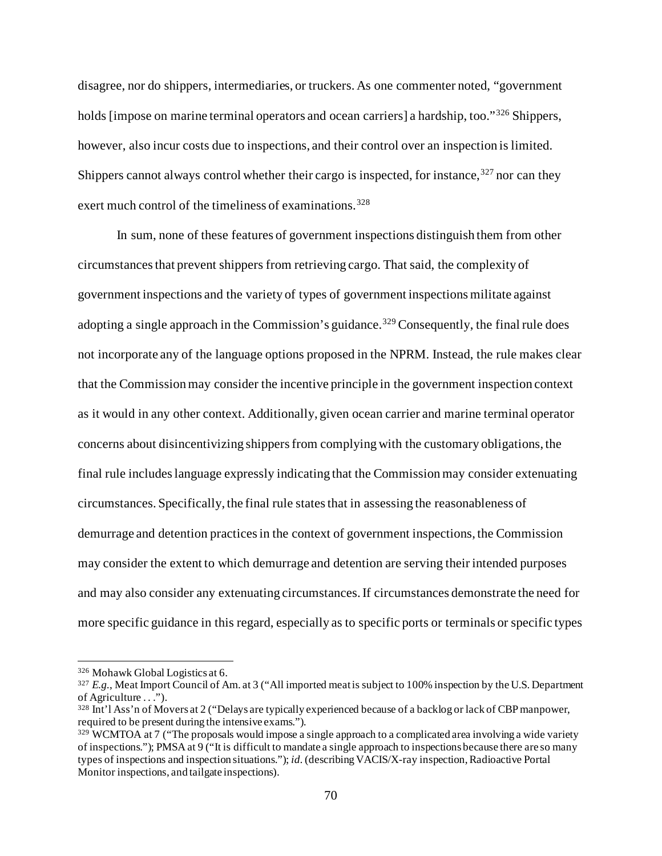disagree, nor do shippers, intermediaries, or truckers. As one commenter noted, "government holds [impose on marine terminal operators and ocean carriers] a hardship, too."<sup>[326](#page-69-0)</sup> Shippers, however, also incur costs due to inspections, and their control over an inspection is limited. Shippers cannot always control whether their cargo is inspected, for instance,  $327$  nor can they exert much control of the timeliness of examinations.<sup>[328](#page-69-2)</sup>

In sum, none of these features of government inspections distinguish them from other circumstances that prevent shippers from retrieving cargo. That said, the complexity of government inspections and the variety of types of government inspections militate against adopting a single approach in the Commission's guidance.<sup>[329](#page-69-3)</sup> Consequently, the final rule does not incorporate any of the language options proposed in the NPRM. Instead, the rule makes clear that the Commission may consider the incentive principle in the government inspection context as it would in any other context. Additionally, given ocean carrier and marine terminal operator concerns about disincentivizing shippers from complying with the customary obligations, the final rule includeslanguage expressly indicating that the Commission may consider extenuating circumstances. Specifically, the final rule statesthat in assessing the reasonableness of demurrage and detention practices in the context of government inspections, the Commission may consider the extent to which demurrage and detention are serving their intended purposes and may also consider any extenuating circumstances.If circumstances demonstrate the need for more specific guidance in this regard, especially as to specific ports or terminals or specific types

<span id="page-69-0"></span><sup>326</sup> Mohawk Global Logistics at 6.

<span id="page-69-1"></span><sup>&</sup>lt;sup>327</sup> *E.g.*, Meat Import Council of Am. at 3 ("All imported meat is subject to 100% inspection by the U.S. Department of Agriculture . . .").

<span id="page-69-2"></span><sup>328</sup> Int'l Ass'n of Movers at 2 ("Delays are typically experienced because of a backlog or lack of CBP manpower, required to be present during the intensive exams.").

<span id="page-69-3"></span><sup>&</sup>lt;sup>329</sup> WCMTOA at 7 ("The proposals would impose a single approach to a complicated area involving a wide variety of inspections."); PMSA at 9 ("It is difficult to mandate a single approach to inspections because there are so many types of inspections and inspection situations."); *id.*(describing VACIS/X-ray inspection, Radioactive Portal Monitor inspections, and tailgate inspections).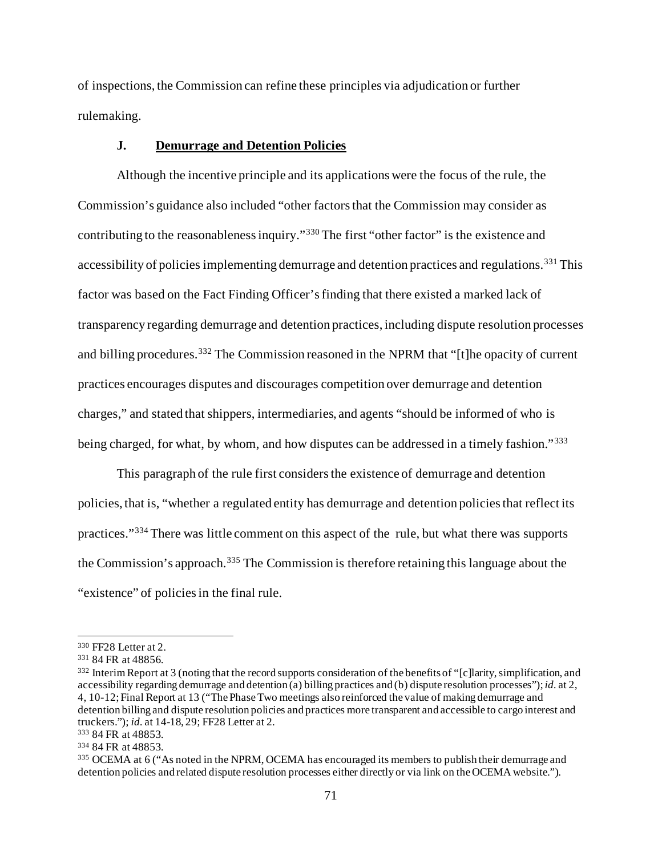of inspections, the Commission can refine these principles via adjudication or further rulemaking.

### **J. Demurrage and Detention Policies**

Although the incentive principle and its applications were the focus of the rule, the Commission's guidance also included "other factors that the Commission may consider as contributing to the reasonableness inquiry."[330](#page-70-0) The first "other factor" is the existence and accessibility of policies implementing demurrage and detention practices and regulations.<sup>[331](#page-70-1)</sup> This factor was based on the Fact Finding Officer's finding that there existed a marked lack of transparency regarding demurrage and detention practices, including dispute resolution processes and billing procedures.<sup>[332](#page-70-2)</sup> The Commission reasoned in the NPRM that "[t]he opacity of current practices encourages disputes and discourages competition over demurrage and detention charges," and stated that shippers, intermediaries, and agents "should be informed of who is being charged, for what, by whom, and how disputes can be addressed in a timely fashion."<sup>[333](#page-70-3)</sup>

This paragraph of the rule first considers the existence of demurrage and detention policies, that is, "whether a regulated entity has demurrage and detention policies that reflect its practices."[334](#page-70-4) There was little comment on this aspect of the rule, but what there was supports the Commission's approach.<sup>[335](#page-70-5)</sup> The Commission is therefore retaining this language about the "existence" of policiesin the final rule.

<span id="page-70-0"></span><sup>330</sup> FF28 Letter at 2.

<span id="page-70-1"></span><sup>331</sup> 84 FR at 48856.

<span id="page-70-2"></span><sup>332</sup> Interim Report at 3 (noting that the record supports consideration of the benefits of "[c]larity, simplification, and accessibility regarding demurrage and detention (a) billing practices and (b) dispute resolution processes"); *id.* at 2, 4, 10-12; Final Report at 13 ("The Phase Two meetings also reinforced the value of making demurrage and detention billing and dispute resolution policies and practices more transparent and accessible to cargo interest and truckers."); *id.* at 14-18, 29; FF28 Letter at 2.

<span id="page-70-3"></span><sup>333</sup> 84 FR at 48853.

<span id="page-70-4"></span><sup>334</sup> 84 FR at 48853.

<span id="page-70-5"></span><sup>335</sup> OCEMA at 6 ("As noted in the NPRM, OCEMA has encouraged its members to publish their demurrage and detention policies and related dispute resolution processes either directly or via link on the OCEMA website.").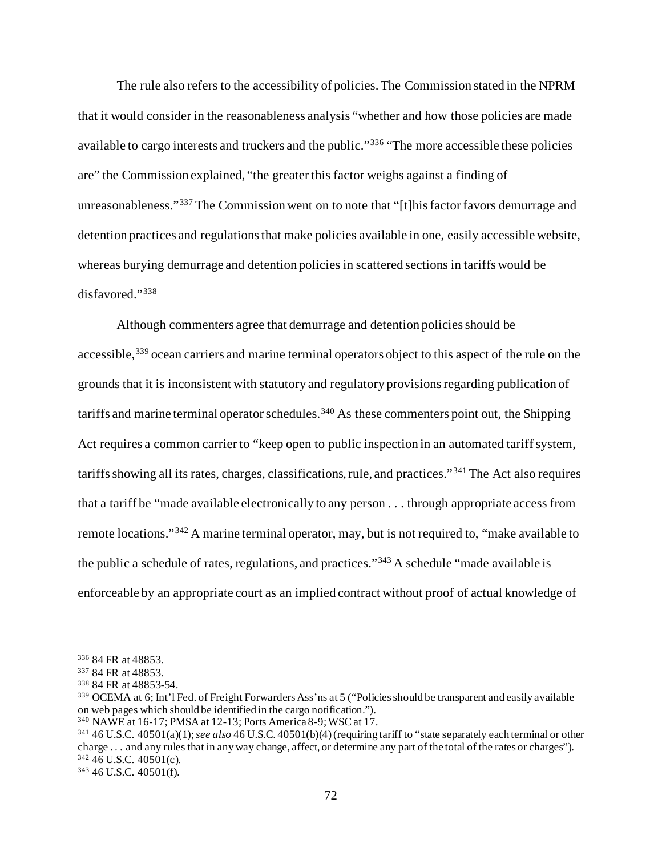The rule also refers to the accessibility of policies. The Commission stated in the NPRM that it would consider in the reasonableness analysis "whether and how those policies are made available to cargo interests and truckers and the public."[336](#page-71-0) "The more accessible these policies are" the Commission explained, "the greater this factor weighs against a finding of unreasonableness."<sup>[337](#page-71-1)</sup> The Commission went on to note that "[t]his factor favors demurrage and detention practices and regulations that make policies available in one, easily accessible website, whereas burying demurrage and detention policies in scattered sections in tariffs would be disfavored."[338](#page-71-2)

Although commenters agree that demurrage and detention policies should be accessible,<sup>[339](#page-71-3)</sup> ocean carriers and marine terminal operators object to this aspect of the rule on the grounds that it is inconsistent with statutory and regulatory provisions regarding publication of tariffs and marine terminal operator schedules.<sup>[340](#page-71-4)</sup> As these commenters point out, the Shipping Act requires a common carrier to "keep open to public inspection in an automated tariff system, tariffsshowing all its rates, charges, classifications, rule, and practices."[341](#page-71-5) The Act also requires that a tariff be "made available electronically to any person . . . through appropriate access from remote locations."[342](#page-71-6) A marine terminal operator, may, but is not required to, "make available to the public a schedule of rates, regulations, and practices."[343](#page-71-7) A schedule "made available is enforceable by an appropriate court as an implied contract without proof of actual knowledge of

<span id="page-71-0"></span><sup>336</sup> 84 FR at 48853.

<span id="page-71-1"></span><sup>337</sup> 84 FR at 48853.

<span id="page-71-2"></span><sup>338</sup> 84 FR at 48853-54.

<span id="page-71-3"></span><sup>339</sup> OCEMA at 6; Int'l Fed. of Freight Forwarders Ass'ns at 5 ("Policies should be transparent and easily available on web pages which should be identified in the cargo notification.").

<span id="page-71-4"></span><sup>340</sup> NAWE at 16-17; PMSA at 12-13; Ports America 8-9; WSC at 17.

<span id="page-71-5"></span><sup>341</sup> 46 U.S.C. 40501(a)(1); *see also* 46 U.S.C. 40501(b)(4) (requiring tariff to "state separately each terminal or other charge . . . and any rules that in any way change, affect, or determine any part of the total of the rates or charges"). <sup>342</sup> 46 U.S.C. 40501(c).

<span id="page-71-7"></span><span id="page-71-6"></span><sup>343</sup> 46 U.S.C. 40501(f).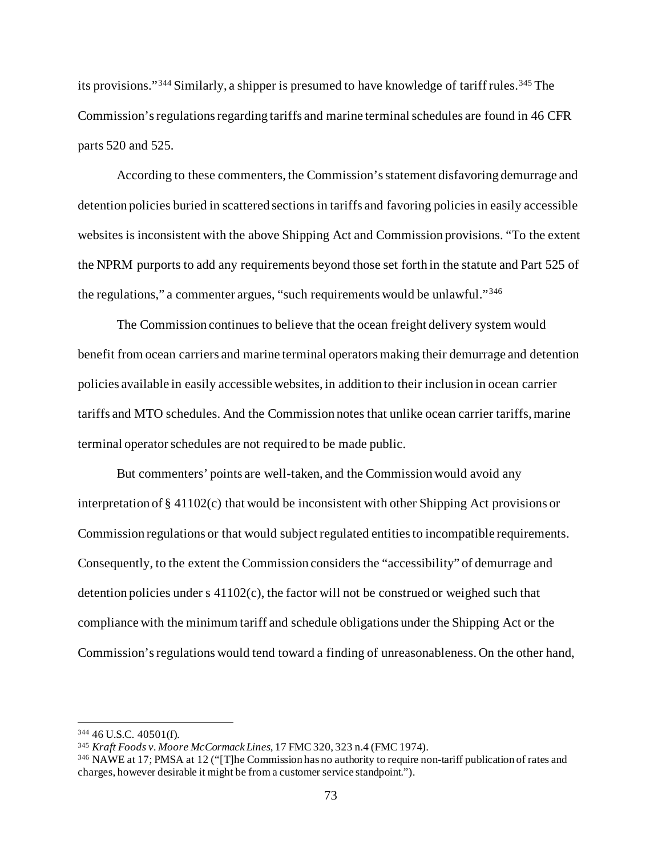its provisions."<sup>[344](#page-72-0)</sup> Similarly, a shipper is presumed to have knowledge of tariff rules.<sup>[345](#page-72-1)</sup> The Commission's regulations regarding tariffs and marine terminal schedules are found in 46 CFR parts 520 and 525.

According to these commenters, the Commission's statement disfavoring demurrage and detention policies buried in scattered sections in tariffs and favoring policies in easily accessible websites is inconsistent with the above Shipping Act and Commission provisions. "To the extent the NPRM purports to add any requirements beyond those set forth in the statute and Part 525 of the regulations," a commenter argues, "such requirements would be unlawful."[346](#page-72-2)

The Commission continues to believe that the ocean freight delivery system would benefit from ocean carriers and marine terminal operators making their demurrage and detention policies available in easily accessible websites, in addition to their inclusion in ocean carrier tariffs and MTO schedules. And the Commission notes that unlike ocean carrier tariffs,marine terminal operator schedules are not required to be made public.

But commenters' points are well-taken, and the Commission would avoid any interpretation of § 41102(c) that would be inconsistent with other Shipping Act provisions or Commission regulations or that would subject regulated entities to incompatible requirements. Consequently, to the extent the Commission considers the "accessibility" of demurrage and detention policies under s 41102(c), the factor will not be construed or weighed such that compliance with the minimum tariff and schedule obligations under the Shipping Act or the Commission's regulations would tend toward a finding of unreasonableness. On the other hand,

<span id="page-72-0"></span><sup>344</sup> 46 U.S.C. 40501(f).

<span id="page-72-1"></span><sup>345</sup> *Kraft Foods v. Moore McCormack Lines*, 17 FMC 320, 323 n.4 (FMC 1974).

<span id="page-72-2"></span><sup>346</sup> NAWE at 17; PMSA at 12 ("[T]he Commission has no authority to require non-tariff publication of rates and charges, however desirable it might be from a customer service standpoint.").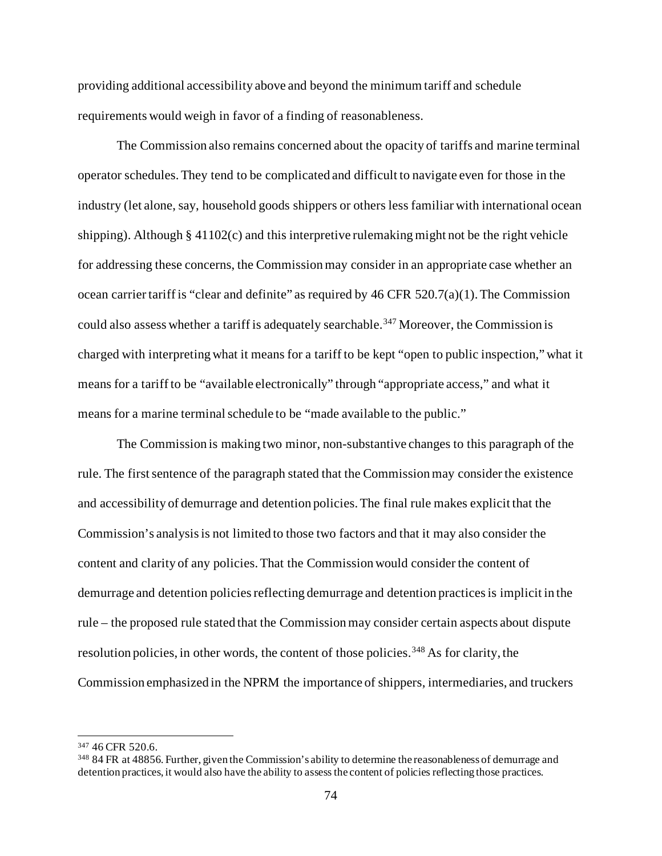providing additional accessibility above and beyond the minimum tariff and schedule requirements would weigh in favor of a finding of reasonableness.

The Commission also remains concerned about the opacity of tariffs and marine terminal operator schedules. They tend to be complicated and difficult to navigate even for those in the industry (let alone, say, household goods shippers or others less familiar with international ocean shipping). Although  $\S$  41102(c) and this interpretive rulemaking might not be the right vehicle for addressing these concerns, the Commission may consider in an appropriate case whether an ocean carrier tariff is "clear and definite" as required by  $46$  CFR  $520.7(a)(1)$ . The Commission could also assess whether a tariff is adequately searchable.<sup>[347](#page-73-0)</sup> Moreover, the Commission is charged with interpreting what it means for a tariff to be kept "open to public inspection," what it means for a tariff to be "available electronically" through "appropriate access," and what it means for a marine terminal schedule to be "made available to the public."

The Commission is making two minor, non-substantive changes to this paragraph of the rule. The first sentence of the paragraph stated that the Commission may consider the existence and accessibility of demurrage and detention policies. The final rule makes explicit that the Commission's analysis is not limited to those two factors and that it may also consider the content and clarity of any policies. That the Commission would consider the content of demurrage and detention policies reflecting demurrage and detention practices is implicit in the rule – the proposed rule stated that the Commission may consider certain aspects about dispute resolution policies, in other words, the content of those policies.<sup>[348](#page-73-1)</sup> As for clarity, the Commission emphasized in the NPRM the importance of shippers, intermediaries, and truckers

<span id="page-73-0"></span><sup>347</sup> 46 CFR 520.6.

<span id="page-73-1"></span><sup>348</sup> 84 FR at 48856. Further, given the Commission's ability to determine the reasonableness of demurrage and detention practices, it would also have the ability to assess the content of policies reflecting those practices.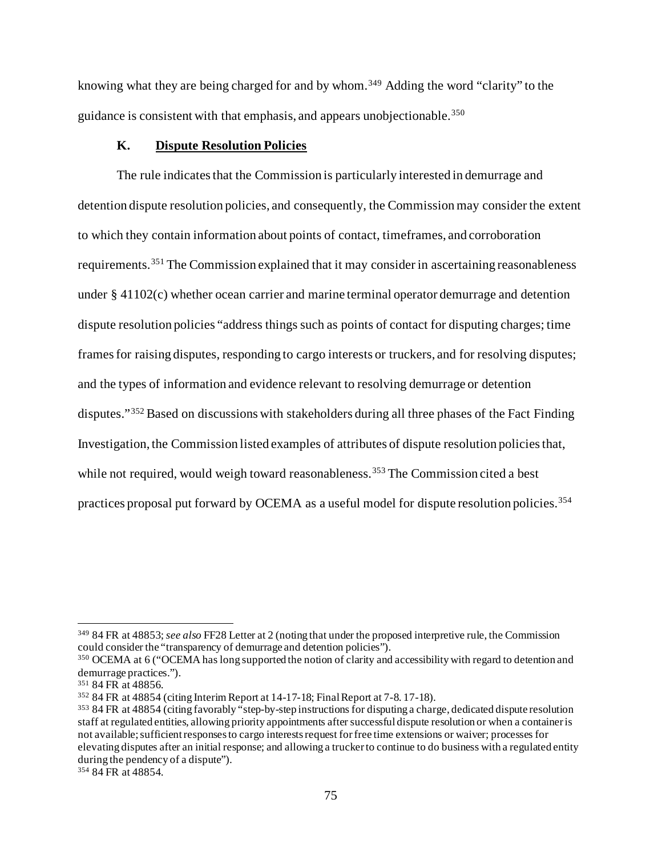knowing what they are being charged for and by whom.<sup>[349](#page-74-0)</sup> Adding the word "clarity" to the guidance is consistent with that emphasis, and appears unobjectionable.[350](#page-74-1)

# **K. Dispute Resolution Policies**

The rule indicatesthat the Commission is particularly interested in demurrage and detention dispute resolution policies, and consequently, the Commission may consider the extent to which they contain information about points of contact, timeframes, and corroboration requirements.[351](#page-74-2) The Commission explained that it may consider in ascertaining reasonableness under § 41102(c) whether ocean carrier and marine terminal operator demurrage and detention dispute resolution policies "address things such as points of contact for disputing charges; time frames for raising disputes, responding to cargo interests or truckers, and for resolving disputes; and the types of information and evidence relevant to resolving demurrage or detention disputes."[352](#page-74-3) Based on discussions with stakeholders during all three phases of the Fact Finding Investigation, the Commission listed examples of attributes of dispute resolution policies that, while not required, would weigh toward reasonableness.<sup>[353](#page-74-4)</sup> The Commission cited a best practices proposal put forward by OCEMA as a useful model for dispute resolution policies.<sup>[354](#page-74-5)</sup>

<span id="page-74-0"></span><sup>349</sup> 84 FR at 48853; *see also* FF28 Letter at 2 (noting that under the proposed interpretive rule, the Commission could consider the "transparency of demurrage and detention policies").

<span id="page-74-1"></span><sup>350</sup> OCEMA at 6 ("OCEMA has long supported the notion of clarity and accessibility with regard to detention and demurrage practices.").

<span id="page-74-2"></span><sup>351</sup> 84 FR at 48856.

<span id="page-74-3"></span><sup>352</sup> 84 FR at 48854 (citing Interim Report at 14-17-18; Final Report at 7-8. 17-18).

<span id="page-74-4"></span><sup>353</sup> 84 FR at 48854 (citing favorably "step-by-step instructions for disputing a charge, dedicated dispute resolution staff at regulated entities, allowing priority appointments after successful dispute resolution or when a container is not available; sufficient responses to cargo interests request for free time extensions or waiver; processes for elevating disputes after an initial response; and allowing a trucker to continue to do business with a regulated entity during the pendency of a dispute").

<span id="page-74-5"></span><sup>354</sup> 84 FR at 48854.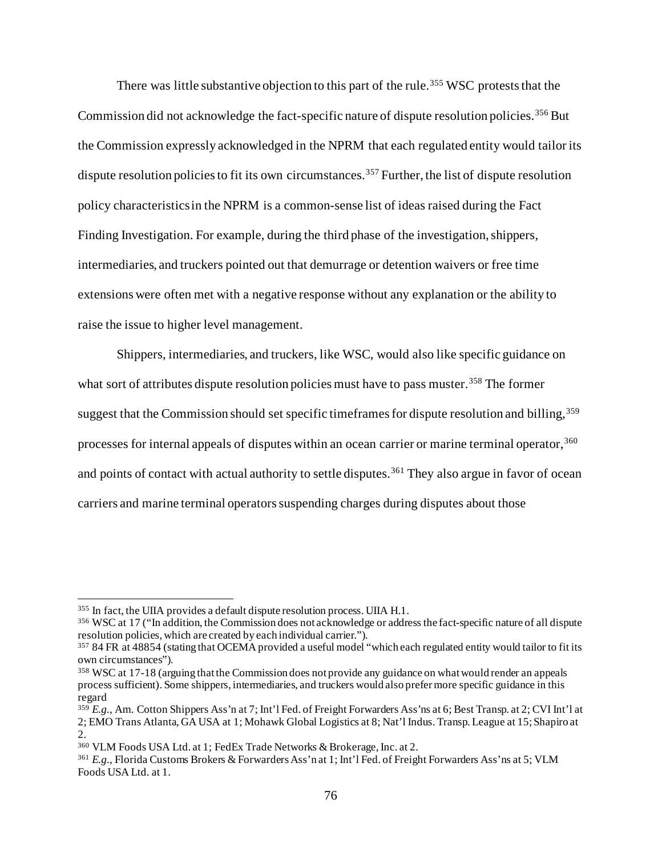There was little substantive objection to this part of the rule.<sup>[355](#page-75-0)</sup> WSC protests that the Commission did not acknowledge the fact-specific nature of dispute resolution policies.<sup>[356](#page-75-1)</sup> But the Commission expressly acknowledged in the NPRM that each regulated entity would tailor its dispute resolution policies to fit its own circumstances.<sup>[357](#page-75-2)</sup> Further, the list of dispute resolution policy characteristics in the NPRM is a common-sense list of ideas raised during the Fact Finding Investigation. For example, during the third phase of the investigation, shippers, intermediaries, and truckers pointed out that demurrage or detention waivers or free time extensions were often met with a negative response without any explanation or the ability to raise the issue to higher level management.

Shippers, intermediaries, and truckers, like WSC, would also like specific guidance on what sort of attributes dispute resolution policies must have to pass muster.<sup>[358](#page-75-3)</sup> The former suggest that the Commission should set specific timeframes for dispute resolution and billing, [359](#page-75-4) processes for internal appeals of disputes within an ocean carrier or marine terminal operator,<sup>[360](#page-75-5)</sup> and points of contact with actual authority to settle disputes. [361](#page-75-6) They also argue in favor of ocean carriers and marine terminal operators suspending charges during disputes about those

<span id="page-75-0"></span><sup>355</sup> In fact, the UIIA provides a default dispute resolution process. UIIA H.1.

<span id="page-75-1"></span><sup>356</sup> WSC at 17 ("In addition, the Commission does not acknowledge or address the fact-specific nature of all dispute resolution policies, which are created by each individual carrier.").

<span id="page-75-2"></span><sup>357</sup> 84 FR at 48854 (stating that OCEMA provided a useful model "which each regulated entity would tailor to fit its own circumstances").

<span id="page-75-3"></span><sup>358</sup> WSC at 17-18 (arguing that the Commission does not provide any guidance on what would render an appeals process sufficient). Some shippers, intermediaries, and truckers would also prefer more specific guidance in this regard

<span id="page-75-4"></span><sup>359</sup> *E.g.*, Am. Cotton Shippers Ass'n at 7; Int'l Fed. of Freight Forwarders Ass'ns at 6; Best Transp. at 2; CVI Int'l at 2; EMO Trans Atlanta, GA USA at 1; Mohawk Global Logistics at 8; Nat'l Indus. Transp. League at 15; Shapiro at 2.

<span id="page-75-5"></span><sup>360</sup> VLM Foods USA Ltd. at 1; FedEx Trade Networks & Brokerage, Inc. at 2.

<span id="page-75-6"></span><sup>361</sup> *E.g.*, Florida Customs Brokers & Forwarders Ass'n at 1; Int'l Fed. of Freight Forwarders Ass'ns at 5; VLM Foods USA Ltd. at 1.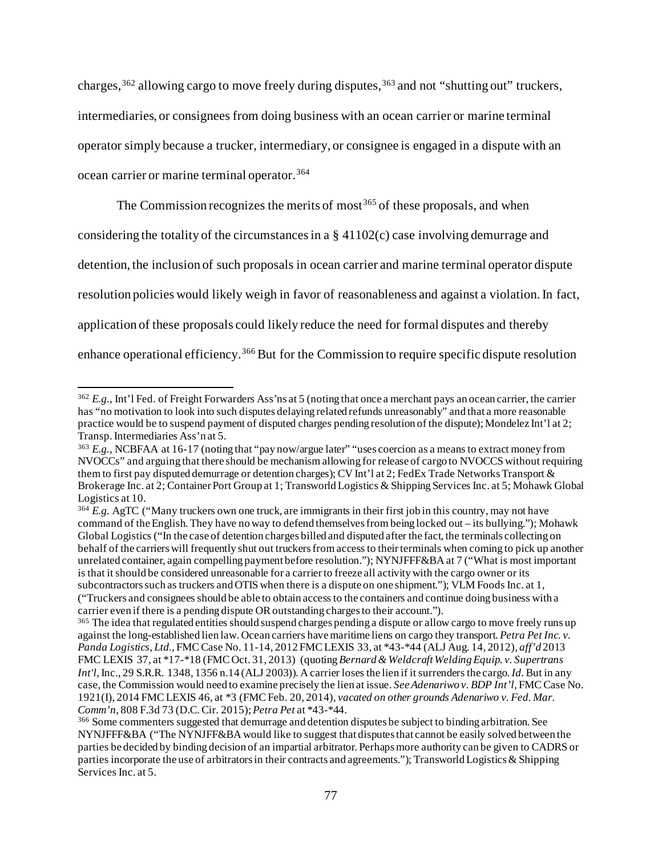charges,<sup>[362](#page-76-0)</sup> allowing cargo to move freely during disputes,<sup>[363](#page-76-1)</sup> and not "shutting out" truckers, intermediaries, or consignees from doing business with an ocean carrier or marine terminal operator simply because a trucker, intermediary, or consignee is engaged in a dispute with an ocean carrier or marine terminal operator.[364](#page-76-2)

The Commission recognizes the merits of most<sup>[365](#page-76-3)</sup> of these proposals, and when considering the totality of the circumstances in a § 41102(c) case involving demurrage and detention, the inclusion of such proposals in ocean carrier and marine terminal operator dispute resolution policies would likely weigh in favor of reasonableness and against a violation.In fact, application of these proposals could likely reduce the need for formal disputes and thereby enhance operational efficiency.<sup>[366](#page-76-4)</sup> But for the Commission to require specific dispute resolution

<span id="page-76-0"></span><sup>362</sup> *E.g.*, Int'l Fed. of Freight Forwarders Ass'ns at 5 (noting that once a merchant pays an ocean carrier, the carrier has "no motivation to look into such disputes delaying related refunds unreasonably" and that a more reasonable practice would be to suspend payment of disputed charges pending resolution of the dispute); Mondelez Int'l at 2; Transp. Intermediaries Ass'n at 5.

<span id="page-76-1"></span><sup>363</sup> *E.g.*, NCBFAA at 16-17 (noting that "pay now/argue later" "uses coercion as a means to extract money from NVOCCs" and arguing that there should be mechanism allowing for release of cargo to NVOCCS without requiring them to first pay disputed demurrage or detention charges); CV Int'l at 2; FedEx Trade Networks Transport & Brokerage Inc. at 2; Container Port Group at 1; Transworld Logistics & Shipping Services Inc. at 5; Mohawk Global Logistics at 10.

<span id="page-76-2"></span><sup>364</sup> *E.g.* AgTC ("Many truckers own one truck, are immigrants in their first job in this country, may not have command of the English. They have no way to defend themselves from being locked out – its bullying."); Mohawk Global Logistics ("In the case of detention charges billed and disputed after the fact, the terminals collecting on behalf of the carriers will frequently shut out truckers from access to their terminals when coming to pick up another unrelated container, again compelling payment before resolution."); NYNJFFF&BA at 7 ("What is most important is that it should be considered unreasonable for a carrier to freeze all activity with the cargo owner or its subcontractors such as truckers and OTIS when there is a dispute on one shipment."); VLM Foods Inc. at 1, ("Truckers and consignees should be able to obtain access to the containers and continue doing business with a carrier even if there is a pending dispute OR outstanding charges to their account.").

<span id="page-76-3"></span><sup>&</sup>lt;sup>365</sup> The idea that regulated entities should suspend charges pending a dispute or allow cargo to move freely runs up against the long-established lien law. Ocean carriers have maritime liens on cargo they transport. *Petra Pet Inc. v. Panda Logistics, Ltd.*, FMC Case No. 11-14, 2012 FMC LEXIS 33, at \*43-\*44 (ALJ Aug. 14, 2012), *aff'd* 2013 FMC LEXIS 37, at \*17-\*18 (FMC Oct. 31, 2013) (quoting *Bernard & Weldcraft Welding Equip. v. Supertrans Int'l*, Inc., 29 S.R.R. 1348, 1356 n.14 (ALJ 2003)). A carrier loses the lien if it surrenders the cargo. *Id.*But in any case, the Commission would need to examine precisely the lien at issue. *See Adenariwo v. BDP Int'l*, FMC Case No. 1921(I), 2014 FMC LEXIS 46, at \*3 (FMCFeb. 20, 2014), *vacated on other grounds Adenariwo v. Fed. Mar. Comm'n*, 808 F.3d 73 (D.C. Cir. 2015);*Petra Pet* at \*43-\*44.

<span id="page-76-4"></span><sup>366</sup> Some commenters suggested that demurrage and detention disputes be subject to binding arbitration. See NYNJFFF&BA ("The NYNJFF&BA would like to suggest that disputes that cannot be easily solved between the parties be decided by binding decision of an impartial arbitrator. Perhaps more authority can be given to CADRS or parties incorporate the use of arbitrators in their contracts and agreements."); Transworld Logistics & Shipping Services Inc. at 5.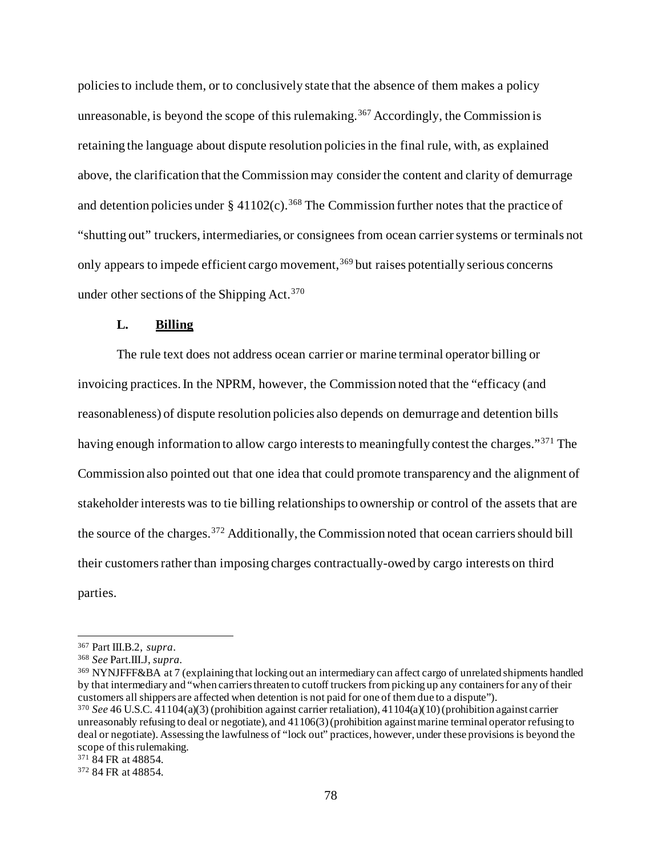policies to include them, or to conclusively state that the absence of them makes a policy unreasonable, is beyond the scope of this rulemaking. [367](#page-77-0) Accordingly, the Commission is retaining the language about dispute resolution policies in the final rule, with, as explained above, the clarification that the Commission may consider the content and clarity of demurrage and detention policies under  $\S 41102(c)$ . [368](#page-77-1) The Commission further notes that the practice of "shutting out" truckers, intermediaries, or consignees from ocean carrier systems or terminals not only appears to impede efficient cargo movement,<sup>[369](#page-77-2)</sup> but raises potentially serious concerns under other sections of the Shipping Act.  $370$ 

# **L. Billing**

The rule text does not address ocean carrier or marine terminal operator billing or invoicing practices. In the NPRM, however, the Commission noted that the "efficacy (and reasonableness) of dispute resolution policies also depends on demurrage and detention bills having enough information to allow cargo interests to meaningfully contest the charges."<sup>[371](#page-77-4)</sup> The Commission also pointed out that one idea that could promote transparency and the alignment of stakeholder interests was to tie billing relationships to ownership or control of the assets that are the source of the charges.[372](#page-77-5) Additionally, the Commission noted that ocean carriers should bill their customers rather than imposing charges contractually-owed by cargo interests on third parties.

<span id="page-77-1"></span><span id="page-77-0"></span><sup>367</sup> Part III.B.2, *supra*. 368 *See* Part.III.J, *supra.*

<span id="page-77-2"></span><sup>369</sup> NYNJFFF&BA at 7 (explaining that locking out an intermediary can affect cargo of unrelated shipments handled by that intermediary and "when carriers threaten to cutoff truckers from picking up any containers for any of their customers all shippers are affected when detention is not paid for one of them due to a dispute").

<span id="page-77-3"></span><sup>370</sup> *See* 46 U.S.C. 41104(a)(3) (prohibition against carrier retaliation), 41104(a)(10) (prohibition against carrier unreasonably refusing to deal or negotiate), and 41106(3) (prohibition against marine terminal operator refusing to deal or negotiate). Assessing the lawfulness of "lock out" practices, however, under these provisions is beyond the scope of this rulemaking.<br><sup>371</sup> 84 FR at 48854.

<span id="page-77-5"></span><span id="page-77-4"></span><sup>372</sup> 84 FR at 48854.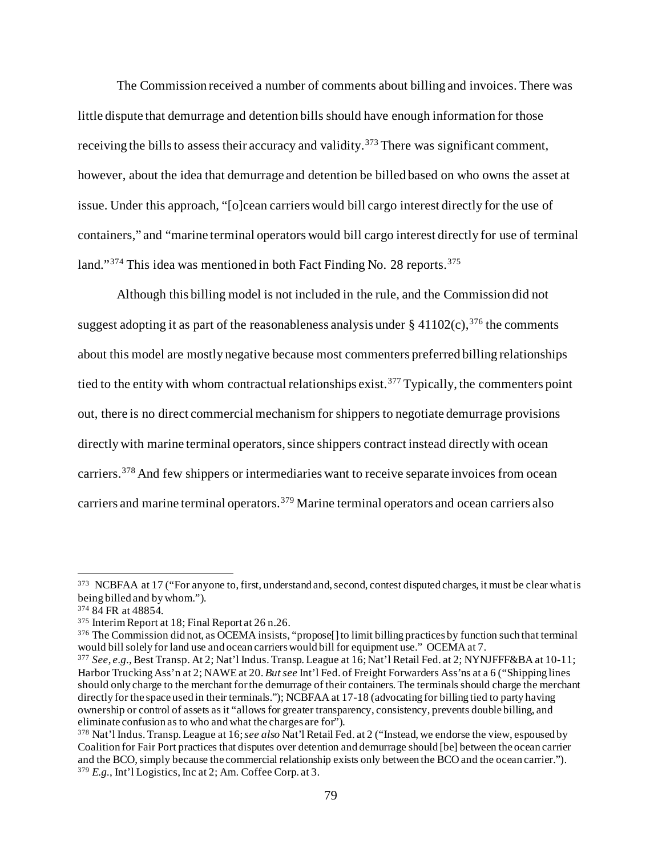The Commission received a number of comments about billing and invoices. There was little dispute that demurrage and detention bills should have enough information for those receiving the bills to assess their accuracy and validity.<sup>[373](#page-78-0)</sup> There was significant comment, however, about the idea that demurrage and detention be billed based on who owns the asset at issue. Under this approach, "[o]cean carriers would bill cargo interest directly for the use of containers," and "marine terminal operators would bill cargo interest directly for use of terminal land."<sup>[374](#page-78-1)</sup> This idea was mentioned in both Fact Finding No. 28 reports.<sup>[375](#page-78-2)</sup>

Although this billing model is not included in the rule, and the Commission did not suggest adopting it as part of the reasonableness analysis under  $\S 41102(c)$ ,  $376$  the comments about this model are mostly negative because most commenters preferred billing relationships tied to the entity with whom contractual relationships exist. [377](#page-78-4) Typically, the commenters point out, there is no direct commercial mechanism for shippers to negotiate demurrage provisions directly with marine terminal operators, since shippers contract instead directly with ocean carriers.<sup>[378](#page-78-5)</sup> And few shippers or intermediaries want to receive separate invoices from ocean carriers and marine terminal operators.[379](#page-78-6) Marine terminal operators and ocean carriers also

<span id="page-78-0"></span><sup>&</sup>lt;sup>373</sup> NCBFAA at 17 ("For anyone to, first, understand and, second, contest disputed charges, it must be clear what is being billed and by whom.").

<span id="page-78-1"></span><sup>374</sup> 84 FR at 48854.

<span id="page-78-2"></span><sup>375</sup> Interim Report at 18; Final Report at 26 n.26.

<span id="page-78-3"></span><sup>&</sup>lt;sup>376</sup> The Commission did not, as OCEMA insists, "propose<sup>[]</sup> to limit billing practices by function such that terminal would bill solely for land use and ocean carriers would bill for equipment use." OCEMA at 7.

<span id="page-78-4"></span><sup>377</sup> *See*, *e.g.*, Best Transp. At 2; Nat'l Indus. Transp. League at 16; Nat'l Retail Fed. at 2; NYNJFFF&BA at 10-11; Harbor Trucking Ass'n at 2; NAWE at 20. *But see* Int'l Fed. of Freight Forwarders Ass'ns at a 6 ("Shipping lines should only charge to the merchant for the demurrage of their containers. The terminals should charge the merchant directly for the space used in their terminals."); NCBFAA at 17-18 (advocating for billing tied to party having ownership or control of assets as it "allows for greater transparency, consistency, prevents double billing, and eliminate confusion as to who and what the charges are for").

<span id="page-78-6"></span><span id="page-78-5"></span><sup>378</sup> Nat'l Indus. Transp. League at 16; *see also* Nat'l Retail Fed. at 2 ("Instead, we endorse the view, espoused by Coalition for Fair Port practices that disputes over detention and demurrage should [be] between the ocean carrier and the BCO, simply because the commercial relationship exists only between the BCO and the ocean carrier."). <sup>379</sup> *E.g.*, Int'l Logistics, Inc at 2; Am. Coffee Corp. at 3.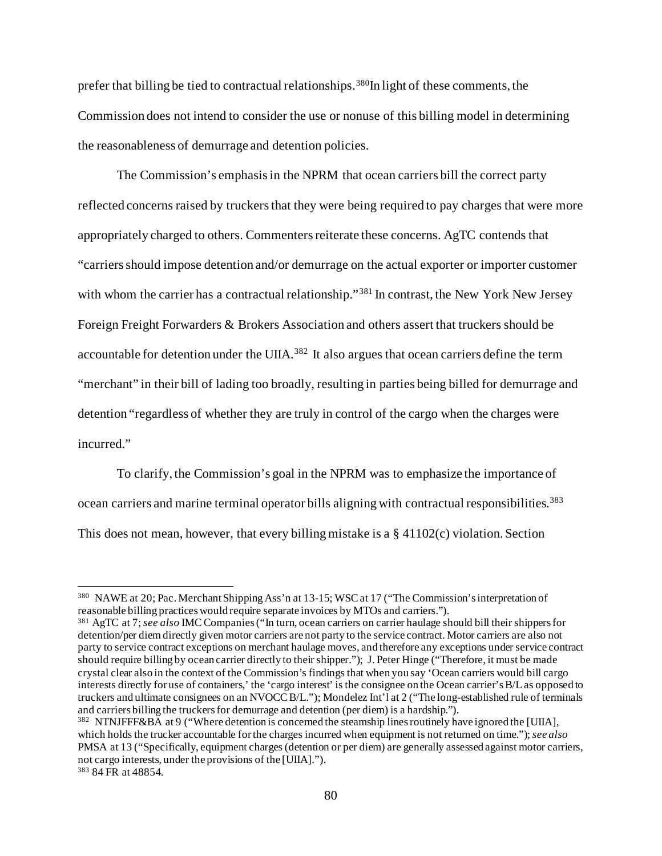prefer that billing be tied to contractual relationships.<sup>[380](#page-79-0)</sup>In light of these comments, the Commission does not intend to consider the use or nonuse of this billing model in determining the reasonableness of demurrage and detention policies.

The Commission's emphasis in the NPRM that ocean carriers bill the correct party reflected concerns raised by truckers that they were being required to pay charges that were more appropriately charged to others. Commenters reiterate these concerns. AgTC contends that "carriers should impose detention and/or demurrage on the actual exporter or importer customer with whom the carrier has a contractual relationship."<sup>[381](#page-79-1)</sup> In contrast, the New York New Jersey Foreign Freight Forwarders & Brokers Association and others assert that truckers should be accountable for detention under the UIIA.<sup>[382](#page-79-2)</sup> It also argues that ocean carriers define the term "merchant" in their bill of lading too broadly, resulting in parties being billed for demurrage and detention "regardless of whether they are truly in control of the cargo when the charges were incurred."

To clarify, the Commission's goal in the NPRM was to emphasize the importance of ocean carriers and marine terminal operator bills aligning with contractual responsibilities.<sup>[383](#page-79-3)</sup> This does not mean, however, that every billing mistake is a § 41102(c) violation. Section

<span id="page-79-0"></span><sup>380</sup> NAWE at 20; Pac. Merchant Shipping Ass'n at 13-15; WSC at 17 ("The Commission's interpretation of reasonable billing practices would require separate invoices by MTOs and carriers.").

<span id="page-79-1"></span><sup>381</sup> AgTC at 7; *see also* IMC Companies ("In turn, ocean carriers on carrier haulage should bill their shippers for detention/per diem directly given motor carriers are not party to the service contract. Motor carriers are also not party to service contract exceptions on merchant haulage moves, and therefore any exceptions under service contract should require billing by ocean carrier directly to their shipper."); J. Peter Hinge ("Therefore, it must be made crystal clear also in the context of the Commission's findings that when you say 'Ocean carriers would bill cargo interests directly for use of containers,' the 'cargo interest' is the consignee on the Ocean carrier's B/L as opposed to truckers and ultimate consignees on an NVOCC B/L."); Mondelez Int'l at 2 ("The long-established rule of terminals and carriers billing the truckers for demurrage and detention (per diem) is a hardship.").

<span id="page-79-3"></span><span id="page-79-2"></span><sup>382</sup> NTNJFFF&BA at 9 ("Where detention is concerned the steamship lines routinely have ignored the [UIIA], which holds the trucker accountable for the charges incurred when equipment is not returned on time."); *see also* PMSA at 13 ("Specifically, equipment charges (detention or per diem) are generally assessed against motor carriers, not cargo interests, under the provisions of the [UIIA]."). <sup>383</sup> 84 FR at 48854.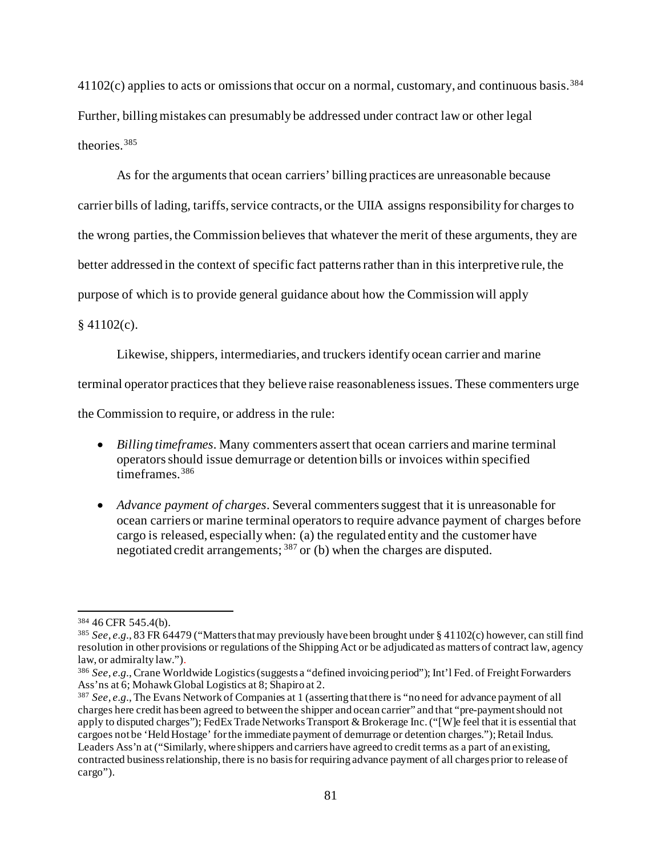$41102(c)$  applies to acts or omissions that occur on a normal, customary, and continuous basis.<sup>[384](#page-80-0)</sup> Further, billing mistakes can presumably be addressed under contract law or other legal theories.[385](#page-80-1)

As for the arguments that ocean carriers' billing practices are unreasonable because carrier bills of lading, tariffs, service contracts, or the UIIA assigns responsibility for charges to the wrong parties, the Commission believes that whatever the merit of these arguments, they are better addressed in the context of specific fact patternsrather than in this interpretive rule, the purpose of which is to provide general guidance about how the Commission will apply

 $§$  41102(c).

Likewise, shippers, intermediaries, and truckers identify ocean carrier and marine

terminal operator practices that they believe raise reasonableness issues. These commenters urge

the Commission to require, or address in the rule:

- *Billing timeframes*. Many commenters assert that ocean carriers and marine terminal operators should issue demurrage or detention bills or invoices within specified timeframes.[386](#page-80-2)
- *Advance payment of charges*. Several commenters suggest that it is unreasonable for ocean carriers or marine terminal operators to require advance payment of charges before cargo is released, especially when: (a) the regulated entity and the customer have negotiated credit arrangements; [387](#page-80-3) or (b) when the charges are disputed.

<span id="page-80-0"></span><sup>384</sup> 46 CFR 545.4(b).

<span id="page-80-1"></span><sup>385</sup> *See*, *e.g.*, 83 FR 64479 ("Matters that may previously have been brought under § 41102(c) however, can still find resolution in other provisions or regulations of the Shipping Act or be adjudicated as matters of contract law, agency law, or admiralty law.").

<span id="page-80-2"></span><sup>386</sup> *See*, *e.g.*,Crane Worldwide Logistics (suggests a "defined invoicing period"); Int'l Fed. of Freight Forwarders Ass'ns at 6; Mohawk Global Logistics at 8; Shapiro at 2.

<span id="page-80-3"></span><sup>387</sup> *See*, *e.g.*, The Evans Network of Companies at 1 (asserting that there is "no need for advance payment of all charges here credit has been agreed to between the shipper and ocean carrier" and that "pre-payment should not apply to disputed charges"); FedEx Trade Networks Transport & Brokerage Inc. ("[W]e feel that it is essential that cargoes not be 'Held Hostage' for the immediate payment of demurrage or detention charges."); Retail Indus. Leaders Ass'n at ("Similarly, where shippers and carriers have agreed to credit terms as a part of an existing, contracted business relationship, there is no basis for requiring advance payment of all charges prior to release of cargo").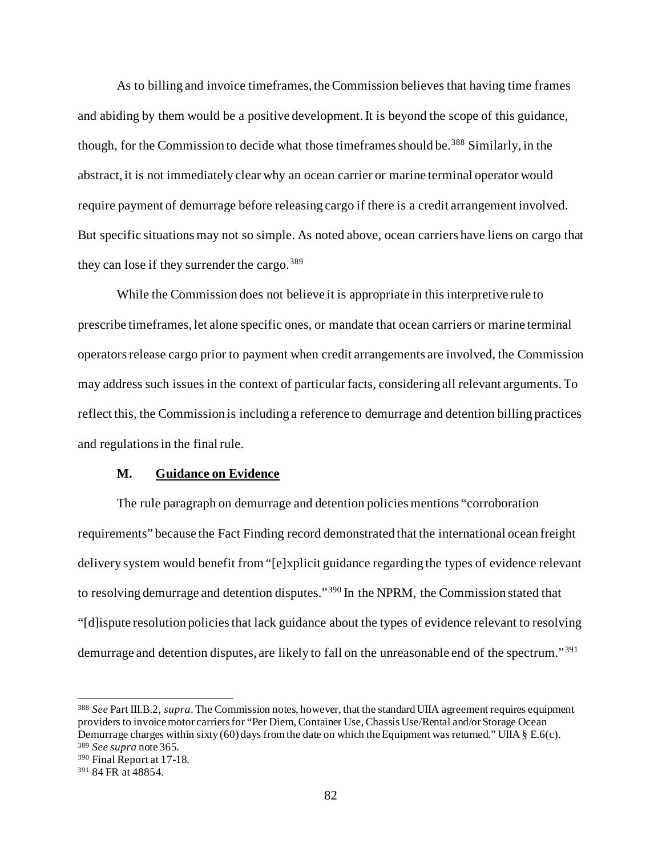As to billing and invoice timeframes, the Commission believes that having time frames and abiding by them would be a positive development. It is beyond the scope of this guidance, though, for the Commission to decide what those timeframes should be. [388](#page-81-0) Similarly, in the abstract, it is not immediately clear why an ocean carrier or marine terminal operator would require payment of demurrage before releasing cargo if there is a credit arrangement involved. But specific situations may not so simple. As noted above, ocean carriers have liens on cargo that they can lose if they surrender the cargo.<sup>[389](#page-81-1)</sup>

While the Commission does not believe it is appropriate in this interpretive rule to prescribe timeframes, let alone specific ones, or mandate that ocean carriers or marine terminal operators release cargo prior to payment when credit arrangements are involved, the Commission may address such issues in the context of particular facts, considering all relevant arguments.To reflect this, the Commission is including a reference to demurrage and detention billing practices and regulations in the final rule.

#### **M. Guidance on Evidence**

The rule paragraph on demurrage and detention policies mentions "corroboration requirements" because the Fact Finding record demonstrated that the international ocean freight delivery system would benefit from "[e]xplicit guidance regarding the types of evidence relevant to resolving demurrage and detention disputes."[390](#page-81-2) In the NPRM, the Commission stated that "[d]ispute resolution policies that lack guidance about the types of evidence relevant to resolving demurrage and detention disputes, are likely to fall on the unreasonable end of the spectrum."[391](#page-81-3)

<span id="page-81-0"></span><sup>388</sup> *See* Part III.B.2, *supra*. The Commission notes, however, that the standard UIIA agreement requires equipment providers to invoice motor carriers for "Per Diem, Container Use, Chassis Use/Rental and/or Storage Ocean Demurrage charges within sixty (60) days from the date on which the Equipment was returned." UIIA  $\Sigma$  E.6(c). <sup>389</sup> *See supra* note 365.

<span id="page-81-2"></span><span id="page-81-1"></span><sup>390</sup> Final Report at 17-18.

<span id="page-81-3"></span><sup>391</sup> 84 FR at 48854.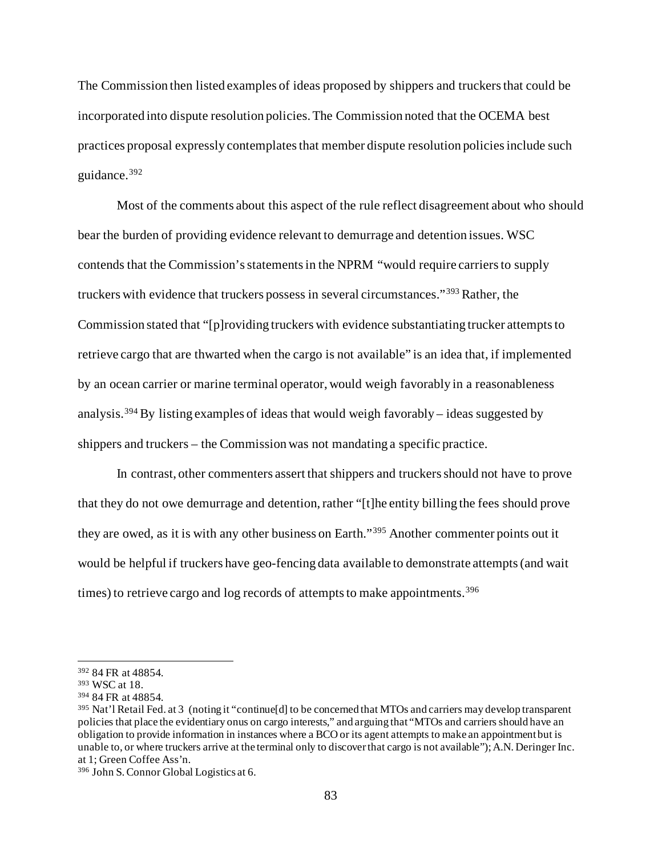The Commission then listed examples of ideas proposed by shippers and truckersthat could be incorporated into dispute resolution policies.The Commission noted that the OCEMA best practices proposal expressly contemplates that member dispute resolution policies include such guidance.[392](#page-82-0)

Most of the comments about this aspect of the rule reflect disagreement about who should bear the burden of providing evidence relevant to demurrage and detention issues. WSC contends that the Commission's statements in the NPRM "would require carriers to supply truckers with evidence that truckers possess in several circumstances."[393](#page-82-1) Rather, the Commission stated that "[p]roviding truckers with evidence substantiating trucker attempts to retrieve cargo that are thwarted when the cargo is not available" is an idea that, if implemented by an ocean carrier or marine terminal operator, would weigh favorably in a reasonableness analysis.<sup>[394](#page-82-2)</sup> By listing examples of ideas that would weigh favorably – ideas suggested by shippers and truckers – the Commission was not mandating a specific practice.

In contrast, other commenters assert that shippers and truckers should not have to prove that they do not owe demurrage and detention, rather "[t]he entity billing the fees should prove they are owed, as it is with any other business on Earth."[395](#page-82-3) Another commenter points out it would be helpful if truckers have geo-fencing data available to demonstrate attempts (and wait times) to retrieve cargo and log records of attempts to make appointments.<sup>[396](#page-82-4)</sup>

<span id="page-82-0"></span><sup>392</sup> 84 FR at 48854.

<span id="page-82-1"></span><sup>393</sup> WSC at 18.

<span id="page-82-2"></span><sup>394</sup> 84 FR at 48854.

<span id="page-82-3"></span><sup>395</sup> Nat'l Retail Fed. at 3 (noting it "continue[d] to be concerned that MTOs and carriers may develop transparent policies that place the evidentiary onus on cargo interests," and arguing that "MTOs and carriers should have an obligation to provide information in instances where a BCO or its agent attempts to make an appointment but is unable to, or where truckers arrive at the terminal only to discover that cargo is not available"); A.N. Deringer Inc. at 1; Green Coffee Ass'n.

<span id="page-82-4"></span><sup>396</sup> John S. Connor Global Logistics at 6.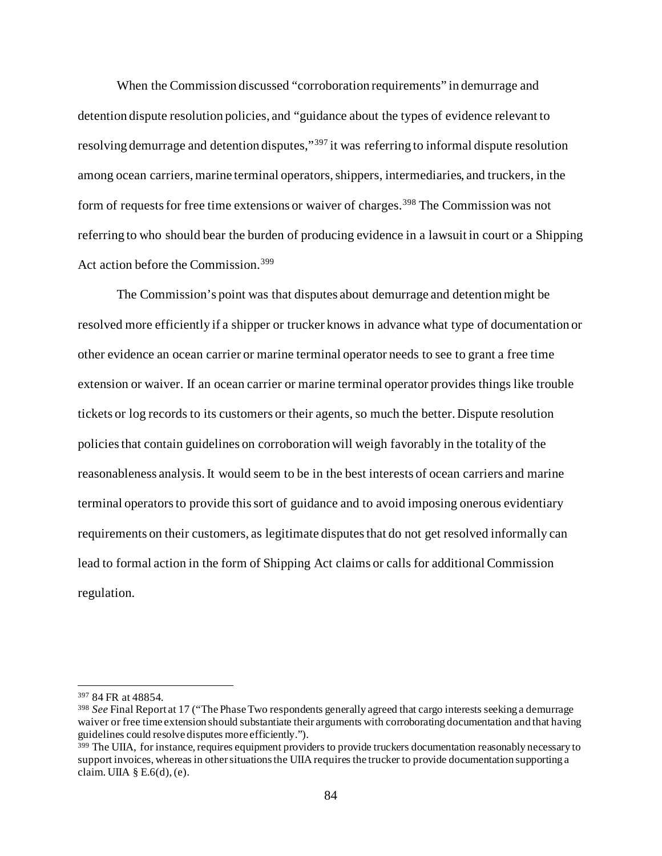When the Commission discussed "corroboration requirements" in demurrage and detention dispute resolution policies, and "guidance about the types of evidence relevant to resolving demurrage and detention disputes,"<sup>[397](#page-83-0)</sup> it was referring to informal dispute resolution among ocean carriers, marine terminal operators, shippers, intermediaries, and truckers, in the form of requests for free time extensions or waiver of charges.<sup>[398](#page-83-1)</sup> The Commission was not referring to who should bear the burden of producing evidence in a lawsuit in court or a Shipping Act action before the Commission.[399](#page-83-2)

The Commission's point was that disputes about demurrage and detention might be resolved more efficiently if a shipper or trucker knows in advance what type of documentation or other evidence an ocean carrier or marine terminal operator needs to see to grant a free time extension or waiver. If an ocean carrier or marine terminal operator provides things like trouble tickets or log records to its customers or their agents, so much the better. Dispute resolution policies that contain guidelines on corroboration will weigh favorably in the totality of the reasonableness analysis. It would seem to be in the best interests of ocean carriers and marine terminal operators to provide this sort of guidance and to avoid imposing onerous evidentiary requirements on their customers, as legitimate disputes that do not get resolved informally can lead to formal action in the form of Shipping Act claims or calls for additional Commission regulation.

<span id="page-83-0"></span><sup>397</sup> 84 FR at 48854.

<span id="page-83-1"></span><sup>398</sup> *See* Final Report at 17 ("The Phase Two respondents generally agreed that cargo interests seeking a demurrage waiver or free time extension should substantiate their arguments with corroborating documentation and that having guidelines could resolve disputes more efficiently.").

<span id="page-83-2"></span> $399$  The UIIA, for instance, requires equipment providers to provide truckers documentation reasonably necessary to support invoices, whereas in other situations the UIIA requires the trucker to provide documentation supporting a claim. UIIA  $\S E.6(d)$ , (e).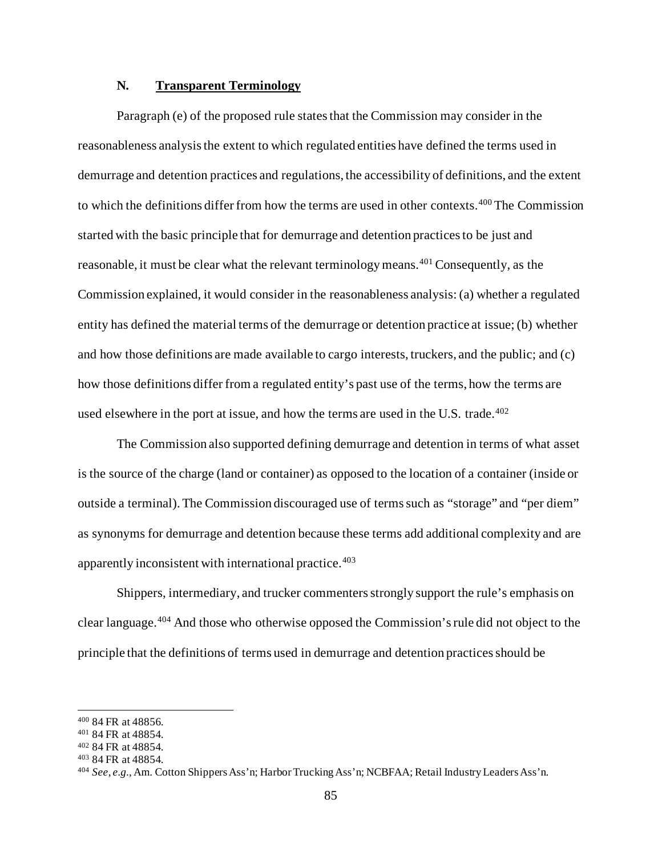# **N. Transparent Terminology**

Paragraph (e) of the proposed rule states that the Commission may consider in the reasonableness analysis the extent to which regulated entities have defined the terms used in demurrage and detention practices and regulations, the accessibility of definitions, and the extent to which the definitions differ from how the terms are used in other contexts.[400](#page-84-0) The Commission started with the basic principle that for demurrage and detention practices to be just and reasonable, it must be clear what the relevant terminology means.<sup>[401](#page-84-1)</sup> Consequently, as the Commission explained, it would consider in the reasonableness analysis: (a) whether a regulated entity has defined the material terms of the demurrage or detention practice at issue; (b) whether and how those definitions are made available to cargo interests, truckers, and the public; and (c) how those definitions differ from a regulated entity's past use of the terms, how the terms are used elsewhere in the port at issue, and how the terms are used in the U.S. trade. $402$ 

The Commission also supported defining demurrage and detention in terms of what asset is the source of the charge (land or container) as opposed to the location of a container (inside or outside a terminal). The Commission discouraged use of terms such as "storage" and "per diem" as synonyms for demurrage and detention because these terms add additional complexity and are apparently inconsistent with international practice.<sup>[403](#page-84-3)</sup>

Shippers, intermediary, and trucker commentersstrongly support the rule's emphasis on clear language.[404](#page-84-4) And those who otherwise opposed the Commission's rule did not object to the principle that the definitions of terms used in demurrage and detention practices should be

<span id="page-84-0"></span><sup>400</sup> 84 FR at 48856.

<span id="page-84-1"></span><sup>401</sup> 84 FR at 48854.

<span id="page-84-2"></span><sup>402</sup> 84 FR at 48854.

<span id="page-84-3"></span><sup>403</sup> 84 FR at 48854.

<span id="page-84-4"></span><sup>404</sup> *See*, *e.g.*, Am. Cotton Shippers Ass'n; Harbor Trucking Ass'n; NCBFAA; Retail Industry Leaders Ass'n.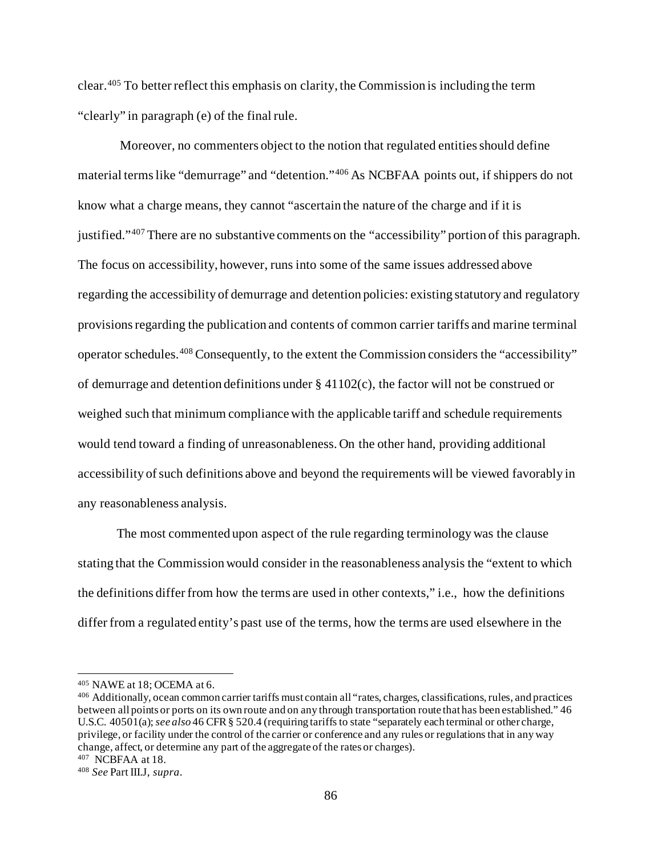clear.[405](#page-85-0) To better reflect this emphasis on clarity, the Commission is including the term "clearly" in paragraph (e) of the final rule.

Moreover, no commenters object to the notion that regulated entities should define material terms like "demurrage" and "detention."[406](#page-85-1) As NCBFAA points out, if shippers do not know what a charge means, they cannot "ascertain the nature of the charge and if it is justified."[407](#page-85-2) There are no substantive comments on the "accessibility" portion of this paragraph. The focus on accessibility, however, runs into some of the same issues addressed above regarding the accessibility of demurrage and detention policies: existing statutory and regulatory provisions regarding the publication and contents of common carrier tariffs and marine terminal operator schedules.[408](#page-85-3) Consequently, to the extent the Commission considers the "accessibility" of demurrage and detention definitions under § 41102(c), the factor will not be construed or weighed such that minimum compliance with the applicable tariff and schedule requirements would tend toward a finding of unreasonableness. On the other hand, providing additional accessibility of such definitions above and beyond the requirements will be viewed favorably in any reasonableness analysis.

The most commented upon aspect of the rule regarding terminology was the clause stating that the Commission would consider in the reasonableness analysis the "extent to which the definitions differ from how the terms are used in other contexts," i.e., how the definitions differ from a regulated entity's past use of the terms, how the terms are used elsewhere in the

<span id="page-85-2"></span>407 NCBFAA at 18.

<span id="page-85-0"></span><sup>405</sup> NAWE at 18; OCEMA at 6.

<span id="page-85-1"></span><sup>406</sup> Additionally, ocean common carrier tariffs must contain all "rates, charges, classifications, rules, and practices between all points or ports on its own route and on any through transportation route that has been established." 46 U.S.C. 40501(a); *see also* 46 CFR § 520.4 (requiring tariffs to state "separately each terminal or other charge, privilege, or facility under the control of the carrier or conference and any rules or regulations that in any way change, affect, or determine any part of the aggregate of the rates or charges).

<span id="page-85-3"></span><sup>408</sup> *See* Part III.J, *supra*.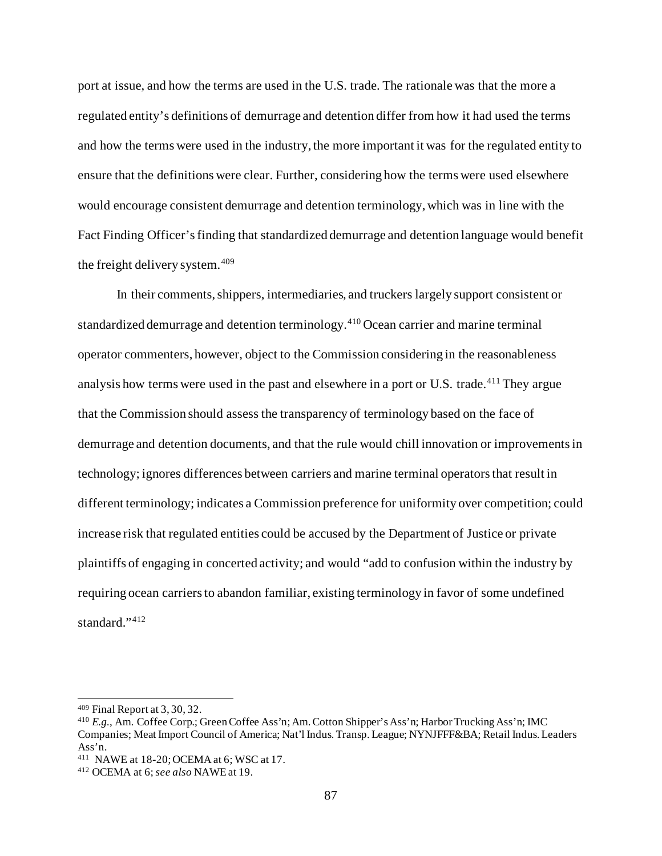port at issue, and how the terms are used in the U.S. trade. The rationale was that the more a regulated entity's definitions of demurrage and detention differ from how it had used the terms and how the terms were used in the industry, the more important it was for the regulated entity to ensure that the definitions were clear. Further, considering how the terms were used elsewhere would encourage consistent demurrage and detention terminology, which was in line with the Fact Finding Officer's finding that standardized demurrage and detention language would benefit the freight delivery system.[409](#page-86-0)

In their comments, shippers, intermediaries, and truckers largely support consistent or standardized demurrage and detention terminology.[410](#page-86-1) Ocean carrier and marine terminal operator commenters, however, object to the Commission considering in the reasonableness analysis how terms were used in the past and elsewhere in a port or U.S. trade.<sup>[411](#page-86-2)</sup> They argue that the Commission should assess the transparency of terminology based on the face of demurrage and detention documents, and that the rule would chill innovation or improvements in technology; ignores differences between carriers and marine terminal operators that result in different terminology; indicates a Commission preference for uniformity over competition; could increase risk that regulated entities could be accused by the Department of Justice or private plaintiffs of engaging in concerted activity; and would "add to confusion within the industry by requiring ocean carriers to abandon familiar, existing terminology in favor of some undefined standard."[412](#page-86-3)

<span id="page-86-0"></span><sup>409</sup> Final Report at 3, 30, 32.

<span id="page-86-1"></span><sup>410</sup> *E.g.*, Am. Coffee Corp.; Green Coffee Ass'n; Am. Cotton Shipper's Ass'n; Harbor Trucking Ass'n; IMC Companies; Meat Import Council of America; Nat'l Indus. Transp. League; NYNJFFF&BA; Retail Indus. Leaders Ass'n.

<span id="page-86-2"></span><sup>411</sup> NAWE at 18-20; OCEMA at 6; WSC at 17. 412 OCEMA at 6; *see also* NAWE at 19.

<span id="page-86-3"></span>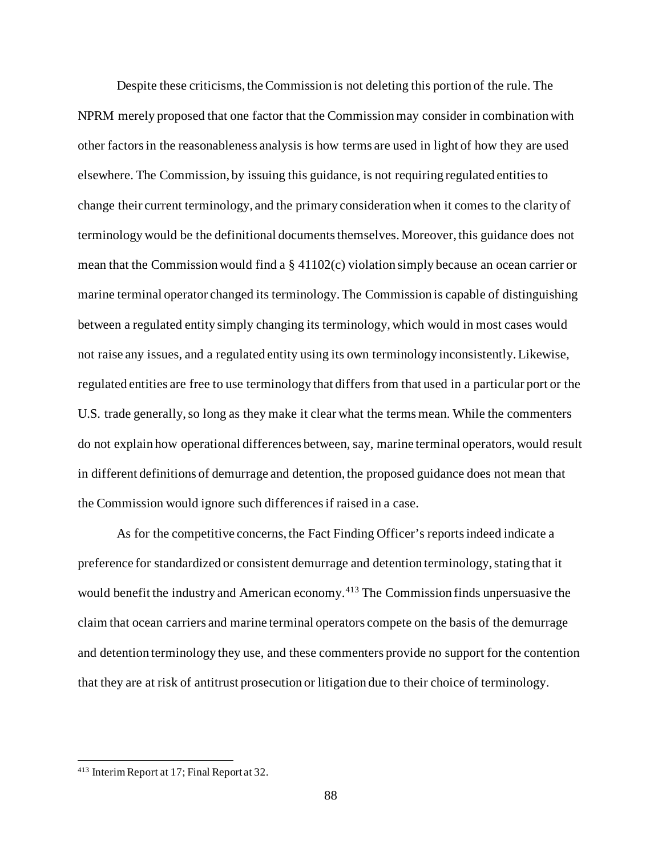Despite these criticisms, the Commission is not deleting this portion of the rule. The NPRM merely proposed that one factor that the Commission may consider in combination with other factors in the reasonableness analysis is how terms are used in light of how they are used elsewhere. The Commission, by issuing this guidance, is not requiring regulated entities to change their current terminology, and the primary consideration when it comes to the clarity of terminology would be the definitional documents themselves. Moreover, this guidance does not mean that the Commission would find a § 41102(c) violation simply because an ocean carrier or marine terminal operator changed its terminology. The Commission is capable of distinguishing between a regulated entity simply changing its terminology, which would in most cases would not raise any issues, and a regulated entity using its own terminology inconsistently.Likewise, regulated entities are free to use terminology that differs from that used in a particular port or the U.S. trade generally, so long as they make it clear what the terms mean. While the commenters do not explain how operational differences between, say, marine terminal operators, would result in different definitions of demurrage and detention, the proposed guidance does not mean that the Commission would ignore such differences if raised in a case.

As for the competitive concerns, the Fact Finding Officer's reports indeed indicate a preference for standardized or consistent demurrage and detention terminology, stating that it would benefit the industry and American economy.<sup>[413](#page-87-0)</sup> The Commission finds unpersuasive the claim that ocean carriers and marine terminal operators compete on the basis of the demurrage and detention terminology they use, and these commenters provide no support for the contention that they are at risk of antitrust prosecution or litigation due to their choice of terminology.

<span id="page-87-0"></span><sup>413</sup> Interim Report at 17; Final Report at 32.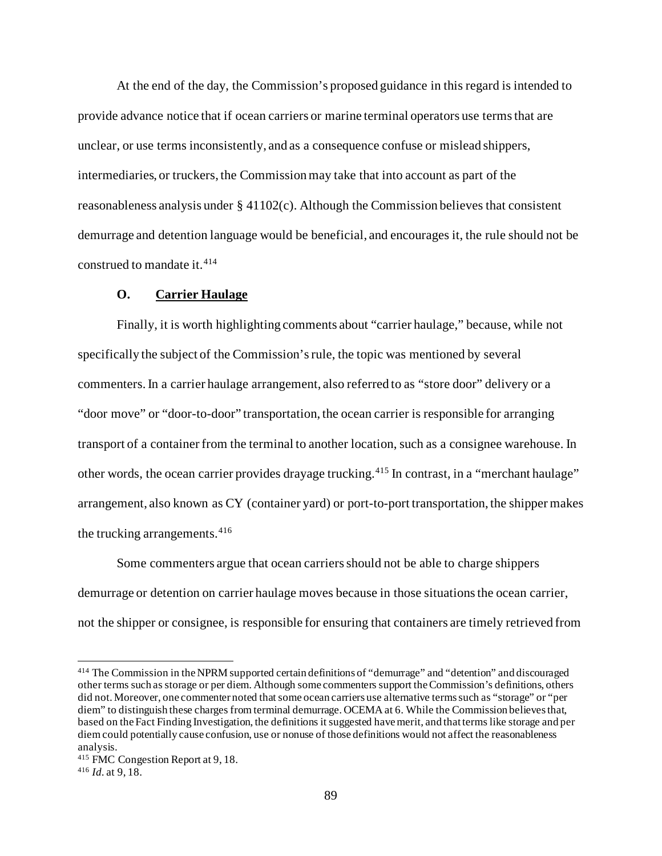At the end of the day, the Commission's proposed guidance in this regard is intended to provide advance notice that if ocean carriers or marine terminal operators use terms that are unclear, or use terms inconsistently, and as a consequence confuse or mislead shippers, intermediaries, or truckers, the Commission may take that into account as part of the reasonableness analysis under  $\S 41102(c)$ . Although the Commission believes that consistent demurrage and detention language would be beneficial, and encourages it, the rule should not be construed to mandate it.<sup>[414](#page-88-0)</sup>

#### **O. Carrier Haulage**

Finally, it is worth highlighting comments about "carrier haulage," because, while not specifically the subject of the Commission's rule, the topic was mentioned by several commenters. In a carrier haulage arrangement, also referred to as "store door" delivery or a "door move" or "door-to-door" transportation, the ocean carrier is responsible for arranging transport of a container from the terminal to another location, such as a consignee warehouse. In other words, the ocean carrier provides drayage trucking.[415](#page-88-1) In contrast, in a "merchant haulage" arrangement, also known as CY (container yard) or port-to-port transportation, the shipper makes the trucking arrangements.<sup>[416](#page-88-2)</sup>

Some commenters argue that ocean carriers should not be able to charge shippers demurrage or detention on carrier haulage moves because in those situations the ocean carrier, not the shipper or consignee, is responsible for ensuring that containers are timely retrieved from

<span id="page-88-0"></span><sup>414</sup> The Commission in the NPRM supported certain definitions of "demurrage" and "detention" and discouraged other terms such as storage or per diem. Although some commenters support the Commission's definitions, others did not. Moreover, one commenter noted that some ocean carriers use alternative terms such as "storage" or "per diem" to distinguish these charges from terminal demurrage. OCEMA at 6. While the Commission believes that, based on the Fact Finding Investigation, the definitions it suggested have merit, and that terms like storage and per diem could potentially cause confusion, use or nonuse of those definitions would not affect the reasonableness analysis.

<span id="page-88-1"></span><sup>415</sup> FMC Congestion Report at 9, 18.

<span id="page-88-2"></span><sup>416</sup> *Id.* at 9, 18.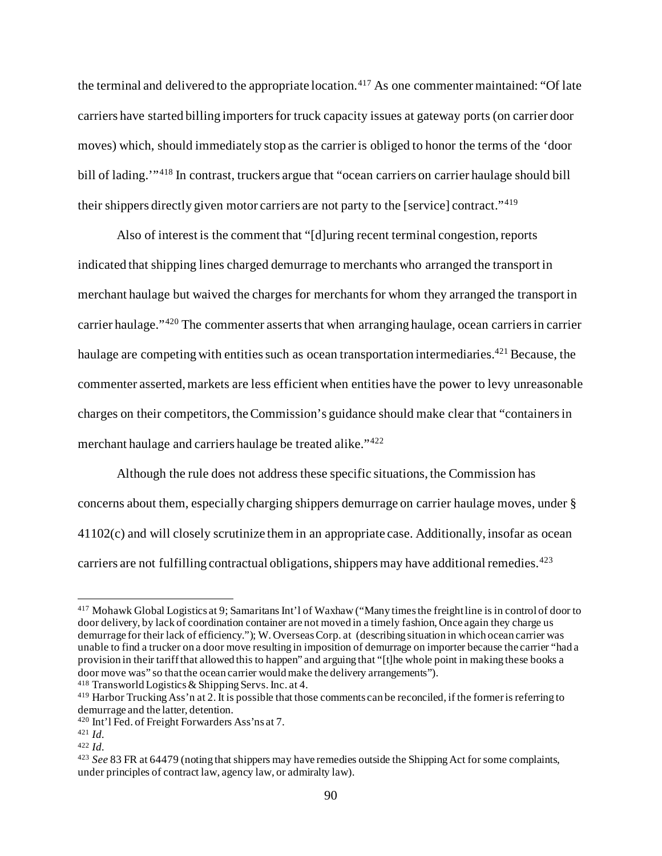the terminal and delivered to the appropriate location.<sup>[417](#page-89-0)</sup> As one commenter maintained: "Of late carriers have started billing importers for truck capacity issues at gateway ports (on carrier door moves) which, should immediately stop as the carrier is obliged to honor the terms of the 'door bill of lading."<sup>[418](#page-89-1)</sup> In contrast, truckers argue that "ocean carriers on carrier haulage should bill their shippers directly given motor carriers are not party to the [service] contract."[419](#page-89-2)

Also of interest is the comment that "[d]uring recent terminal congestion, reports indicated that shipping lines charged demurrage to merchants who arranged the transport in merchant haulage but waived the charges for merchants for whom they arranged the transport in carrier haulage."<sup>[420](#page-89-3)</sup> The commenter asserts that when arranging haulage, ocean carriers in carrier haulage are competing with entities such as ocean transportation intermediaries.<sup>[421](#page-89-4)</sup> Because, the commenter asserted, markets are less efficient when entities have the power to levy unreasonable charges on their competitors, the Commission's guidance should make clear that "containers in merchant haulage and carriers haulage be treated alike."[422](#page-89-5)

Although the rule does not address these specific situations, the Commission has concerns about them, especially charging shippers demurrage on carrier haulage moves, under § 41102(c) and will closely scrutinize them in an appropriate case. Additionally, insofar as ocean carriers are not fulfilling contractual obligations, shippers may have additional remedies.<sup>[423](#page-89-6)</sup>

<span id="page-89-0"></span><sup>417</sup> Mohawk Global Logistics at 9; Samaritans Int'l of Waxhaw ("Many times the freight line is in control of door to door delivery, by lack of coordination container are not moved in a timely fashion, Once again they charge us demurrage for their lack of efficiency."); W. Overseas Corp. at (describing situation in which ocean carrier was unable to find a trucker on a door move resulting in imposition of demurrage on importer because the carrier "had a provision in their tariff that allowed this to happen" and arguing that "[t]he whole point in making these books a door move was" so that the ocean carrier would make the delivery arrangements").

<span id="page-89-1"></span><sup>418</sup> Transworld Logistics & Shipping Servs. Inc. at 4.

<span id="page-89-2"></span><sup>419</sup> Harbor Trucking Ass'n at 2. It is possible that those comments can be reconciled, if the former is referring to demurrage and the latter, detention.

<span id="page-89-3"></span><sup>420</sup> Int'l Fed. of Freight Forwarders Ass'ns at 7.

<span id="page-89-4"></span><sup>421</sup> *Id.*

<span id="page-89-5"></span><sup>422</sup> *Id.*

<span id="page-89-6"></span><sup>423</sup> *See* 83 FR at 64479 (noting that shippers may have remedies outside the Shipping Act for some complaints, under principles of contract law, agency law, or admiralty law).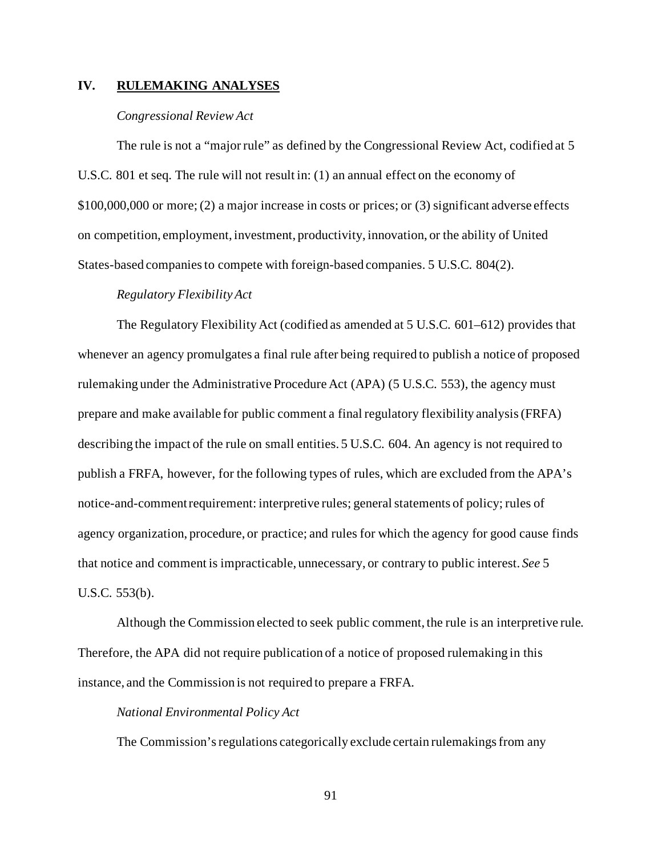# **IV. RULEMAKING ANALYSES**

## *Congressional Review Act*

The rule is not a "major rule" as defined by the Congressional Review Act, codified at 5 U.S.C. 801 et seq. The rule will not result in: (1) an annual effect on the economy of \$100,000,000 or more; (2) a major increase in costs or prices; or (3) significant adverse effects on competition, employment, investment, productivity, innovation, or the ability of United States-based companies to compete with foreign-based companies. 5 U.S.C. 804(2).

#### *Regulatory Flexibility Act*

The Regulatory Flexibility Act (codified as amended at 5 U.S.C. 601–612) provides that whenever an agency promulgates a final rule after being required to publish a notice of proposed rulemaking under the Administrative Procedure Act (APA) (5 U.S.C. 553), the agency must prepare and make available for public comment a final regulatory flexibility analysis (FRFA) describing the impact of the rule on small entities. 5 U.S.C. 604. An agency is not required to publish a FRFA, however, for the following types of rules, which are excluded from the APA's notice-and-comment requirement: interpretive rules; general statements of policy; rules of agency organization, procedure, or practice; and rules for which the agency for good cause finds that notice and comment is impracticable, unnecessary, or contrary to public interest. *See* 5 U.S.C. 553(b).

Although the Commission elected to seek public comment, the rule is an interpretive rule. Therefore, the APA did not require publication of a notice of proposed rulemaking in this instance, and the Commission is not required to prepare a FRFA.

#### *National Environmental Policy Act*

The Commission's regulations categorically exclude certain rulemakings from any

91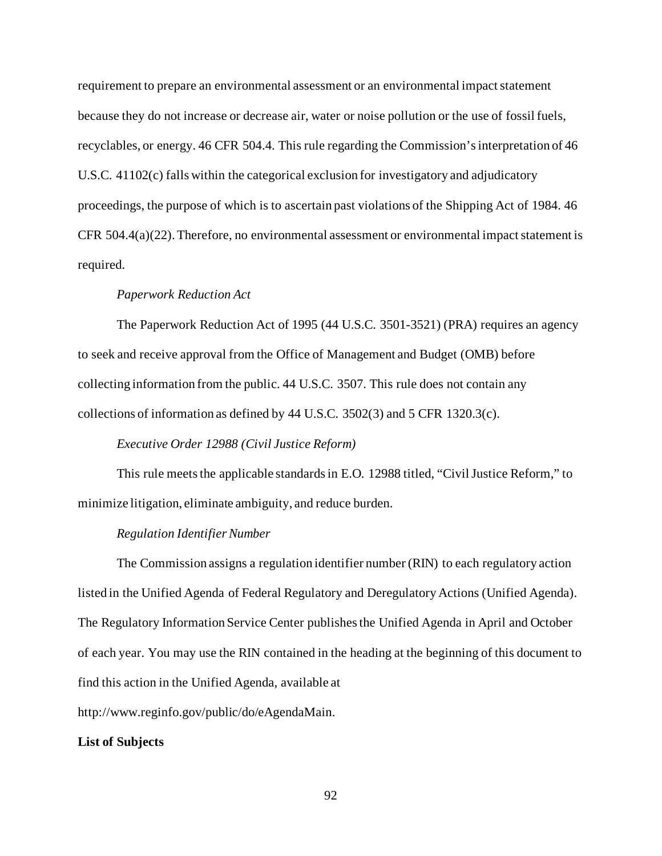requirement to prepare an environmental assessment or an environmental impact statement because they do not increase or decrease air, water or noise pollution or the use of fossil fuels, recyclables, or energy. 46 CFR 504.4. This rule regarding the Commission's interpretation of 46 U.S.C. 41102(c) falls within the categorical exclusion for investigatory and adjudicatory proceedings, the purpose of which is to ascertain past violations of the Shipping Act of 1984. 46 CFR 504.4(a)(22). Therefore, no environmental assessment or environmental impact statement is required.

## *Paperwork Reduction Act*

The Paperwork Reduction Act of 1995 (44 U.S.C. 3501-3521) (PRA) requires an agency to seek and receive approval from the Office of Management and Budget (OMB) before collecting information from the public. 44 U.S.C. 3507. This rule does not contain any collections of information as defined by 44 U.S.C. 3502(3) and 5 CFR 1320.3(c).

## *Executive Order 12988 (Civil Justice Reform)*

This rule meets the applicable standards in E.O. 12988 titled, "Civil Justice Reform," to minimize litigation, eliminate ambiguity, and reduce burden.

#### *Regulation Identifier Number*

The Commission assigns a regulation identifier number (RIN) to each regulatory action listed in the Unified Agenda of Federal Regulatory and Deregulatory Actions (Unified Agenda). The Regulatory Information Service Center publishes the Unified Agenda in April and October of each year. You may use the RIN contained in the heading at the beginning of this document to find this action in the Unified Agenda, available at

http://www.reginfo.gov/public/do/eAgendaMain.

#### **List of Subjects**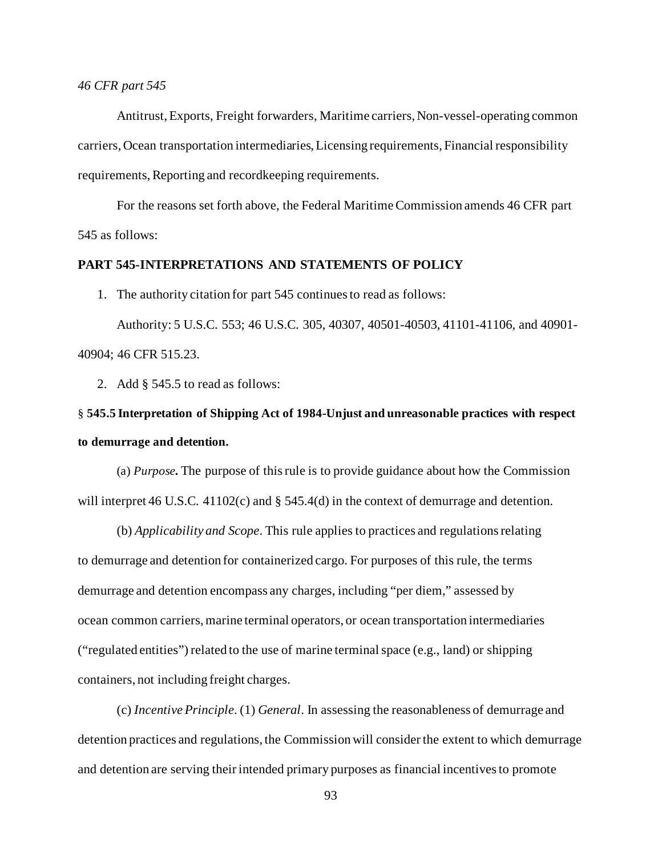#### *46 CFR part 545*

Antitrust, Exports, Freight forwarders, Maritime carriers, Non-vessel-operating common carriers, Ocean transportation intermediaries, Licensing requirements, Financial responsibility requirements, Reporting and recordkeeping requirements.

For the reasons set forth above, the Federal Maritime Commission amends 46 CFR part 545 as follows:

# **PART 545-INTERPRETATIONS AND STATEMENTS OF POLICY**

1. The authority citation for part 545 continues to read as follows:

Authority: 5 U.S.C. 553; 46 U.S.C. 305, 40307, 40501-40503, 41101-41106, and 40901- 40904; 46 CFR 515.23.

2. Add § 545.5 to read as follows:

# § **545.5 Interpretation of Shipping Act of 1984-Unjust and unreasonable practices with respect to demurrage and detention.**

(a) *Purpose***.** The purpose of this rule is to provide guidance about how the Commission will interpret 46 U.S.C. 41102(c) and § 545.4(d) in the context of demurrage and detention.

(b) *Applicability and Scope*. This rule applies to practices and regulations relating to demurrage and detention for containerized cargo. For purposes of this rule, the terms demurrage and detention encompass any charges, including "per diem," assessed by ocean common carriers, marine terminal operators, or ocean transportation intermediaries ("regulated entities") related to the use of marine terminal space (e.g., land) or shipping containers, not including freight charges.

(c) *Incentive Principle*. (1) *General*. In assessing the reasonableness of demurrage and detention practices and regulations, the Commission will consider the extent to which demurrage and detention are serving their intended primary purposes as financial incentives to promote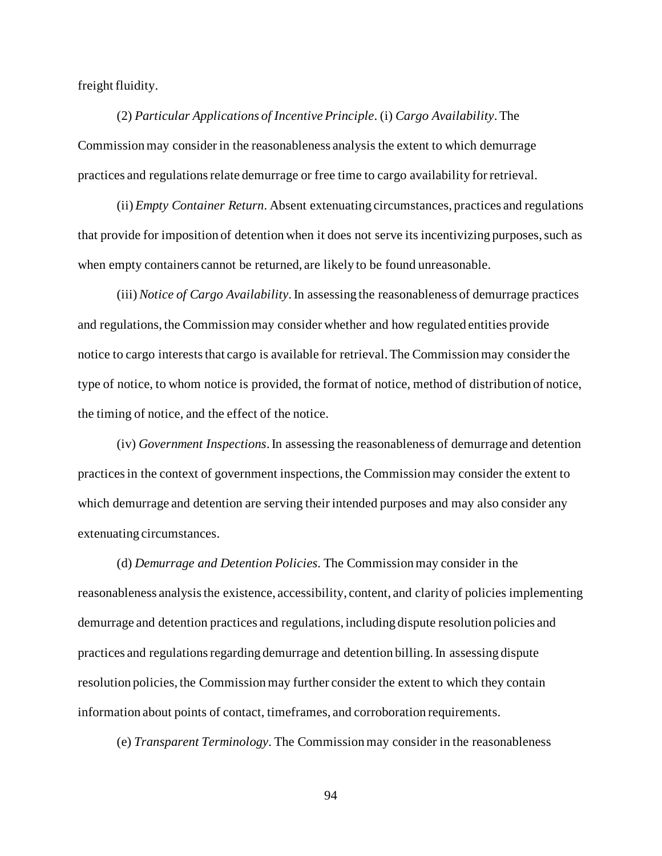freight fluidity.

(2) *Particular Applications of Incentive Principle*. (i) *Cargo Availability*. The Commission may consider in the reasonableness analysis the extent to which demurrage practices and regulations relate demurrage or free time to cargo availability for retrieval.

(ii) *Empty Container Return*. Absent extenuating circumstances, practices and regulations that provide for imposition of detention when it does not serve its incentivizing purposes, such as when empty containers cannot be returned, are likely to be found unreasonable.

(iii) *Notice of Cargo Availability*. In assessing the reasonableness of demurrage practices and regulations, the Commission may consider whether and how regulated entities provide notice to cargo interests that cargo is available for retrieval. The Commission may consider the type of notice, to whom notice is provided, the format of notice, method of distribution of notice, the timing of notice, and the effect of the notice.

(iv) *Government Inspections*. In assessing the reasonableness of demurrage and detention practices in the context of government inspections, the Commission may consider the extent to which demurrage and detention are serving their intended purposes and may also consider any extenuating circumstances.

(d) *Demurrage and Detention Policies.* The Commission may consider in the reasonableness analysis the existence, accessibility, content, and clarity of policies implementing demurrage and detention practices and regulations, including dispute resolution policies and practices and regulations regarding demurrage and detention billing. In assessing dispute resolution policies, the Commission may further consider the extent to which they contain information about points of contact, timeframes, and corroboration requirements.

(e) *Transparent Terminology*. The Commission may consider in the reasonableness

94